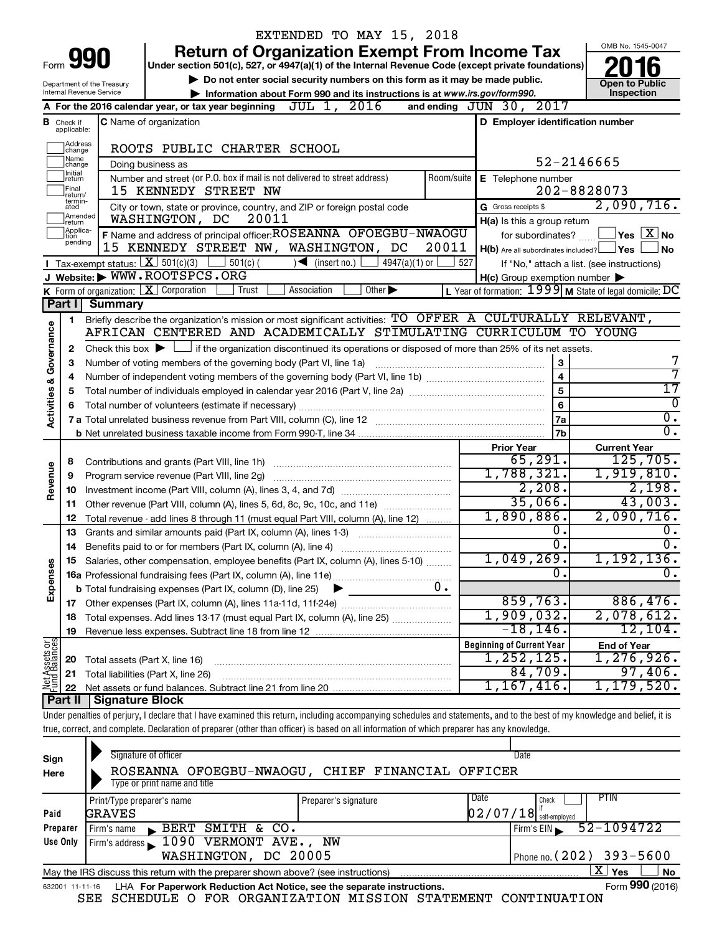|                         |                               |                                                                           | EXTENDED TO MAY 15, 2018                                                                                                                                                   |                                                           |                                                                       |  |  |  |  |
|-------------------------|-------------------------------|---------------------------------------------------------------------------|----------------------------------------------------------------------------------------------------------------------------------------------------------------------------|-----------------------------------------------------------|-----------------------------------------------------------------------|--|--|--|--|
|                         |                               |                                                                           | <b>Return of Organization Exempt From Income Tax</b>                                                                                                                       |                                                           | OMB No. 1545-0047                                                     |  |  |  |  |
|                         |                               | Form <b>990</b>                                                           | Under section 501(c), 527, or 4947(a)(1) of the Internal Revenue Code (except private foundations)                                                                         |                                                           |                                                                       |  |  |  |  |
|                         |                               | Department of the Treasury                                                | Do not enter social security numbers on this form as it may be made public.                                                                                                |                                                           | <b>Open to Public</b>                                                 |  |  |  |  |
|                         |                               | <b>Internal Revenue Service</b>                                           | Information about Form 990 and its instructions is at www.irs.gov/form990.                                                                                                 |                                                           | Inspection                                                            |  |  |  |  |
|                         |                               |                                                                           | JUL 1, 2016<br>A For the 2016 calendar year, or tax year beginning                                                                                                         | and ending JUN 30, 2017                                   |                                                                       |  |  |  |  |
|                         | <b>B</b> Check if applicable: |                                                                           | <b>C</b> Name of organization                                                                                                                                              | D Employer identification number                          |                                                                       |  |  |  |  |
|                         | Address<br> change            |                                                                           |                                                                                                                                                                            |                                                           |                                                                       |  |  |  |  |
|                         | ]Name<br>]change              |                                                                           | ROOTS PUBLIC CHARTER SCHOOL                                                                                                                                                | 52-2146665                                                |                                                                       |  |  |  |  |
|                         | Ilnitial                      |                                                                           | Doing business as<br>Number and street (or P.O. box if mail is not delivered to street address)<br>Room/suite                                                              |                                                           |                                                                       |  |  |  |  |
|                         | return<br> Final              |                                                                           | 15 KENNEDY STREET NW                                                                                                                                                       | E Telephone number<br>202-8828073                         |                                                                       |  |  |  |  |
|                         | lreturn/<br>termin-<br>ated   |                                                                           | City or town, state or province, country, and ZIP or foreign postal code                                                                                                   | G Gross receipts \$                                       | 2,090,716.                                                            |  |  |  |  |
|                         | Amended<br>Ireturn            |                                                                           | WASHINGTON, DC<br>20011                                                                                                                                                    | H(a) Is this a group return                               |                                                                       |  |  |  |  |
|                         | Applica-<br>ltion             |                                                                           | F Name and address of principal officer: ROSEANNA OFOEGBU-NWAOGU                                                                                                           | for subordinates?                                         | $\mathsf{\lvert}$ Yes $\mathsf{\lvert} \mathsf{X} \mathsf{\lvert}$ No |  |  |  |  |
|                         | pending                       |                                                                           | 15 KENNEDY STREET NW, WASHINGTON, DC<br>20011                                                                                                                              | $H(b)$ Are all subordinates included? $\Box$ Yes          | No                                                                    |  |  |  |  |
|                         |                               |                                                                           | Tax-exempt status: $X \ 501(c)(3)$ 501(c)(<br>$\sqrt{\bullet}$ (insert no.)<br>$4947(a)(1)$ or                                                                             | 527<br>If "No," attach a list. (see instructions)         |                                                                       |  |  |  |  |
|                         |                               |                                                                           | J Website: WWW.ROOTSPCS.ORG                                                                                                                                                | $H(c)$ Group exemption number $\blacktriangleright$       |                                                                       |  |  |  |  |
|                         |                               |                                                                           | <b>K</b> Form of organization: $\boxed{\textbf{X}}$ Corporation<br>$\overline{Other}$<br>Trust<br>Association                                                              | L Year of formation: $1999$ M State of legal domicile: DC |                                                                       |  |  |  |  |
|                         | Part I                        | <b>Summary</b>                                                            |                                                                                                                                                                            |                                                           |                                                                       |  |  |  |  |
|                         | 1                             |                                                                           | Briefly describe the organization's mission or most significant activities: TO OFFER A CULTURALLY RELEVANT,                                                                |                                                           |                                                                       |  |  |  |  |
| Governance              |                               |                                                                           | AFRICAN CENTERED AND ACADEMICALLY STIMULATING CURRICULUM TO YOUNG                                                                                                          |                                                           |                                                                       |  |  |  |  |
|                         | 2                             |                                                                           | Check this box $\blacktriangleright \Box$ if the organization discontinued its operations or disposed of more than 25% of its net assets.                                  |                                                           |                                                                       |  |  |  |  |
|                         | 3                             |                                                                           | Number of voting members of the governing body (Part VI, line 1a)                                                                                                          | 3                                                         | 7<br>7                                                                |  |  |  |  |
|                         | 4                             | $\overline{\mathbf{4}}$<br>$\overline{5}$<br>5                            |                                                                                                                                                                            |                                                           |                                                                       |  |  |  |  |
|                         |                               |                                                                           |                                                                                                                                                                            |                                                           |                                                                       |  |  |  |  |
| <b>Activities &amp;</b> | 6                             |                                                                           | $6\phantom{1}$                                                                                                                                                             | $\overline{0}$                                            |                                                                       |  |  |  |  |
|                         |                               |                                                                           |                                                                                                                                                                            | 7a                                                        | $\overline{0}$ .                                                      |  |  |  |  |
|                         |                               |                                                                           |                                                                                                                                                                            | 7b                                                        | $\overline{0}$ .                                                      |  |  |  |  |
|                         |                               |                                                                           |                                                                                                                                                                            | <b>Prior Year</b><br>65,291.                              | <b>Current Year</b><br>125,705.                                       |  |  |  |  |
|                         | 8                             |                                                                           |                                                                                                                                                                            | 1,788,321.                                                | 1,919,810.                                                            |  |  |  |  |
| Revenue                 | 9                             |                                                                           | Program service revenue (Part VIII, line 2g)                                                                                                                               | 2,208.                                                    | 2,198.                                                                |  |  |  |  |
|                         | 10                            |                                                                           |                                                                                                                                                                            | 35,066.                                                   | 43,003.                                                               |  |  |  |  |
|                         | 11<br>12                      |                                                                           | Other revenue (Part VIII, column (A), lines 5, 6d, 8c, 9c, 10c, and 11e)                                                                                                   | 1,890,886.                                                | 2,090,716.                                                            |  |  |  |  |
|                         | 13                            |                                                                           | Total revenue - add lines 8 through 11 (must equal Part VIII, column (A), line 12)<br>Grants and similar amounts paid (Part IX, column (A), lines 1-3)                     | 0.                                                        | $0$ .                                                                 |  |  |  |  |
|                         | 14                            |                                                                           |                                                                                                                                                                            | $\overline{0}$ .                                          | $\overline{0}$ .                                                      |  |  |  |  |
|                         |                               |                                                                           | Salaries, other compensation, employee benefits (Part IX, column (A), lines 5-10)                                                                                          | 1,049,269 <b>.</b>                                        | 1,192,136.                                                            |  |  |  |  |
| Expenses                |                               |                                                                           |                                                                                                                                                                            | $\overline{0}$                                            | σ.                                                                    |  |  |  |  |
|                         |                               |                                                                           | 0.<br><b>b</b> Total fundraising expenses (Part IX, column (D), line 25)                                                                                                   |                                                           |                                                                       |  |  |  |  |
|                         |                               |                                                                           |                                                                                                                                                                            | 859,763.                                                  | 886,476.                                                              |  |  |  |  |
|                         | 18                            | Total expenses. Add lines 13-17 (must equal Part IX, column (A), line 25) | 1,909,032.                                                                                                                                                                 | 2,078,612.                                                |                                                                       |  |  |  |  |
|                         | 19                            |                                                                           |                                                                                                                                                                            | $-18, 146$ .                                              | 12, 104.                                                              |  |  |  |  |
|                         |                               |                                                                           |                                                                                                                                                                            | <b>Beginning of Current Year</b>                          | <b>End of Year</b>                                                    |  |  |  |  |
| Net Assets or           | 20                            | Total assets (Part X, line 16)                                            |                                                                                                                                                                            | 1, 252, 125.                                              | 1, 276, 926.                                                          |  |  |  |  |
|                         | 21                            |                                                                           | Total liabilities (Part X, line 26)                                                                                                                                        | 84,709.                                                   | 97,406.                                                               |  |  |  |  |
|                         | 22                            |                                                                           |                                                                                                                                                                            | 1,167,416.                                                | 1, 179, 520.                                                          |  |  |  |  |
|                         | Part II                       | <b>Signature Block</b>                                                    |                                                                                                                                                                            |                                                           |                                                                       |  |  |  |  |
|                         |                               |                                                                           | Under penalties of perjury, I declare that I have examined this return, including accompanying schedules and statements, and to the best of my knowledge and belief, it is |                                                           |                                                                       |  |  |  |  |
|                         |                               |                                                                           | true, correct, and complete. Declaration of preparer (other than officer) is based on all information of which preparer has any knowledge.                                 |                                                           |                                                                       |  |  |  |  |
|                         |                               |                                                                           | Signature of officer                                                                                                                                                       |                                                           |                                                                       |  |  |  |  |
| Sign                    |                               |                                                                           |                                                                                                                                                                            | Date                                                      |                                                                       |  |  |  |  |

| Sign                                                                                                        | Signature of officer                                                                                         |                      | Date                         |  |  |  |  |  |  |
|-------------------------------------------------------------------------------------------------------------|--------------------------------------------------------------------------------------------------------------|----------------------|------------------------------|--|--|--|--|--|--|
| Here                                                                                                        | ROSEANNA OFOEGBU-NWAOGU, CHIEF FINANCIAL OFFICER                                                             |                      |                              |  |  |  |  |  |  |
|                                                                                                             | Type or print name and title                                                                                 |                      |                              |  |  |  |  |  |  |
|                                                                                                             | Print/Type preparer's name                                                                                   | Preparer's signature | <b>PTIN</b><br>Date<br>Check |  |  |  |  |  |  |
| Paid                                                                                                        | GRAVES                                                                                                       |                      | $02/07/18$ self-employed     |  |  |  |  |  |  |
| Preparer                                                                                                    | SMITH & CO.<br>BERT<br>Firm's name                                                                           |                      | $52 - 1094722$<br>Firm's EIN |  |  |  |  |  |  |
| Use Only                                                                                                    | Firm's address 1090 VERMONT AVE., NW                                                                         |                      |                              |  |  |  |  |  |  |
|                                                                                                             | Phone no. $(202)$ 393-5600<br>WASHINGTON, DC 20005                                                           |                      |                              |  |  |  |  |  |  |
| ΧI<br>Yes<br><b>No</b><br>May the IRS discuss this return with the preparer shown above? (see instructions) |                                                                                                              |                      |                              |  |  |  |  |  |  |
|                                                                                                             | Form 990 (2016)<br>LHA For Paperwork Reduction Act Notice, see the separate instructions.<br>632001 11-11-16 |                      |                              |  |  |  |  |  |  |

SEE SCHEDULE O FOR ORGANIZATION MISSION STATEMENT CONTINUATION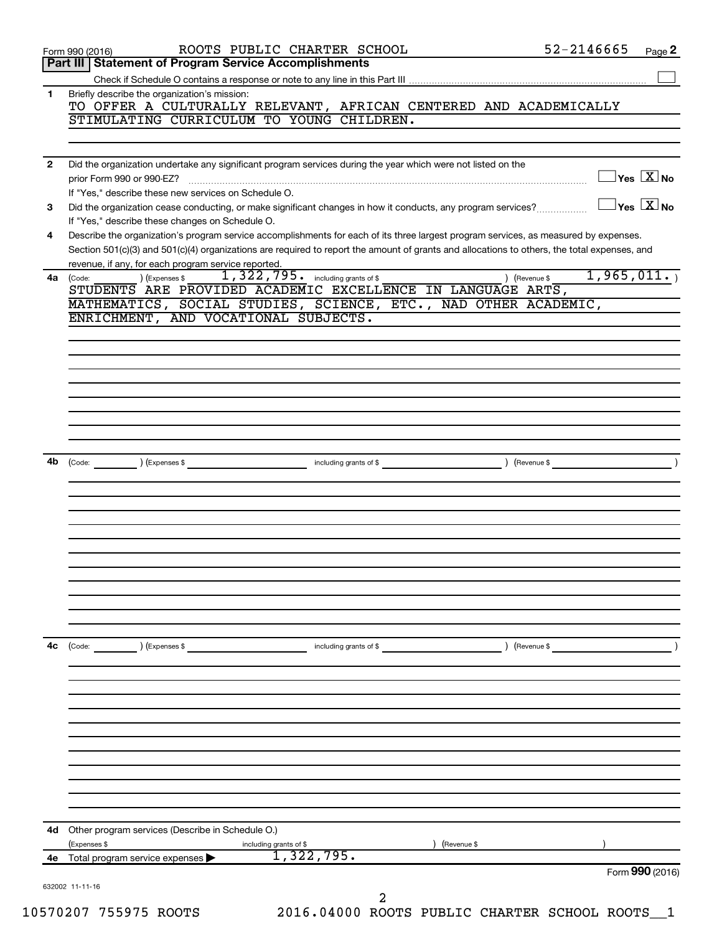| Part III   Statement of Program Service Accomplishments<br>Briefly describe the organization's mission:      |                                           |                                                                                                                                              |                                      |
|--------------------------------------------------------------------------------------------------------------|-------------------------------------------|----------------------------------------------------------------------------------------------------------------------------------------------|--------------------------------------|
|                                                                                                              |                                           |                                                                                                                                              |                                      |
|                                                                                                              |                                           |                                                                                                                                              |                                      |
|                                                                                                              |                                           | TO OFFER A CULTURALLY RELEVANT, AFRICAN CENTERED AND ACADEMICALLY                                                                            |                                      |
|                                                                                                              | STIMULATING CURRICULUM TO YOUNG CHILDREN. |                                                                                                                                              |                                      |
|                                                                                                              |                                           |                                                                                                                                              |                                      |
| Did the organization undertake any significant program services during the year which were not listed on the |                                           |                                                                                                                                              |                                      |
| prior Form 990 or 990-EZ?                                                                                    |                                           |                                                                                                                                              | $\sqrt{\mathsf{Yes}\ \mathbf{X}}$ No |
| If "Yes," describe these new services on Schedule O.                                                         |                                           |                                                                                                                                              |                                      |
|                                                                                                              |                                           | Did the organization cease conducting, or make significant changes in how it conducts, any program services?                                 | $\sqrt{\mathsf{Yes}\ \mathbf{X}}$ No |
| If "Yes," describe these changes on Schedule O.                                                              |                                           |                                                                                                                                              |                                      |
|                                                                                                              |                                           | Describe the organization's program service accomplishments for each of its three largest program services, as measured by expenses.         |                                      |
|                                                                                                              |                                           | Section 501(c)(3) and 501(c)(4) organizations are required to report the amount of grants and allocations to others, the total expenses, and |                                      |
| revenue, if any, for each program service reported.                                                          |                                           |                                                                                                                                              |                                      |
| ) (Expenses \$<br>STUDENTS ARE PROVIDED ACADEMIC EXCELLENCE IN LANGUAGE ARTS,                                | 1, 322, 795. including grants of \$       | ) (Revenue \$                                                                                                                                | 1,965,011.                           |
|                                                                                                              |                                           | MATHEMATICS, SOCIAL STUDIES, SCIENCE, ETC., NAD OTHER ACADEMIC,                                                                              |                                      |
| ENRICHMENT, AND VOCATIONAL SUBJECTS.                                                                         |                                           |                                                                                                                                              |                                      |
|                                                                                                              |                                           |                                                                                                                                              |                                      |
|                                                                                                              |                                           |                                                                                                                                              |                                      |
|                                                                                                              |                                           |                                                                                                                                              |                                      |
|                                                                                                              |                                           |                                                                                                                                              |                                      |
|                                                                                                              |                                           |                                                                                                                                              |                                      |
|                                                                                                              |                                           |                                                                                                                                              |                                      |
|                                                                                                              |                                           |                                                                                                                                              |                                      |
|                                                                                                              |                                           |                                                                                                                                              |                                      |
|                                                                                                              |                                           |                                                                                                                                              |                                      |
| (Expenses \$                                                                                                 | including grants of \$                    | ) (Revenue \$                                                                                                                                |                                      |
|                                                                                                              |                                           |                                                                                                                                              |                                      |
|                                                                                                              |                                           |                                                                                                                                              |                                      |
|                                                                                                              |                                           |                                                                                                                                              |                                      |
|                                                                                                              |                                           |                                                                                                                                              |                                      |
|                                                                                                              |                                           |                                                                                                                                              |                                      |
|                                                                                                              |                                           |                                                                                                                                              |                                      |
|                                                                                                              |                                           |                                                                                                                                              |                                      |
|                                                                                                              |                                           |                                                                                                                                              |                                      |
|                                                                                                              |                                           |                                                                                                                                              |                                      |
|                                                                                                              |                                           |                                                                                                                                              |                                      |
|                                                                                                              |                                           |                                                                                                                                              |                                      |
| ) (Expenses \$                                                                                               | including grants of \$                    | ) (Revenue \$                                                                                                                                |                                      |
|                                                                                                              |                                           |                                                                                                                                              |                                      |
|                                                                                                              |                                           |                                                                                                                                              |                                      |
|                                                                                                              |                                           |                                                                                                                                              |                                      |
|                                                                                                              |                                           |                                                                                                                                              |                                      |
|                                                                                                              |                                           |                                                                                                                                              |                                      |
|                                                                                                              |                                           |                                                                                                                                              |                                      |
|                                                                                                              |                                           |                                                                                                                                              |                                      |
|                                                                                                              |                                           |                                                                                                                                              |                                      |
|                                                                                                              |                                           |                                                                                                                                              |                                      |
|                                                                                                              |                                           |                                                                                                                                              |                                      |
|                                                                                                              |                                           |                                                                                                                                              |                                      |
|                                                                                                              |                                           |                                                                                                                                              |                                      |
| Other program services (Describe in Schedule O.)<br>(Expenses \$                                             |                                           |                                                                                                                                              |                                      |
| Total program service expenses                                                                               | including grants of \$<br>1,322,795.      |                                                                                                                                              | Form 990 (2016)                      |
|                                                                                                              |                                           |                                                                                                                                              | (Revenue \$                          |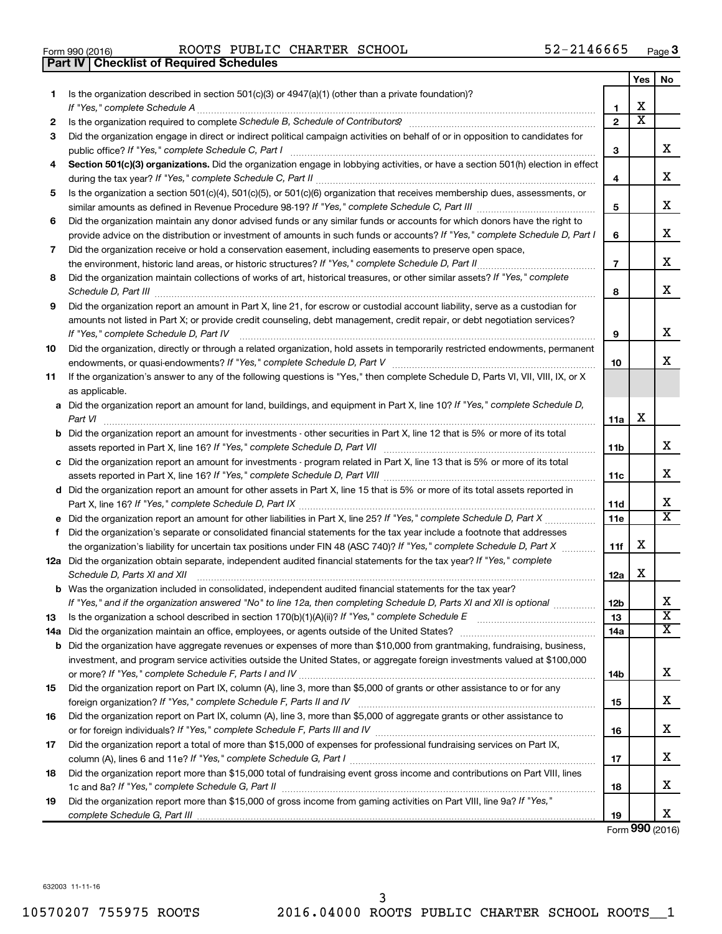| Form 990 (2016) |  |  |
|-----------------|--|--|

Form 990 (2016) Page ROOTS PUBLIC CHARTER SCHOOL 52-2146665 **Part IV Checklist of Required Schedules**

|    |                                                                                                                                                                                                                                                                                                                                                                     |                | Yes                     | No                            |
|----|---------------------------------------------------------------------------------------------------------------------------------------------------------------------------------------------------------------------------------------------------------------------------------------------------------------------------------------------------------------------|----------------|-------------------------|-------------------------------|
| 1. | Is the organization described in section $501(c)(3)$ or $4947(a)(1)$ (other than a private foundation)?                                                                                                                                                                                                                                                             | 1              | х                       |                               |
| 2  |                                                                                                                                                                                                                                                                                                                                                                     | $\overline{2}$ | $\overline{\textbf{x}}$ |                               |
| 3  | Did the organization engage in direct or indirect political campaign activities on behalf of or in opposition to candidates for                                                                                                                                                                                                                                     | З              |                         | x                             |
| 4  | Section 501(c)(3) organizations. Did the organization engage in lobbying activities, or have a section 501(h) election in effect                                                                                                                                                                                                                                    |                |                         |                               |
|    |                                                                                                                                                                                                                                                                                                                                                                     | 4              |                         | х                             |
| 5  | Is the organization a section 501(c)(4), 501(c)(5), or 501(c)(6) organization that receives membership dues, assessments, or                                                                                                                                                                                                                                        |                |                         |                               |
|    |                                                                                                                                                                                                                                                                                                                                                                     | 5              |                         | х                             |
| 6  | Did the organization maintain any donor advised funds or any similar funds or accounts for which donors have the right to                                                                                                                                                                                                                                           |                |                         |                               |
|    | provide advice on the distribution or investment of amounts in such funds or accounts? If "Yes," complete Schedule D, Part I                                                                                                                                                                                                                                        | 6              |                         | x                             |
| 7  | Did the organization receive or hold a conservation easement, including easements to preserve open space,                                                                                                                                                                                                                                                           |                |                         |                               |
|    |                                                                                                                                                                                                                                                                                                                                                                     | $\overline{7}$ |                         | х                             |
| 8  | Did the organization maintain collections of works of art, historical treasures, or other similar assets? If "Yes," complete<br>Schedule D, Part III <b>Marting Communities</b> and the contract of the contract of the contract of the contract of the contract of the contract of the contract of the contract of the contract of the contract of the contract of | 8              |                         | X                             |
| 9  | Did the organization report an amount in Part X, line 21, for escrow or custodial account liability, serve as a custodian for                                                                                                                                                                                                                                       |                |                         |                               |
|    | amounts not listed in Part X; or provide credit counseling, debt management, credit repair, or debt negotiation services?                                                                                                                                                                                                                                           |                |                         |                               |
|    | If "Yes," complete Schedule D, Part IV                                                                                                                                                                                                                                                                                                                              | 9              |                         | х                             |
| 10 | Did the organization, directly or through a related organization, hold assets in temporarily restricted endowments, permanent                                                                                                                                                                                                                                       |                |                         |                               |
|    |                                                                                                                                                                                                                                                                                                                                                                     | 10             |                         | x                             |
| 11 | If the organization's answer to any of the following questions is "Yes," then complete Schedule D, Parts VI, VII, VIII, IX, or X                                                                                                                                                                                                                                    |                |                         |                               |
|    | as applicable.                                                                                                                                                                                                                                                                                                                                                      |                |                         |                               |
|    | a Did the organization report an amount for land, buildings, and equipment in Part X, line 10? If "Yes," complete Schedule D,<br>Part VI                                                                                                                                                                                                                            | 11a            | х                       |                               |
|    | <b>b</b> Did the organization report an amount for investments - other securities in Part X, line 12 that is 5% or more of its total                                                                                                                                                                                                                                | 11b            |                         | х                             |
|    | c Did the organization report an amount for investments - program related in Part X, line 13 that is 5% or more of its total                                                                                                                                                                                                                                        |                |                         |                               |
|    |                                                                                                                                                                                                                                                                                                                                                                     | 11c            |                         | x                             |
|    | d Did the organization report an amount for other assets in Part X, line 15 that is 5% or more of its total assets reported in                                                                                                                                                                                                                                      |                |                         |                               |
|    |                                                                                                                                                                                                                                                                                                                                                                     | 11d            |                         | х                             |
|    | e Did the organization report an amount for other liabilities in Part X, line 25? If "Yes," complete Schedule D, Part X                                                                                                                                                                                                                                             | 11e            |                         | x                             |
| f  | Did the organization's separate or consolidated financial statements for the tax year include a footnote that addresses                                                                                                                                                                                                                                             |                |                         |                               |
|    | the organization's liability for uncertain tax positions under FIN 48 (ASC 740)? If "Yes," complete Schedule D, Part X                                                                                                                                                                                                                                              | 11f            | х                       |                               |
|    | 12a Did the organization obtain separate, independent audited financial statements for the tax year? If "Yes," complete                                                                                                                                                                                                                                             |                |                         |                               |
|    | Schedule D, Parts XI and XII                                                                                                                                                                                                                                                                                                                                        | 12a            | х                       |                               |
|    | <b>b</b> Was the organization included in consolidated, independent audited financial statements for the tax year?                                                                                                                                                                                                                                                  |                |                         |                               |
|    | If "Yes," and if the organization answered "No" to line 12a, then completing Schedule D, Parts XI and XII is optional                                                                                                                                                                                                                                               | 12b            |                         | Δ.<br>$\overline{\textbf{x}}$ |
| 13 |                                                                                                                                                                                                                                                                                                                                                                     | 13             |                         | x                             |
|    | <b>b</b> Did the organization have aggregate revenues or expenses of more than \$10,000 from grantmaking, fundraising, business,                                                                                                                                                                                                                                    | 14a            |                         |                               |
|    | investment, and program service activities outside the United States, or aggregate foreign investments valued at \$100,000                                                                                                                                                                                                                                          |                |                         |                               |
|    |                                                                                                                                                                                                                                                                                                                                                                     | 14b            |                         | x                             |
| 15 | Did the organization report on Part IX, column (A), line 3, more than \$5,000 of grants or other assistance to or for any                                                                                                                                                                                                                                           |                |                         |                               |
|    |                                                                                                                                                                                                                                                                                                                                                                     | 15             |                         | х                             |
| 16 | Did the organization report on Part IX, column (A), line 3, more than \$5,000 of aggregate grants or other assistance to                                                                                                                                                                                                                                            |                |                         |                               |
|    |                                                                                                                                                                                                                                                                                                                                                                     | 16             |                         | x                             |
| 17 | Did the organization report a total of more than \$15,000 of expenses for professional fundraising services on Part IX,                                                                                                                                                                                                                                             |                |                         |                               |
|    |                                                                                                                                                                                                                                                                                                                                                                     | 17             |                         | x                             |
| 18 | Did the organization report more than \$15,000 total of fundraising event gross income and contributions on Part VIII, lines                                                                                                                                                                                                                                        |                |                         |                               |
|    |                                                                                                                                                                                                                                                                                                                                                                     | 18             |                         | x                             |
| 19 | Did the organization report more than \$15,000 of gross income from gaming activities on Part VIII, line 9a? If "Yes,"                                                                                                                                                                                                                                              |                |                         | X                             |
|    |                                                                                                                                                                                                                                                                                                                                                                     | 19             |                         |                               |

Form (2016) **990**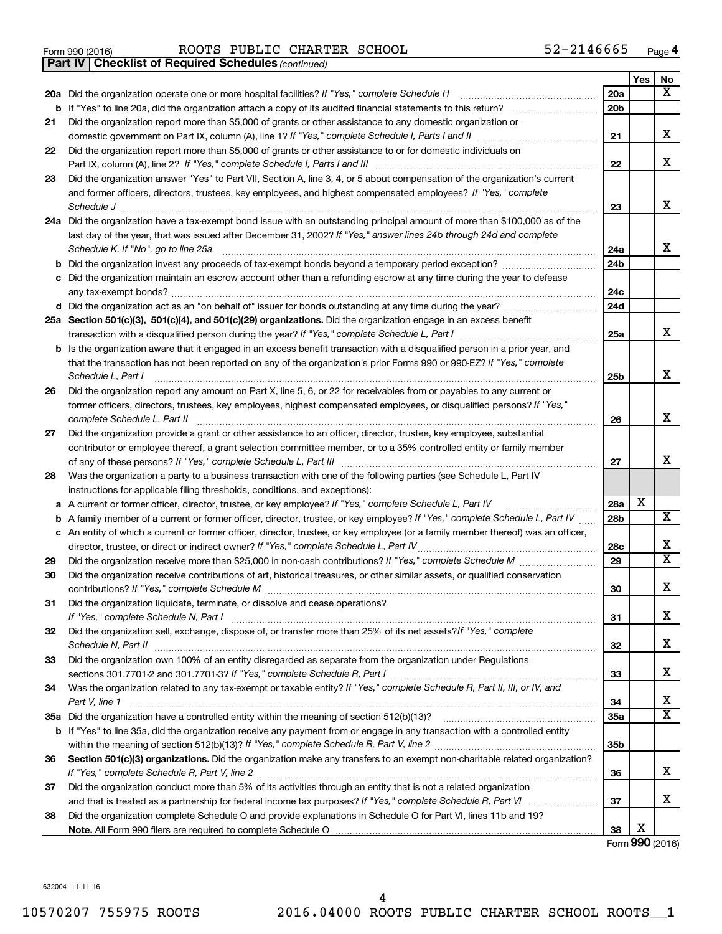|  | Form 990 (2016) |
|--|-----------------|

Form 990 (2016) Page ROOTS PUBLIC CHARTER SCHOOL 52-2146665

*(continued)* **Part IV Checklist of Required Schedules**

|                                                                                                                                                                                                                                                   |                 | Yes | No                      |
|---------------------------------------------------------------------------------------------------------------------------------------------------------------------------------------------------------------------------------------------------|-----------------|-----|-------------------------|
| 20a Did the organization operate one or more hospital facilities? If "Yes," complete Schedule H                                                                                                                                                   | 20a             |     | х                       |
|                                                                                                                                                                                                                                                   | 20 <sub>b</sub> |     |                         |
| Did the organization report more than \$5,000 of grants or other assistance to any domestic organization or<br>21                                                                                                                                 |                 |     |                         |
|                                                                                                                                                                                                                                                   | 21              |     | x                       |
| Did the organization report more than \$5,000 of grants or other assistance to or for domestic individuals on<br>22                                                                                                                               |                 |     |                         |
|                                                                                                                                                                                                                                                   | 22              |     | x                       |
| Did the organization answer "Yes" to Part VII, Section A, line 3, 4, or 5 about compensation of the organization's current<br>23                                                                                                                  |                 |     |                         |
| and former officers, directors, trustees, key employees, and highest compensated employees? If "Yes," complete                                                                                                                                    |                 |     | x                       |
| Schedule J <b>www.communications.communications.com</b>                                                                                                                                                                                           | 23              |     |                         |
| 24a Did the organization have a tax-exempt bond issue with an outstanding principal amount of more than \$100,000 as of the<br>last day of the year, that was issued after December 31, 2002? If "Yes," answer lines 24b through 24d and complete |                 |     |                         |
| Schedule K. If "No", go to line 25a                                                                                                                                                                                                               | 24a             |     | x                       |
| b                                                                                                                                                                                                                                                 | 24 <sub>b</sub> |     |                         |
| Did the organization maintain an escrow account other than a refunding escrow at any time during the year to defease                                                                                                                              |                 |     |                         |
|                                                                                                                                                                                                                                                   | 24c             |     |                         |
| d Did the organization act as an "on behalf of" issuer for bonds outstanding at any time during the year?                                                                                                                                         | 24d             |     |                         |
| 25a Section 501(c)(3), 501(c)(4), and 501(c)(29) organizations. Did the organization engage in an excess benefit                                                                                                                                  |                 |     |                         |
|                                                                                                                                                                                                                                                   | 25a             |     | x                       |
| <b>b</b> Is the organization aware that it engaged in an excess benefit transaction with a disqualified person in a prior year, and                                                                                                               |                 |     |                         |
| that the transaction has not been reported on any of the organization's prior Forms 990 or 990-EZ? If "Yes," complete                                                                                                                             |                 |     |                         |
| Schedule L, Part I                                                                                                                                                                                                                                | 25b             |     | x                       |
| Did the organization report any amount on Part X, line 5, 6, or 22 for receivables from or payables to any current or<br>26                                                                                                                       |                 |     |                         |
| former officers, directors, trustees, key employees, highest compensated employees, or disqualified persons? If "Yes,"                                                                                                                            |                 |     |                         |
| complete Schedule L, Part II                                                                                                                                                                                                                      | 26              |     | x                       |
| Did the organization provide a grant or other assistance to an officer, director, trustee, key employee, substantial<br>27                                                                                                                        |                 |     |                         |
| contributor or employee thereof, a grant selection committee member, or to a 35% controlled entity or family member                                                                                                                               |                 |     |                         |
|                                                                                                                                                                                                                                                   | 27              |     | x                       |
| Was the organization a party to a business transaction with one of the following parties (see Schedule L, Part IV<br>28                                                                                                                           |                 |     |                         |
| instructions for applicable filing thresholds, conditions, and exceptions):                                                                                                                                                                       |                 | х   |                         |
| A current or former officer, director, trustee, or key employee? If "Yes," complete Schedule L, Part IV<br>а                                                                                                                                      | 28a             |     | $\overline{\mathbf{X}}$ |
| A family member of a current or former officer, director, trustee, or key employee? If "Yes," complete Schedule L, Part IV<br>b                                                                                                                   | 28b             |     |                         |
| c An entity of which a current or former officer, director, trustee, or key employee (or a family member thereof) was an officer,<br>director, trustee, or direct or indirect owner? If "Yes," complete Schedule L, Part IV                       | 28c             |     | х                       |
| 29                                                                                                                                                                                                                                                | 29              |     | $\overline{\mathtt{x}}$ |
| Did the organization receive contributions of art, historical treasures, or other similar assets, or qualified conservation<br>30                                                                                                                 |                 |     |                         |
|                                                                                                                                                                                                                                                   | 30              |     | x                       |
| Did the organization liquidate, terminate, or dissolve and cease operations?<br>31                                                                                                                                                                |                 |     |                         |
| If "Yes," complete Schedule N, Part I                                                                                                                                                                                                             | 31              |     | х                       |
| Did the organization sell, exchange, dispose of, or transfer more than 25% of its net assets? If "Yes," complete<br>32                                                                                                                            |                 |     |                         |
|                                                                                                                                                                                                                                                   | 32              |     | X                       |
| Did the organization own 100% of an entity disregarded as separate from the organization under Regulations<br>33                                                                                                                                  |                 |     |                         |
|                                                                                                                                                                                                                                                   | 33              |     | X                       |
| Was the organization related to any tax-exempt or taxable entity? If "Yes," complete Schedule R, Part II, III, or IV, and<br>34                                                                                                                   |                 |     |                         |
| Part V, line 1                                                                                                                                                                                                                                    | 34              |     | х                       |
|                                                                                                                                                                                                                                                   | 35a             |     | $\overline{\mathtt{x}}$ |
| b If "Yes" to line 35a, did the organization receive any payment from or engage in any transaction with a controlled entity                                                                                                                       |                 |     |                         |
|                                                                                                                                                                                                                                                   | 35 <sub>b</sub> |     |                         |
| Section 501(c)(3) organizations. Did the organization make any transfers to an exempt non-charitable related organization?<br>36                                                                                                                  |                 |     | x                       |
|                                                                                                                                                                                                                                                   | 36              |     |                         |
| Did the organization conduct more than 5% of its activities through an entity that is not a related organization<br>37                                                                                                                            | 37              |     | x                       |
| Did the organization complete Schedule O and provide explanations in Schedule O for Part VI, lines 11b and 19?<br>38                                                                                                                              |                 |     |                         |
|                                                                                                                                                                                                                                                   | 38              | X   |                         |

Form (2016) **990**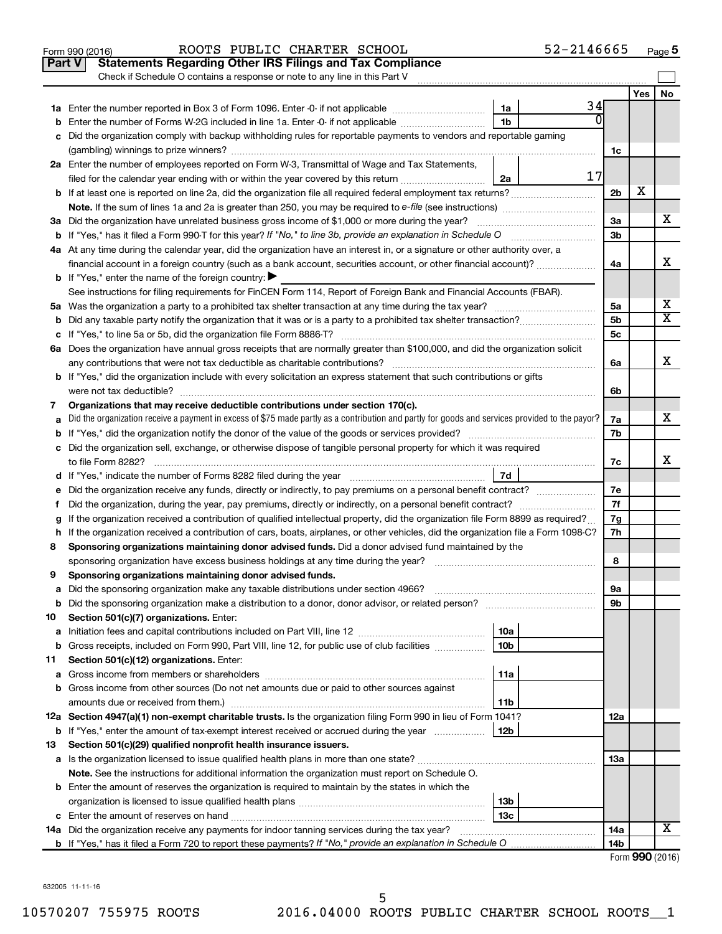|    | 52-2146665<br>ROOTS PUBLIC CHARTER SCHOOL<br>Form 990 (2016)                                                                                                                                          |                 |     | Page 5                |  |  |  |
|----|-------------------------------------------------------------------------------------------------------------------------------------------------------------------------------------------------------|-----------------|-----|-----------------------|--|--|--|
|    | <b>Statements Regarding Other IRS Filings and Tax Compliance</b><br><b>Part V</b>                                                                                                                     |                 |     |                       |  |  |  |
|    | Check if Schedule O contains a response or note to any line in this Part V                                                                                                                            |                 |     |                       |  |  |  |
|    |                                                                                                                                                                                                       |                 | Yes | No                    |  |  |  |
|    | 34<br>1a<br>1a Enter the number reported in Box 3 of Form 1096. Enter -0- if not applicable                                                                                                           |                 |     |                       |  |  |  |
| b  | Enter the number of Forms W-2G included in line 1a. Enter -0- if not applicable<br>1b                                                                                                                 |                 |     |                       |  |  |  |
| с  | Did the organization comply with backup withholding rules for reportable payments to vendors and reportable gaming                                                                                    |                 |     |                       |  |  |  |
|    |                                                                                                                                                                                                       | 1c              |     |                       |  |  |  |
|    | 2a Enter the number of employees reported on Form W-3, Transmittal of Wage and Tax Statements,                                                                                                        |                 |     |                       |  |  |  |
|    | 17<br>filed for the calendar year ending with or within the year covered by this return<br>2a                                                                                                         |                 |     |                       |  |  |  |
|    |                                                                                                                                                                                                       | 2 <sub>b</sub>  | х   |                       |  |  |  |
|    |                                                                                                                                                                                                       |                 |     |                       |  |  |  |
|    | 3a Did the organization have unrelated business gross income of \$1,000 or more during the year?                                                                                                      | 3a              |     | x                     |  |  |  |
|    |                                                                                                                                                                                                       | 3b              |     |                       |  |  |  |
|    | 4a At any time during the calendar year, did the organization have an interest in, or a signature or other authority over, a                                                                          |                 |     |                       |  |  |  |
|    | financial account in a foreign country (such as a bank account, securities account, or other financial account)?                                                                                      | 4a              |     | x                     |  |  |  |
|    | <b>b</b> If "Yes," enter the name of the foreign country: $\blacktriangleright$                                                                                                                       |                 |     |                       |  |  |  |
|    | See instructions for filing requirements for FinCEN Form 114, Report of Foreign Bank and Financial Accounts (FBAR).                                                                                   |                 |     |                       |  |  |  |
|    | 5a Was the organization a party to a prohibited tax shelter transaction at any time during the tax year?                                                                                              | 5a              |     | х                     |  |  |  |
| b  |                                                                                                                                                                                                       | 5 <sub>b</sub>  |     | $\overline{\text{X}}$ |  |  |  |
|    |                                                                                                                                                                                                       | 5c              |     |                       |  |  |  |
|    | 6a Does the organization have annual gross receipts that are normally greater than \$100,000, and did the organization solicit                                                                        |                 |     |                       |  |  |  |
|    | any contributions that were not tax deductible as charitable contributions?                                                                                                                           | 6а              |     | х                     |  |  |  |
|    | <b>b</b> If "Yes," did the organization include with every solicitation an express statement that such contributions or gifts                                                                         |                 |     |                       |  |  |  |
|    |                                                                                                                                                                                                       | 6b              |     |                       |  |  |  |
| 7  | Organizations that may receive deductible contributions under section 170(c).                                                                                                                         |                 |     | x                     |  |  |  |
| a  | Did the organization receive a payment in excess of \$75 made partly as a contribution and partly for goods and services provided to the payor?                                                       |                 |     |                       |  |  |  |
|    | <b>b</b> If "Yes," did the organization notify the donor of the value of the goods or services provided?                                                                                              |                 |     |                       |  |  |  |
|    | c Did the organization sell, exchange, or otherwise dispose of tangible personal property for which it was required                                                                                   |                 |     | x                     |  |  |  |
|    | to file Form 8282?                                                                                                                                                                                    |                 |     |                       |  |  |  |
|    |                                                                                                                                                                                                       |                 |     |                       |  |  |  |
| е  |                                                                                                                                                                                                       | 7e              |     |                       |  |  |  |
| f. | Did the organization, during the year, pay premiums, directly or indirectly, on a personal benefit contract?                                                                                          | 7f              |     |                       |  |  |  |
| g  | If the organization received a contribution of qualified intellectual property, did the organization file Form 8899 as required?                                                                      | 7g              |     |                       |  |  |  |
|    | h If the organization received a contribution of cars, boats, airplanes, or other vehicles, did the organization file a Form 1098-C?                                                                  | 7h              |     |                       |  |  |  |
| 8  | Sponsoring organizations maintaining donor advised funds. Did a donor advised fund maintained by the                                                                                                  |                 |     |                       |  |  |  |
|    | sponsoring organization have excess business holdings at any time during the year?                                                                                                                    | 8               |     |                       |  |  |  |
| 9  | Sponsoring organizations maintaining donor advised funds.                                                                                                                                             |                 |     |                       |  |  |  |
| а  | Did the sponsoring organization make any taxable distributions under section 4966?<br>and a series of the contract of the contract of the contract of the contract of the contract of the contract of | 9а              |     |                       |  |  |  |
| b  | Did the sponsoring organization make a distribution to a donor, donor advisor, or related person?                                                                                                     | 9b              |     |                       |  |  |  |
| 10 | Section 501(c)(7) organizations. Enter:                                                                                                                                                               |                 |     |                       |  |  |  |
| a  | 10a                                                                                                                                                                                                   |                 |     |                       |  |  |  |
| b  | 10 <sub>b</sub><br>Gross receipts, included on Form 990, Part VIII, line 12, for public use of club facilities                                                                                        |                 |     |                       |  |  |  |
| 11 | Section 501(c)(12) organizations. Enter:                                                                                                                                                              |                 |     |                       |  |  |  |
| а  | 11a                                                                                                                                                                                                   |                 |     |                       |  |  |  |
| b  | Gross income from other sources (Do not net amounts due or paid to other sources against                                                                                                              |                 |     |                       |  |  |  |
|    | 11 <sub>b</sub><br>12a Section 4947(a)(1) non-exempt charitable trusts. Is the organization filing Form 990 in lieu of Form 1041?                                                                     |                 |     |                       |  |  |  |
| b  | 12 <sub>b</sub><br>If "Yes," enter the amount of tax-exempt interest received or accrued during the year                                                                                              | 12a             |     |                       |  |  |  |
|    |                                                                                                                                                                                                       |                 |     |                       |  |  |  |
| 13 | Section 501(c)(29) qualified nonprofit health insurance issuers.                                                                                                                                      | 13a             |     |                       |  |  |  |
|    | Note. See the instructions for additional information the organization must report on Schedule O.                                                                                                     |                 |     |                       |  |  |  |
|    | <b>b</b> Enter the amount of reserves the organization is required to maintain by the states in which the                                                                                             |                 |     |                       |  |  |  |
|    | 13 <sub>b</sub>                                                                                                                                                                                       |                 |     |                       |  |  |  |
|    | 13c                                                                                                                                                                                                   |                 |     |                       |  |  |  |
|    | 14a Did the organization receive any payments for indoor tanning services during the tax year?                                                                                                        | 14a             |     | X                     |  |  |  |
|    |                                                                                                                                                                                                       | 14 <sub>b</sub> |     |                       |  |  |  |
|    |                                                                                                                                                                                                       |                 |     | Form 990 (2016)       |  |  |  |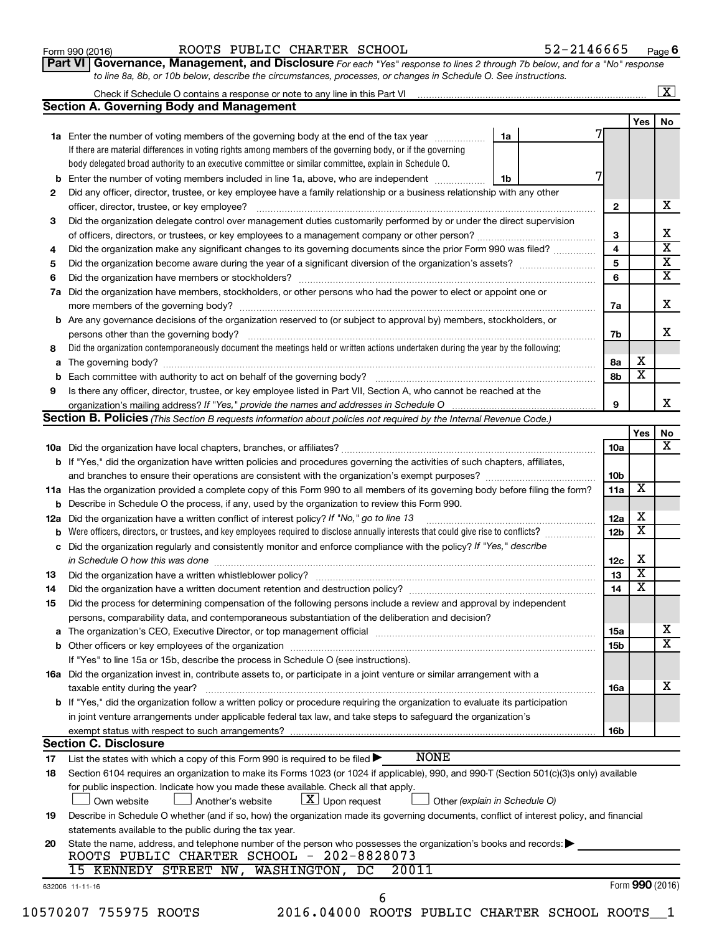Form 990 (2016) Page ROOTS PUBLIC CHARTER SCHOOL 52-2146665

**Part VI** Governance, Management, and Disclosure For each "Yes" response to lines 2 through 7b below, and for a "No" response *to line 8a, 8b, or 10b below, describe the circumstances, processes, or changes in Schedule O. See instructions.*

|     | Check if Schedule O contains a response or note to any line in this Part VI [11] [11] [11] [11] [11] [11] Check if Schedule O contains a response or note to any line in this Part VI             |                               |                        |                            | $\overline{\mathbf{X}}$ |  |
|-----|---------------------------------------------------------------------------------------------------------------------------------------------------------------------------------------------------|-------------------------------|------------------------|----------------------------|-------------------------|--|
|     | <b>Section A. Governing Body and Management</b>                                                                                                                                                   |                               |                        |                            | No                      |  |
|     |                                                                                                                                                                                                   |                               |                        | Yes                        |                         |  |
|     | 1a Enter the number of voting members of the governing body at the end of the tax year                                                                                                            | 1a                            |                        |                            |                         |  |
|     | If there are material differences in voting rights among members of the governing body, or if the governing                                                                                       |                               |                        |                            |                         |  |
|     | body delegated broad authority to an executive committee or similar committee, explain in Schedule O.                                                                                             |                               |                        |                            |                         |  |
| b   | Enter the number of voting members included in line 1a, above, who are independent <i>manamer</i>                                                                                                 | 1b                            |                        |                            |                         |  |
| 2   | Did any officer, director, trustee, or key employee have a family relationship or a business relationship with any other                                                                          |                               |                        |                            |                         |  |
|     | officer, director, trustee, or key employee?                                                                                                                                                      |                               | $\mathbf{2}$           |                            |                         |  |
| 3   | Did the organization delegate control over management duties customarily performed by or under the direct supervision                                                                             |                               |                        |                            |                         |  |
|     |                                                                                                                                                                                                   |                               | 3                      |                            |                         |  |
| 4   | Did the organization make any significant changes to its governing documents since the prior Form 990 was filed?                                                                                  |                               | $\overline{4}$         |                            |                         |  |
| 5   |                                                                                                                                                                                                   |                               | 5                      |                            |                         |  |
| 6   |                                                                                                                                                                                                   |                               | 6                      |                            |                         |  |
| 7a  | Did the organization have members, stockholders, or other persons who had the power to elect or appoint one or                                                                                    |                               |                        |                            |                         |  |
|     |                                                                                                                                                                                                   |                               | 7a                     |                            |                         |  |
|     | <b>b</b> Are any governance decisions of the organization reserved to (or subject to approval by) members, stockholders, or                                                                       |                               |                        |                            |                         |  |
|     | persons other than the governing body?                                                                                                                                                            |                               | 7b                     |                            |                         |  |
| 8   | Did the organization contemporaneously document the meetings held or written actions undertaken during the year by the following:                                                                 |                               |                        |                            |                         |  |
|     |                                                                                                                                                                                                   |                               | 8а                     | х                          |                         |  |
|     |                                                                                                                                                                                                   |                               | 8b                     | $\overline{\mathbf{x}}$    |                         |  |
| 9   | Is there any officer, director, trustee, or key employee listed in Part VII, Section A, who cannot be reached at the                                                                              |                               |                        |                            |                         |  |
|     | organization's mailing address? If "Yes," provide the names and addresses in Schedule O manuminum manuminum man                                                                                   |                               | 9                      |                            |                         |  |
|     | Section B. Policies (This Section B requests information about policies not required by the Internal Revenue Code.)                                                                               |                               |                        |                            |                         |  |
|     |                                                                                                                                                                                                   |                               |                        | Yes                        |                         |  |
|     |                                                                                                                                                                                                   |                               | 10a                    |                            |                         |  |
|     | b If "Yes," did the organization have written policies and procedures governing the activities of such chapters, affiliates,                                                                      |                               |                        |                            |                         |  |
|     | and branches to ensure their operations are consistent with the organization's exempt purposes? <i>managereconominion</i>                                                                         |                               | 10 <sub>b</sub>        |                            |                         |  |
|     | 11a Has the organization provided a complete copy of this Form 990 to all members of its governing body before filing the form?                                                                   |                               | 11a                    | $\overline{\mathbf{X}}$    |                         |  |
|     |                                                                                                                                                                                                   |                               |                        |                            |                         |  |
| 12a | <b>b</b> Describe in Schedule O the process, if any, used by the organization to review this Form 990.<br>Did the organization have a written conflict of interest policy? If "No," go to line 13 |                               |                        |                            |                         |  |
| b   | Were officers, directors, or trustees, and key employees required to disclose annually interests that could give rise to conflicts?                                                               |                               | 12a<br>12 <sub>b</sub> | х<br>$\overline{\text{x}}$ |                         |  |
|     | c Did the organization regularly and consistently monitor and enforce compliance with the policy? If "Yes," describe                                                                              |                               |                        |                            |                         |  |
|     |                                                                                                                                                                                                   |                               | 12c                    | х                          |                         |  |
|     | in Schedule O how this was done manufactured and continuum and contact the way to the set of the set of the schedule O how this was done                                                          |                               | 13                     | $\overline{\textbf{x}}$    |                         |  |
| 13  |                                                                                                                                                                                                   |                               |                        | $\overline{\textbf{x}}$    |                         |  |
| 14  | Did the organization have a written document retention and destruction policy? [11] manufaction manufaction in                                                                                    |                               | 14                     |                            |                         |  |
| 15  | Did the process for determining compensation of the following persons include a review and approval by independent                                                                                |                               |                        |                            |                         |  |
|     | persons, comparability data, and contemporaneous substantiation of the deliberation and decision?                                                                                                 |                               |                        |                            |                         |  |
|     |                                                                                                                                                                                                   |                               | 15a                    |                            |                         |  |
|     |                                                                                                                                                                                                   |                               | 15b                    |                            |                         |  |
|     | If "Yes" to line 15a or 15b, describe the process in Schedule O (see instructions).                                                                                                               |                               |                        |                            |                         |  |
|     | 16a Did the organization invest in, contribute assets to, or participate in a joint venture or similar arrangement with a                                                                         |                               |                        |                            |                         |  |
|     | taxable entity during the year?                                                                                                                                                                   |                               | 16a                    |                            |                         |  |
|     | <b>b</b> If "Yes," did the organization follow a written policy or procedure requiring the organization to evaluate its participation                                                             |                               |                        |                            |                         |  |
|     | in joint venture arrangements under applicable federal tax law, and take steps to safeguard the organization's                                                                                    |                               |                        |                            |                         |  |
|     | exempt status with respect to such arrangements?                                                                                                                                                  |                               | 16b                    |                            |                         |  |
|     | <b>Section C. Disclosure</b>                                                                                                                                                                      |                               |                        |                            |                         |  |
| 17  | <b>NONE</b><br>List the states with which a copy of this Form 990 is required to be filed >                                                                                                       |                               |                        |                            |                         |  |
| 18  | Section 6104 requires an organization to make its Forms 1023 (or 1024 if applicable), 990, and 990-T (Section 501(c)(3)s only) available                                                          |                               |                        |                            |                         |  |
|     | for public inspection. Indicate how you made these available. Check all that apply.                                                                                                               |                               |                        |                            |                         |  |
|     | $ \underline{X} $ Upon request<br>Own website<br>Another's website                                                                                                                                | Other (explain in Schedule O) |                        |                            |                         |  |
| 19  | Describe in Schedule O whether (and if so, how) the organization made its governing documents, conflict of interest policy, and financial                                                         |                               |                        |                            |                         |  |
|     | statements available to the public during the tax year.                                                                                                                                           |                               |                        |                            |                         |  |
| 20  | State the name, address, and telephone number of the person who possesses the organization's books and records:                                                                                   |                               |                        |                            |                         |  |
|     | ROOTS PUBLIC CHARTER SCHOOL - 202-8828073                                                                                                                                                         |                               |                        |                            |                         |  |
|     | 15 KENNEDY STREET NW, WASHINGTON, DC<br>20011                                                                                                                                                     |                               |                        |                            |                         |  |
|     | 632006 11-11-16                                                                                                                                                                                   |                               |                        | Form 990 (2016)            |                         |  |
|     | 6                                                                                                                                                                                                 |                               |                        |                            |                         |  |
|     | 10570207 755975 ROOTS<br>2016.04000 ROOTS PUBLIC CHARTER SCHOOL ROOTS 1                                                                                                                           |                               |                        |                            |                         |  |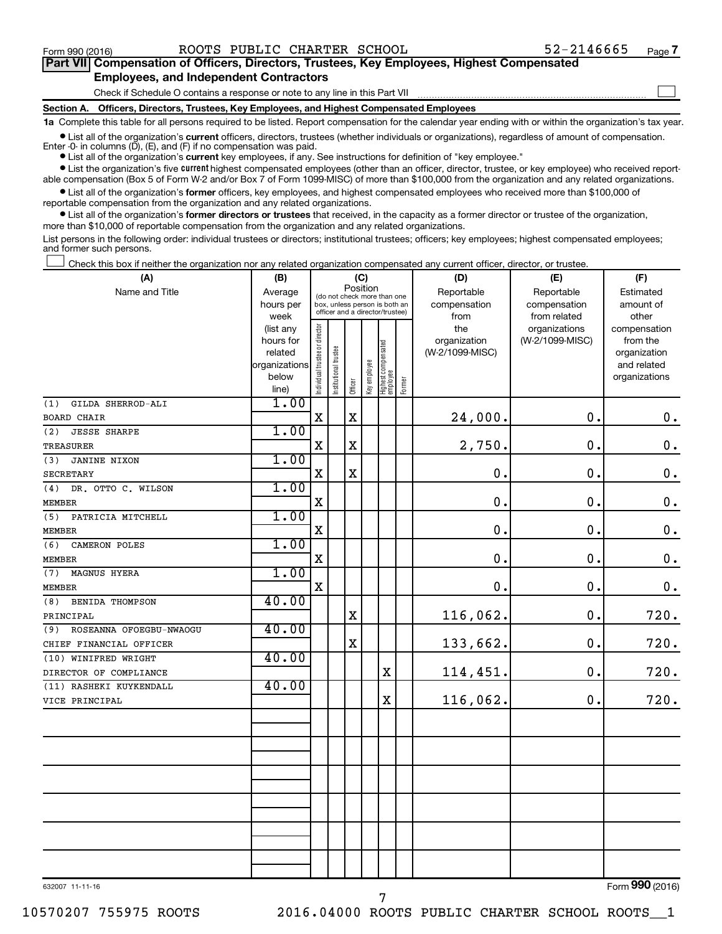$\Box$ 

| Part VII Compensation of Officers, Directors, Trustees, Key Employees, Highest Compensated |  |  |
|--------------------------------------------------------------------------------------------|--|--|
| <b>Employees, and Independent Contractors</b>                                              |  |  |

Check if Schedule O contains a response or note to any line in this Part VII

**Section A. Officers, Directors, Trustees, Key Employees, and Highest Compensated Employees**

**1a**  Complete this table for all persons required to be listed. Report compensation for the calendar year ending with or within the organization's tax year.

**•** List all of the organization's current officers, directors, trustees (whether individuals or organizations), regardless of amount of compensation. Enter -0- in columns  $(D)$ ,  $(E)$ , and  $(F)$  if no compensation was paid.

**•** List all of the organization's **current** key employees, if any. See instructions for definition of "key employee."

**•** List the organization's five current highest compensated employees (other than an officer, director, trustee, or key employee) who received reportable compensation (Box 5 of Form W-2 and/or Box 7 of Form 1099-MISC) of more than \$100,000 from the organization and any related organizations.

**•** List all of the organization's former officers, key employees, and highest compensated employees who received more than \$100,000 of reportable compensation from the organization and any related organizations.

**•** List all of the organization's former directors or trustees that received, in the capacity as a former director or trustee of the organization, more than \$10,000 of reportable compensation from the organization and any related organizations.

List persons in the following order: individual trustees or directors; institutional trustees; officers; key employees; highest compensated employees; and former such persons.

Check this box if neither the organization nor any related organization compensated any current officer, director, or trustee.  $\Box$ 

| (A)                            | (B)                    | (C)                            |                                                                          |             |              |                                   |        | (D)                        | (E)                        | (F)                          |  |  |
|--------------------------------|------------------------|--------------------------------|--------------------------------------------------------------------------|-------------|--------------|-----------------------------------|--------|----------------------------|----------------------------|------------------------------|--|--|
| Name and Title                 | Average<br>hours per   |                                | Position<br>(do not check more than one<br>box, unless person is both an |             |              |                                   |        | Reportable<br>compensation | Reportable<br>compensation | Estimated<br>amount of       |  |  |
|                                | week                   |                                | officer and a director/trustee)                                          |             |              |                                   |        | from                       | from related               | other                        |  |  |
|                                | (list any              |                                |                                                                          |             |              |                                   |        | the                        | organizations              | compensation                 |  |  |
|                                | hours for              |                                |                                                                          |             |              |                                   |        | organization               | (W-2/1099-MISC)            | from the                     |  |  |
|                                | related                |                                | trustee                                                                  |             |              |                                   |        | (W-2/1099-MISC)            |                            | organization                 |  |  |
|                                | organizations<br>below |                                |                                                                          |             |              |                                   |        |                            |                            | and related<br>organizations |  |  |
|                                | line)                  | Individual trustee or director | Institutional t                                                          | Officer     | Key employee | Highest compensated<br>  employee | Former |                            |                            |                              |  |  |
| GILDA SHERROD-ALI<br>(1)       | 1.00                   |                                |                                                                          |             |              |                                   |        |                            |                            |                              |  |  |
| <b>BOARD CHAIR</b>             |                        | $\mathbf X$                    |                                                                          | $\mathbf x$ |              |                                   |        | 24,000.                    | 0.                         | 0.                           |  |  |
| (2)<br><b>JESSE SHARPE</b>     | 1.00                   |                                |                                                                          |             |              |                                   |        |                            |                            |                              |  |  |
| TREASURER                      |                        | X                              |                                                                          | $\mathbf X$ |              |                                   |        | 2,750.                     | $\mathbf 0$ .              | $\boldsymbol{0}$ .           |  |  |
| <b>JANINE NIXON</b><br>(3)     | 1.00                   |                                |                                                                          |             |              |                                   |        |                            |                            |                              |  |  |
| <b>SECRETARY</b>               |                        | X                              |                                                                          | $\mathbf X$ |              |                                   |        | $\mathbf 0$ .              | $\mathbf 0$ .              | $\boldsymbol{0}$ .           |  |  |
| (4)<br>DR. OTTO C. WILSON      | 1.00                   |                                |                                                                          |             |              |                                   |        |                            |                            |                              |  |  |
| <b>MEMBER</b>                  |                        | $\mathbf X$                    |                                                                          |             |              |                                   |        | $\mathbf 0$ .              | $\mathbf 0$ .              | $\mathbf 0$ .                |  |  |
| PATRICIA MITCHELL<br>(5)       | 1.00                   |                                |                                                                          |             |              |                                   |        |                            |                            |                              |  |  |
| <b>MEMBER</b>                  |                        | $\mathbf X$                    |                                                                          |             |              |                                   |        | $\mathbf 0$ .              | $\mathbf 0$ .              | $\mathbf 0$ .                |  |  |
| (6)<br>CAMERON POLES           | 1.00                   |                                |                                                                          |             |              |                                   |        |                            |                            |                              |  |  |
| <b>MEMBER</b>                  |                        | $\mathbf X$                    |                                                                          |             |              |                                   |        | $\mathbf 0$ .              | $\mathbf 0$ .              | $\boldsymbol{0}$ .           |  |  |
| MAGNUS HYERA<br>(7)            | 1.00                   |                                |                                                                          |             |              |                                   |        |                            |                            |                              |  |  |
| <b>MEMBER</b>                  |                        | X                              |                                                                          |             |              |                                   |        | $\mathbf 0$ .              | $\mathbf 0$ .              | 0.                           |  |  |
| <b>BENIDA THOMPSON</b><br>(8)  | 40.00                  |                                |                                                                          |             |              |                                   |        |                            |                            |                              |  |  |
| PRINCIPAL                      |                        |                                |                                                                          | $\mathbf X$ |              |                                   |        | 116,062.                   | $\mathbf 0$ .              | 720.                         |  |  |
| ROSEANNA OFOEGBU-NWAOGU<br>(9) | 40.00                  |                                |                                                                          |             |              |                                   |        |                            |                            |                              |  |  |
| CHIEF FINANCIAL OFFICER        |                        |                                |                                                                          | $\mathbf X$ |              |                                   |        | 133,662.                   | 0.                         | 720.                         |  |  |
| (10) WINIFRED WRIGHT           | 40.00                  |                                |                                                                          |             |              |                                   |        |                            |                            |                              |  |  |
| DIRECTOR OF COMPLIANCE         |                        |                                |                                                                          |             |              | $\mathbf x$                       |        | 114,451.                   | 0.                         | 720.                         |  |  |
| (11) RASHEKI KUYKENDALL        | 40.00                  |                                |                                                                          |             |              |                                   |        |                            |                            |                              |  |  |
| VICE PRINCIPAL                 |                        |                                |                                                                          |             |              | $\mathbf X$                       |        | 116,062.                   | 0.                         | 720.                         |  |  |
|                                |                        |                                |                                                                          |             |              |                                   |        |                            |                            |                              |  |  |
|                                |                        |                                |                                                                          |             |              |                                   |        |                            |                            |                              |  |  |
|                                |                        |                                |                                                                          |             |              |                                   |        |                            |                            |                              |  |  |
|                                |                        |                                |                                                                          |             |              |                                   |        |                            |                            |                              |  |  |
|                                |                        |                                |                                                                          |             |              |                                   |        |                            |                            |                              |  |  |
|                                |                        |                                |                                                                          |             |              |                                   |        |                            |                            |                              |  |  |
|                                |                        |                                |                                                                          |             |              |                                   |        |                            |                            |                              |  |  |
|                                |                        |                                |                                                                          |             |              |                                   |        |                            |                            |                              |  |  |
|                                |                        |                                |                                                                          |             |              |                                   |        |                            |                            |                              |  |  |
|                                |                        |                                |                                                                          |             |              |                                   |        |                            |                            |                              |  |  |
|                                |                        |                                |                                                                          |             |              |                                   |        |                            |                            |                              |  |  |
|                                |                        |                                |                                                                          |             |              |                                   |        |                            |                            |                              |  |  |

7

632007 11-11-16

Form (2016) **990**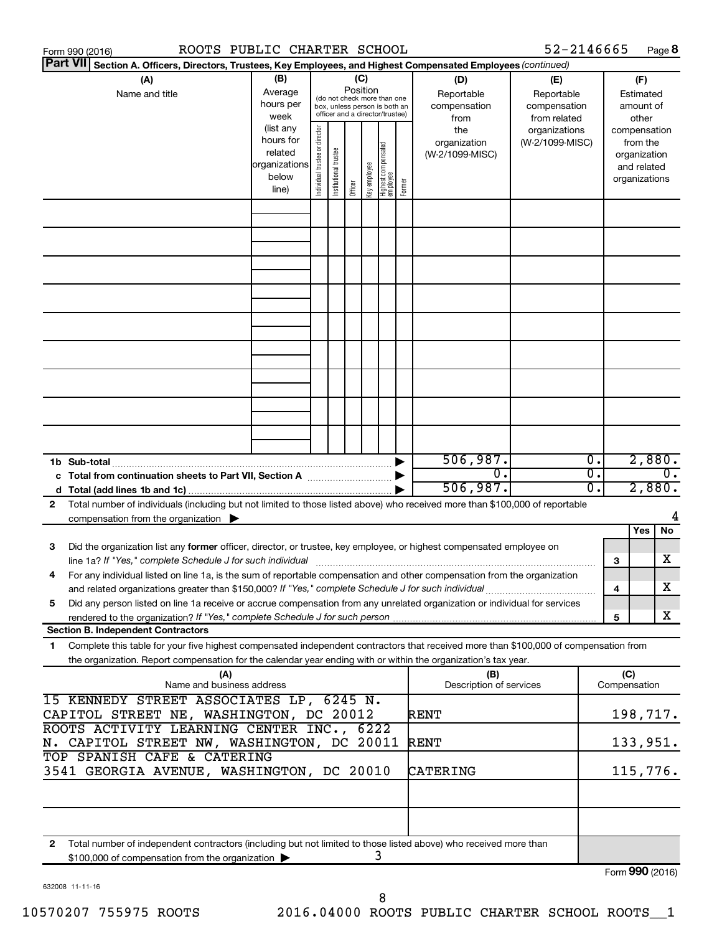| Form 990 (2016)                                                                                                                                                                                                                                             | ROOTS PUBLIC CHARTER SCHOOL                                                                                                                                |                                                                                                                    |  |  |                                   |        |                                        |                                           | 52-2146665                                        |          |                                                                          |                                        | Page 8 |
|-------------------------------------------------------------------------------------------------------------------------------------------------------------------------------------------------------------------------------------------------------------|------------------------------------------------------------------------------------------------------------------------------------------------------------|--------------------------------------------------------------------------------------------------------------------|--|--|-----------------------------------|--------|----------------------------------------|-------------------------------------------|---------------------------------------------------|----------|--------------------------------------------------------------------------|----------------------------------------|--------|
| <b>Part VII</b><br>Section A. Officers, Directors, Trustees, Key Employees, and Highest Compensated Employees (continued)                                                                                                                                   |                                                                                                                                                            |                                                                                                                    |  |  |                                   |        |                                        |                                           |                                                   |          |                                                                          |                                        |        |
| (A)<br>Name and title                                                                                                                                                                                                                                       | (B)<br>Average<br>hours per<br>week                                                                                                                        | (C)<br>Position<br>(do not check more than one<br>box, unless person is both an<br>officer and a director/trustee) |  |  |                                   |        |                                        | (D)<br>Reportable<br>compensation<br>from | (E)<br>Reportable<br>compensation<br>from related |          |                                                                          | (F)<br>Estimated<br>amount of<br>other |        |
|                                                                                                                                                                                                                                                             | (list any<br>Individual trustee or director<br>hours for<br>Institutional trustee<br>related<br>organizations<br>Key employee<br>below<br>Officer<br>line) |                                                                                                                    |  |  | Highest compensated<br>  employee | Former | the<br>organization<br>(W-2/1099-MISC) | organizations<br>(W-2/1099-MISC)          |                                                   |          | compensation<br>from the<br>organization<br>and related<br>organizations |                                        |        |
|                                                                                                                                                                                                                                                             |                                                                                                                                                            |                                                                                                                    |  |  |                                   |        |                                        |                                           |                                                   |          |                                                                          |                                        |        |
|                                                                                                                                                                                                                                                             |                                                                                                                                                            |                                                                                                                    |  |  |                                   |        |                                        |                                           |                                                   |          |                                                                          |                                        |        |
|                                                                                                                                                                                                                                                             |                                                                                                                                                            |                                                                                                                    |  |  |                                   |        |                                        |                                           |                                                   |          |                                                                          |                                        |        |
|                                                                                                                                                                                                                                                             |                                                                                                                                                            |                                                                                                                    |  |  |                                   |        |                                        |                                           |                                                   |          |                                                                          |                                        |        |
|                                                                                                                                                                                                                                                             |                                                                                                                                                            |                                                                                                                    |  |  |                                   |        |                                        |                                           |                                                   |          |                                                                          |                                        |        |
|                                                                                                                                                                                                                                                             |                                                                                                                                                            |                                                                                                                    |  |  |                                   |        |                                        |                                           |                                                   |          |                                                                          |                                        |        |
|                                                                                                                                                                                                                                                             |                                                                                                                                                            |                                                                                                                    |  |  |                                   |        |                                        |                                           |                                                   |          |                                                                          |                                        |        |
|                                                                                                                                                                                                                                                             |                                                                                                                                                            |                                                                                                                    |  |  |                                   |        |                                        |                                           |                                                   |          |                                                                          |                                        |        |
|                                                                                                                                                                                                                                                             |                                                                                                                                                            |                                                                                                                    |  |  |                                   |        |                                        |                                           |                                                   |          |                                                                          |                                        |        |
| 1b Sub-total                                                                                                                                                                                                                                                |                                                                                                                                                            |                                                                                                                    |  |  |                                   |        |                                        | 506,987.<br>$\overline{0}$ .              |                                                   | 0.<br>σ. | 2,880.<br>$\overline{0}$ .                                               |                                        |        |
| c Total from continuation sheets to Part VII, Section A manufactured by                                                                                                                                                                                     |                                                                                                                                                            |                                                                                                                    |  |  |                                   |        |                                        | 506,987.                                  |                                                   | 0.       |                                                                          | 2,880.                                 |        |
| Total number of individuals (including but not limited to those listed above) who received more than \$100,000 of reportable<br>2<br>compensation from the organization $\blacktriangleright$                                                               |                                                                                                                                                            |                                                                                                                    |  |  |                                   |        |                                        |                                           |                                                   |          |                                                                          |                                        | 4      |
|                                                                                                                                                                                                                                                             |                                                                                                                                                            |                                                                                                                    |  |  |                                   |        |                                        |                                           |                                                   |          |                                                                          | Yes                                    | No     |
| Did the organization list any former officer, director, or trustee, key employee, or highest compensated employee on<br>3                                                                                                                                   |                                                                                                                                                            |                                                                                                                    |  |  |                                   |        |                                        |                                           |                                                   |          | 3                                                                        |                                        | х      |
| For any individual listed on line 1a, is the sum of reportable compensation and other compensation from the organization<br>and related organizations greater than \$150,000? If "Yes," complete Schedule J for such individual                             |                                                                                                                                                            |                                                                                                                    |  |  |                                   |        |                                        |                                           |                                                   |          | 4                                                                        |                                        | х      |
| Did any person listed on line 1a receive or accrue compensation from any unrelated organization or individual for services<br>5                                                                                                                             |                                                                                                                                                            |                                                                                                                    |  |  |                                   |        |                                        |                                           |                                                   |          | 5                                                                        |                                        | x      |
| <b>Section B. Independent Contractors</b>                                                                                                                                                                                                                   |                                                                                                                                                            |                                                                                                                    |  |  |                                   |        |                                        |                                           |                                                   |          |                                                                          |                                        |        |
| Complete this table for your five highest compensated independent contractors that received more than \$100,000 of compensation from<br>1<br>the organization. Report compensation for the calendar year ending with or within the organization's tax year. |                                                                                                                                                            |                                                                                                                    |  |  |                                   |        |                                        |                                           |                                                   |          |                                                                          |                                        |        |
| (A)<br>Name and business address                                                                                                                                                                                                                            |                                                                                                                                                            |                                                                                                                    |  |  |                                   |        |                                        | (B)<br>Description of services            |                                                   |          |                                                                          | (C)<br>Compensation                    |        |
| 15 KENNEDY STREET ASSOCIATES LP, 6245 N.<br>CAPITOL STREET NE, WASHINGTON, DC 20012                                                                                                                                                                         |                                                                                                                                                            |                                                                                                                    |  |  |                                   |        |                                        | RENT                                      |                                                   |          |                                                                          | 198,717.                               |        |
| ROOTS ACTIVITY LEARNING CENTER INC., 6222<br>N. CAPITOL STREET NW, WASHINGTON, DC 20011                                                                                                                                                                     |                                                                                                                                                            |                                                                                                                    |  |  |                                   |        |                                        | <b>RENT</b>                               |                                                   |          |                                                                          | 133,951.                               |        |
| TOP SPANISH CAFE & CATERING<br>3541 GEORGIA AVENUE, WASHINGTON, DC 20010                                                                                                                                                                                    |                                                                                                                                                            |                                                                                                                    |  |  |                                   |        |                                        | CATERING                                  |                                                   |          |                                                                          | 115,776.                               |        |
|                                                                                                                                                                                                                                                             |                                                                                                                                                            |                                                                                                                    |  |  |                                   |        |                                        |                                           |                                                   |          |                                                                          |                                        |        |
|                                                                                                                                                                                                                                                             |                                                                                                                                                            |                                                                                                                    |  |  |                                   |        |                                        |                                           |                                                   |          |                                                                          |                                        |        |
| Total number of independent contractors (including but not limited to those listed above) who received more than<br>2<br>\$100,000 of compensation from the organization                                                                                    |                                                                                                                                                            |                                                                                                                    |  |  |                                   | 3      |                                        |                                           |                                                   |          |                                                                          |                                        |        |
|                                                                                                                                                                                                                                                             |                                                                                                                                                            |                                                                                                                    |  |  |                                   |        |                                        |                                           |                                                   |          |                                                                          |                                        |        |

632008 11-11-16

Form (2016) **990**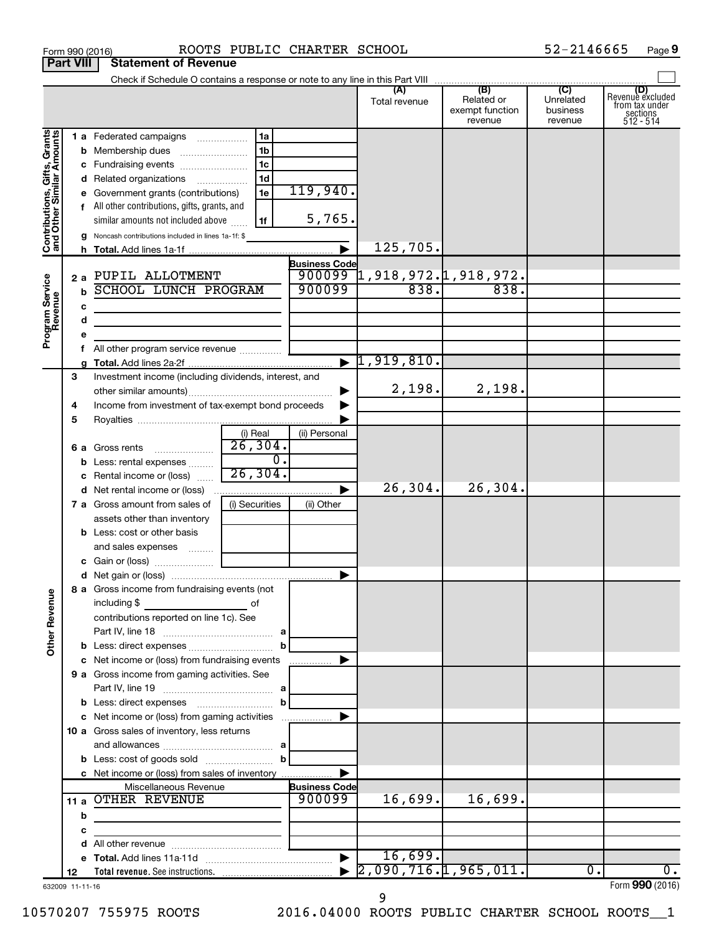|                                                           | <b>Part VIII</b>      | <b>Statement of Revenue</b>                                                                                           |                        |                       |                                    |                                                 |                                                    |                                                                    |
|-----------------------------------------------------------|-----------------------|-----------------------------------------------------------------------------------------------------------------------|------------------------|-----------------------|------------------------------------|-------------------------------------------------|----------------------------------------------------|--------------------------------------------------------------------|
|                                                           |                       |                                                                                                                       |                        |                       |                                    |                                                 |                                                    |                                                                    |
|                                                           |                       |                                                                                                                       |                        |                       | (A)<br>Total revenue               | (B)<br>Related or<br>exempt function<br>revenue | $\overline{C}$<br>Unrelated<br>business<br>revenue | (D)<br>Revenue excluded<br>from tax under<br>sections<br>512 - 514 |
| Contributions, Gifts, Grants<br>and Other Similar Amounts |                       | 1 a Federated campaigns                                                                                               | 1a                     |                       |                                    |                                                 |                                                    |                                                                    |
|                                                           |                       | <b>b</b> Membership dues                                                                                              | 1 <sub>b</sub>         |                       |                                    |                                                 |                                                    |                                                                    |
|                                                           |                       | c Fundraising events                                                                                                  | 1c                     |                       |                                    |                                                 |                                                    |                                                                    |
|                                                           |                       | d Related organizations                                                                                               | 1 <sub>d</sub>         |                       |                                    |                                                 |                                                    |                                                                    |
|                                                           |                       | e Government grants (contributions)                                                                                   | 1e                     | 119,940.              |                                    |                                                 |                                                    |                                                                    |
|                                                           |                       | f All other contributions, gifts, grants, and                                                                         |                        |                       |                                    |                                                 |                                                    |                                                                    |
|                                                           |                       | similar amounts not included above                                                                                    | 1f                     | 5,765.                |                                    |                                                 |                                                    |                                                                    |
|                                                           |                       | Noncash contributions included in lines 1a-1f: \$                                                                     |                        |                       | 125,705.                           |                                                 |                                                    |                                                                    |
|                                                           |                       |                                                                                                                       |                        | $\blacktriangleright$ |                                    |                                                 |                                                    |                                                                    |
|                                                           |                       | 2 a PUPIL ALLOTMENT                                                                                                   |                        | <b>Business Code</b>  | $900099$ 1, 918, 972. 1, 918, 972. |                                                 |                                                    |                                                                    |
|                                                           | $\mathbf b$           | <b>SCHOOL LUNCH PROGRAM</b>                                                                                           |                        | 900099                | 838.                               | 838.                                            |                                                    |                                                                    |
| Program Service<br>Revenue                                |                       |                                                                                                                       |                        |                       |                                    |                                                 |                                                    |                                                                    |
|                                                           | c<br>d                | the control of the control of the control of the control of the control of                                            |                        |                       |                                    |                                                 |                                                    |                                                                    |
|                                                           | е                     | <u> 1989 - Johann Harry Barn, mars and de Branch and de Branch and de Branch and de Branch and de Branch and de B</u> |                        |                       |                                    |                                                 |                                                    |                                                                    |
|                                                           | Ť.                    | All other program service revenue                                                                                     |                        |                       |                                    |                                                 |                                                    |                                                                    |
|                                                           |                       |                                                                                                                       |                        |                       | $\blacktriangleright$ 1,919,810.   |                                                 |                                                    |                                                                    |
|                                                           | 3                     | Investment income (including dividends, interest, and                                                                 |                        |                       |                                    |                                                 |                                                    |                                                                    |
|                                                           |                       |                                                                                                                       |                        | ▶                     | 2,198.                             | 2,198.                                          |                                                    |                                                                    |
|                                                           | 4                     | Income from investment of tax-exempt bond proceeds                                                                    |                        |                       |                                    |                                                 |                                                    |                                                                    |
|                                                           | 5                     |                                                                                                                       |                        |                       |                                    |                                                 |                                                    |                                                                    |
|                                                           |                       |                                                                                                                       | (i) Real               | (ii) Personal         |                                    |                                                 |                                                    |                                                                    |
|                                                           |                       | <b>6 a</b> Gross rents                                                                                                | $\overline{26}$ , 304. |                       |                                    |                                                 |                                                    |                                                                    |
|                                                           | b                     | Less: rental expenses                                                                                                 | $\overline{0}$ .       |                       |                                    |                                                 |                                                    |                                                                    |
|                                                           |                       | Rental income or (loss)                                                                                               | 26, 304.               |                       |                                    |                                                 |                                                    |                                                                    |
|                                                           |                       |                                                                                                                       |                        | ▶                     | 26, 304.                           | 26,304.                                         |                                                    |                                                                    |
|                                                           |                       | 7 a Gross amount from sales of                                                                                        | (i) Securities         | (ii) Other            |                                    |                                                 |                                                    |                                                                    |
|                                                           |                       | assets other than inventory                                                                                           |                        |                       |                                    |                                                 |                                                    |                                                                    |
|                                                           |                       | <b>b</b> Less: cost or other basis                                                                                    |                        |                       |                                    |                                                 |                                                    |                                                                    |
|                                                           |                       | and sales expenses                                                                                                    |                        |                       |                                    |                                                 |                                                    |                                                                    |
|                                                           |                       |                                                                                                                       |                        | ▶                     |                                    |                                                 |                                                    |                                                                    |
|                                                           |                       | 8 a Gross income from fundraising events (not                                                                         |                        |                       |                                    |                                                 |                                                    |                                                                    |
| <b>Other Revenue</b>                                      |                       | including \$                                                                                                          | of                     |                       |                                    |                                                 |                                                    |                                                                    |
|                                                           |                       | contributions reported on line 1c). See                                                                               |                        |                       |                                    |                                                 |                                                    |                                                                    |
|                                                           |                       |                                                                                                                       |                        |                       |                                    |                                                 |                                                    |                                                                    |
|                                                           |                       | c Net income or (loss) from fundraising events                                                                        | $\mathbf b$            | ▶                     |                                    |                                                 |                                                    |                                                                    |
|                                                           |                       | 9 a Gross income from gaming activities. See                                                                          |                        |                       |                                    |                                                 |                                                    |                                                                    |
|                                                           |                       |                                                                                                                       |                        |                       |                                    |                                                 |                                                    |                                                                    |
|                                                           |                       |                                                                                                                       | $\mathbf{b}$           |                       |                                    |                                                 |                                                    |                                                                    |
|                                                           |                       | c Net income or (loss) from gaming activities                                                                         |                        | ▶                     |                                    |                                                 |                                                    |                                                                    |
|                                                           |                       | 10 a Gross sales of inventory, less returns                                                                           |                        |                       |                                    |                                                 |                                                    |                                                                    |
|                                                           |                       |                                                                                                                       |                        |                       |                                    |                                                 |                                                    |                                                                    |
|                                                           |                       |                                                                                                                       |                        |                       |                                    |                                                 |                                                    |                                                                    |
|                                                           |                       | c Net income or (loss) from sales of inventory                                                                        |                        | ▶                     |                                    |                                                 |                                                    |                                                                    |
|                                                           |                       | Miscellaneous Revenue                                                                                                 |                        | <b>Business Code</b>  |                                    |                                                 |                                                    |                                                                    |
|                                                           |                       | 11 a OTHER REVENUE                                                                                                    |                        | 900099                | 16,699.                            | 16,699.                                         |                                                    |                                                                    |
|                                                           | b                     |                                                                                                                       |                        |                       |                                    |                                                 |                                                    |                                                                    |
|                                                           | с                     |                                                                                                                       |                        |                       |                                    |                                                 |                                                    |                                                                    |
|                                                           | d                     |                                                                                                                       |                        |                       | 16,699.                            |                                                 |                                                    |                                                                    |
|                                                           |                       |                                                                                                                       |                        | $\blacktriangleright$ | 2,090,716.1,965,011.               |                                                 | $\mathbf{0}$ .                                     | $\overline{0}$ .                                                   |
|                                                           | 12<br>632009 11-11-16 |                                                                                                                       |                        |                       |                                    |                                                 |                                                    | Form 990 (2016)                                                    |

Form 990 (2016) Page ROOTS PUBLIC CHARTER SCHOOL 52-2146665

**9**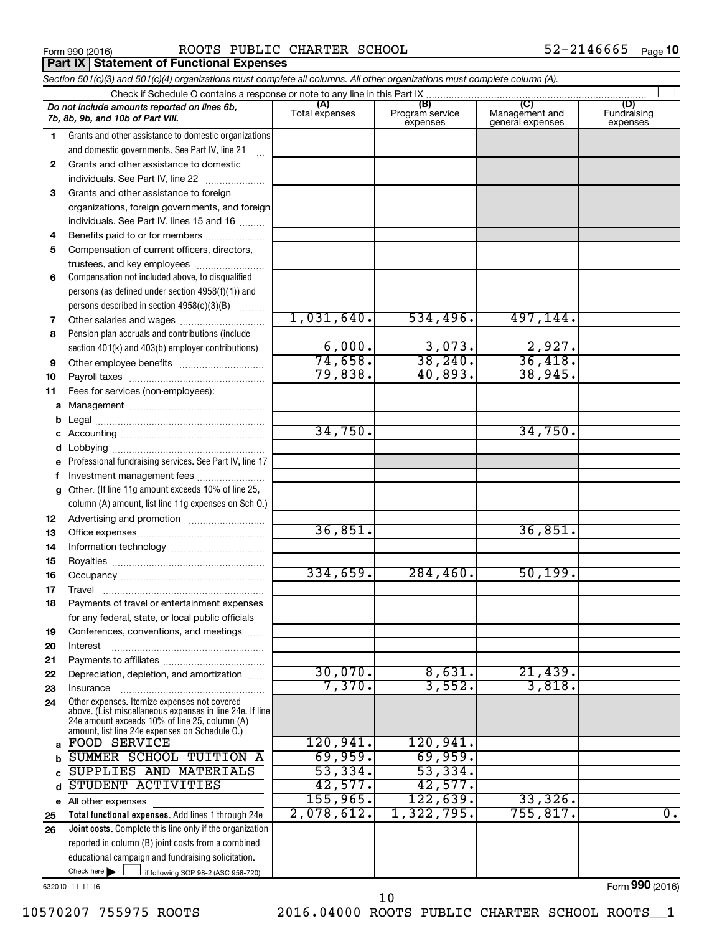**Part IX | Statement of Functional Expenses** 

Form 990 (2016) Page ROOTS PUBLIC CHARTER SCHOOL 52-2146665

|    | Section 501(c)(3) and 501(c)(4) organizations must complete all columns. All other organizations must complete column (A).                                                                                  |                   |                             |                                    |                         |
|----|-------------------------------------------------------------------------------------------------------------------------------------------------------------------------------------------------------------|-------------------|-----------------------------|------------------------------------|-------------------------|
|    | Check if Schedule O contains a response or note to any line in this Part IX                                                                                                                                 | (A)               | (B)                         | (C)                                | (D)                     |
|    | Do not include amounts reported on lines 6b,<br>7b, 8b, 9b, and 10b of Part VIII.                                                                                                                           | Total expenses    | Program service<br>expenses | Management and<br>general expenses | Fundraising<br>expenses |
| 1. | Grants and other assistance to domestic organizations                                                                                                                                                       |                   |                             |                                    |                         |
|    | and domestic governments. See Part IV, line 21                                                                                                                                                              |                   |                             |                                    |                         |
| 2  | Grants and other assistance to domestic                                                                                                                                                                     |                   |                             |                                    |                         |
|    | individuals. See Part IV, line 22<br>$\overline{\phantom{a}}$                                                                                                                                               |                   |                             |                                    |                         |
| 3  | Grants and other assistance to foreign                                                                                                                                                                      |                   |                             |                                    |                         |
|    | organizations, foreign governments, and foreign                                                                                                                                                             |                   |                             |                                    |                         |
|    | individuals. See Part IV, lines 15 and 16                                                                                                                                                                   |                   |                             |                                    |                         |
| 4  | Benefits paid to or for members                                                                                                                                                                             |                   |                             |                                    |                         |
| 5  | Compensation of current officers, directors,                                                                                                                                                                |                   |                             |                                    |                         |
|    | trustees, and key employees                                                                                                                                                                                 |                   |                             |                                    |                         |
| 6  | Compensation not included above, to disqualified                                                                                                                                                            |                   |                             |                                    |                         |
|    | persons (as defined under section 4958(f)(1)) and                                                                                                                                                           |                   |                             |                                    |                         |
|    | persons described in section 4958(c)(3)(B)                                                                                                                                                                  | 1,031,640.        | 534,496.                    | 497,144.                           |                         |
| 7  | Other salaries and wages                                                                                                                                                                                    |                   |                             |                                    |                         |
| 8  | Pension plan accruals and contributions (include                                                                                                                                                            | 6,000.            | 3,073.                      | 2,927.                             |                         |
| 9  | section 401(k) and 403(b) employer contributions)                                                                                                                                                           | 74,658.           | 38, 240.                    | 36,418.                            |                         |
| 10 |                                                                                                                                                                                                             | 79,838.           | 40,893.                     | 38,945.                            |                         |
| 11 | Fees for services (non-employees):                                                                                                                                                                          |                   |                             |                                    |                         |
| a  |                                                                                                                                                                                                             |                   |                             |                                    |                         |
| b  |                                                                                                                                                                                                             |                   |                             |                                    |                         |
| c  |                                                                                                                                                                                                             | 34,750.           |                             | 34,750.                            |                         |
| d  |                                                                                                                                                                                                             |                   |                             |                                    |                         |
|    | Professional fundraising services. See Part IV, line 17                                                                                                                                                     |                   |                             |                                    |                         |
| f  | Investment management fees                                                                                                                                                                                  |                   |                             |                                    |                         |
| g  | Other. (If line 11g amount exceeds 10% of line 25,                                                                                                                                                          |                   |                             |                                    |                         |
|    | column (A) amount, list line 11g expenses on Sch O.)                                                                                                                                                        |                   |                             |                                    |                         |
| 12 |                                                                                                                                                                                                             |                   |                             |                                    |                         |
| 13 |                                                                                                                                                                                                             | 36,851.           |                             | 36,851.                            |                         |
| 14 |                                                                                                                                                                                                             |                   |                             |                                    |                         |
| 15 |                                                                                                                                                                                                             |                   |                             |                                    |                         |
| 16 |                                                                                                                                                                                                             | 334,659.          | 284,460.                    | 50, 199.                           |                         |
| 17 |                                                                                                                                                                                                             |                   |                             |                                    |                         |
| 18 | Payments of travel or entertainment expenses                                                                                                                                                                |                   |                             |                                    |                         |
|    | for any federal, state, or local public officials                                                                                                                                                           |                   |                             |                                    |                         |
| 19 | Conferences, conventions, and meetings                                                                                                                                                                      |                   |                             |                                    |                         |
| 20 | Interest                                                                                                                                                                                                    |                   |                             |                                    |                         |
| 21 |                                                                                                                                                                                                             |                   |                             |                                    |                         |
| 22 | Depreciation, depletion, and amortization                                                                                                                                                                   | 30,070.<br>7,370. | 8,631.<br>3,552.            | 21,439.<br>3,818.                  |                         |
| 23 | Insurance                                                                                                                                                                                                   |                   |                             |                                    |                         |
| 24 | Other expenses. Itemize expenses not covered<br>above. (List miscellaneous expenses in line 24e. If line<br>24e amount exceeds 10% of line 25, column (A)<br>amount, list line 24e expenses on Schedule O.) |                   |                             |                                    |                         |
| a  | <b>FOOD SERVICE</b>                                                                                                                                                                                         | 120,941.          | 120,941.                    |                                    |                         |
|    | SUMMER SCHOOL TUITION A                                                                                                                                                                                     | 69,959.           | 69,959.                     |                                    |                         |
|    | SUPPLIES AND MATERIALS                                                                                                                                                                                      | 53,334.           | 53,334.                     |                                    |                         |
| d  | STUDENT ACTIVITIES                                                                                                                                                                                          | 42,577.           | 42,577.                     |                                    |                         |
| е  | All other expenses                                                                                                                                                                                          | 155,965.          | 122,639.                    | 33,326.                            |                         |
| 25 | Total functional expenses. Add lines 1 through 24e                                                                                                                                                          | 2,078,612.        | 1,322,795.                  | 755, 817.                          | 0.                      |
| 26 | Joint costs. Complete this line only if the organization                                                                                                                                                    |                   |                             |                                    |                         |
|    | reported in column (B) joint costs from a combined                                                                                                                                                          |                   |                             |                                    |                         |
|    | educational campaign and fundraising solicitation.                                                                                                                                                          |                   |                             |                                    |                         |
|    | Check here<br>if following SOP 98-2 (ASC 958-720)                                                                                                                                                           |                   |                             |                                    |                         |

632010 11-11-16

10570207 755975 ROOTS 2016.04000 ROOTS PUBLIC CHARTER SCHOOL ROOTS\_\_1 10

Form (2016) **990**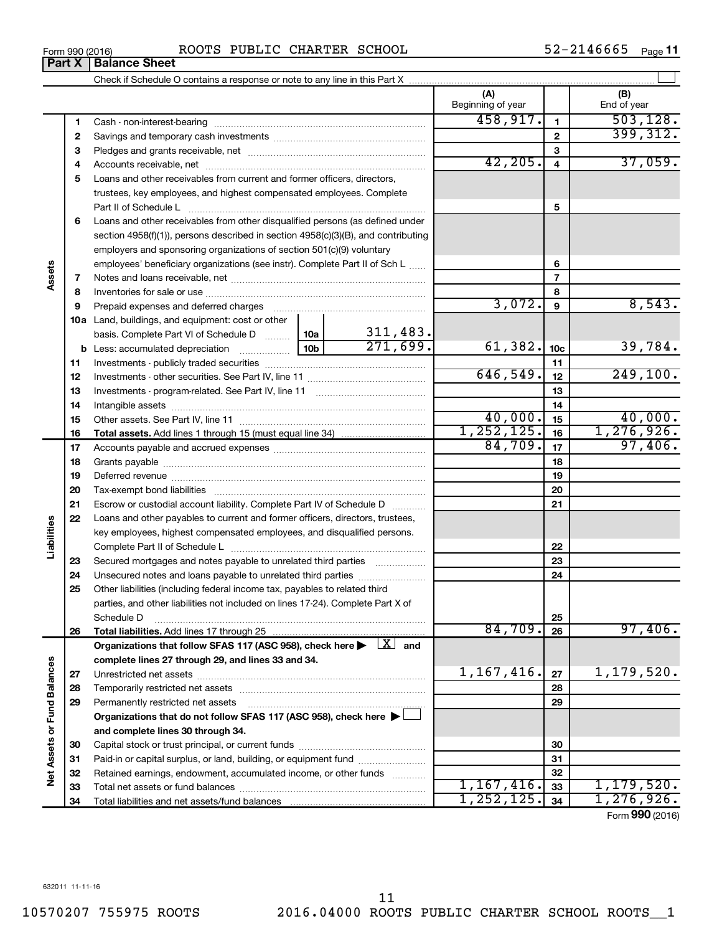Form 990 (2016) Page ROOTS PUBLIC CHARTER SCHOOL 52-2146665

52-2146665 Page 11

|                             |    |                                                                                                                                                                                                                                |          |            | (A)<br>Beginning of year |                 | (B)<br>End of year    |
|-----------------------------|----|--------------------------------------------------------------------------------------------------------------------------------------------------------------------------------------------------------------------------------|----------|------------|--------------------------|-----------------|-----------------------|
|                             | 1. |                                                                                                                                                                                                                                |          |            | 458,917.                 | 1               | 503, 128.             |
|                             | 2  |                                                                                                                                                                                                                                |          |            |                          | $\mathbf{2}$    | 399, 312.             |
|                             | з  |                                                                                                                                                                                                                                |          |            |                          | З               |                       |
|                             | 4  |                                                                                                                                                                                                                                |          | 42, 205.   | 4                        | 37,059.         |                       |
|                             | 5  | Loans and other receivables from current and former officers, directors,                                                                                                                                                       |          |            |                          |                 |                       |
|                             |    | trustees, key employees, and highest compensated employees. Complete                                                                                                                                                           |          |            |                          |                 |                       |
|                             |    | Part II of Schedule Latin and Communication of Schedule Latin and Communication of Schedule Latin and Schedule                                                                                                                 |          |            |                          | 5               |                       |
|                             | 6  | Loans and other receivables from other disqualified persons (as defined under                                                                                                                                                  |          |            |                          |                 |                       |
|                             |    | section 4958(f)(1)), persons described in section 4958(c)(3)(B), and contributing                                                                                                                                              |          |            |                          |                 |                       |
|                             |    | employers and sponsoring organizations of section 501(c)(9) voluntary                                                                                                                                                          |          |            |                          |                 |                       |
|                             |    | employees' beneficiary organizations (see instr). Complete Part II of Sch L                                                                                                                                                    |          |            |                          | 6               |                       |
| Assets                      | 7  |                                                                                                                                                                                                                                |          |            |                          | 7               |                       |
|                             | 8  |                                                                                                                                                                                                                                |          |            | 8                        |                 |                       |
|                             | 9  | Prepaid expenses and deferred charges [11] [11] Prepaid expenses and deferred charges [11] [11] American contract experiment and the Prepaid expension of Prepaid experiment and the Prepaid experiment and the Prepaid experi |          |            | 3,072.                   | 9               | 8,543.                |
|                             |    | 10a Land, buildings, and equipment: cost or other                                                                                                                                                                              |          |            |                          |                 |                       |
|                             |    | basis. Complete Part VI of Schedule D    10a                                                                                                                                                                                   |          | 311,483.   |                          |                 |                       |
|                             |    |                                                                                                                                                                                                                                |          | 271,699.   | 61,382.                  | 10 <sub>c</sub> | 39,784.               |
|                             | 11 |                                                                                                                                                                                                                                |          |            | 11                       |                 |                       |
|                             | 12 |                                                                                                                                                                                                                                | 646,549. | 12         | 249,100.                 |                 |                       |
|                             | 13 |                                                                                                                                                                                                                                |          | 13         |                          |                 |                       |
|                             | 14 |                                                                                                                                                                                                                                |          |            |                          | 14              |                       |
|                             | 15 |                                                                                                                                                                                                                                |          |            | 40,000.                  | 15              | 40,000.               |
|                             | 16 |                                                                                                                                                                                                                                |          |            | 1, 252, 125.<br>84,709.  | 16              | 1,276,926.<br>97,406. |
|                             | 17 |                                                                                                                                                                                                                                |          | 17         |                          |                 |                       |
|                             | 18 |                                                                                                                                                                                                                                |          | 18         |                          |                 |                       |
|                             | 19 |                                                                                                                                                                                                                                |          |            |                          | 19              |                       |
|                             | 20 |                                                                                                                                                                                                                                |          |            |                          | 20              |                       |
|                             | 21 | Escrow or custodial account liability. Complete Part IV of Schedule D                                                                                                                                                          |          |            |                          | 21              |                       |
| Liabilities                 | 22 | Loans and other payables to current and former officers, directors, trustees,                                                                                                                                                  |          |            |                          |                 |                       |
|                             |    | key employees, highest compensated employees, and disqualified persons.                                                                                                                                                        |          |            |                          |                 |                       |
|                             | 23 |                                                                                                                                                                                                                                |          |            |                          | 22<br>23        |                       |
|                             | 24 | Secured mortgages and notes payable to unrelated third parties                                                                                                                                                                 |          |            |                          | 24              |                       |
|                             | 25 | Other liabilities (including federal income tax, payables to related third                                                                                                                                                     |          |            |                          |                 |                       |
|                             |    | parties, and other liabilities not included on lines 17-24). Complete Part X of                                                                                                                                                |          |            |                          |                 |                       |
|                             |    | Schedule D                                                                                                                                                                                                                     |          |            |                          | 25              |                       |
|                             | 26 | Total liabilities. Add lines 17 through 25                                                                                                                                                                                     |          |            | 84,709.                  | 26              | 97,406.               |
|                             |    | Organizations that follow SFAS 117 (ASC 958), check here $\blacktriangleright \begin{array}{c} \boxed{X} \end{array}$ and                                                                                                      |          |            |                          |                 |                       |
|                             |    | complete lines 27 through 29, and lines 33 and 34.                                                                                                                                                                             |          |            |                          |                 |                       |
|                             | 27 |                                                                                                                                                                                                                                |          |            | 1,167,416.               | 27              | 1,179,520.            |
|                             | 28 |                                                                                                                                                                                                                                |          |            |                          | 28              |                       |
|                             | 29 | Permanently restricted net assets                                                                                                                                                                                              |          |            |                          | 29              |                       |
|                             |    | Organizations that do not follow SFAS 117 (ASC 958), check here $\blacktriangleright\Box$                                                                                                                                      |          |            |                          |                 |                       |
|                             |    | and complete lines 30 through 34.                                                                                                                                                                                              |          |            |                          |                 |                       |
|                             | 30 |                                                                                                                                                                                                                                |          |            |                          | 30              |                       |
|                             | 31 | Paid-in or capital surplus, or land, building, or equipment fund                                                                                                                                                               |          |            |                          | 31              |                       |
| Net Assets or Fund Balances | 32 | Retained earnings, endowment, accumulated income, or other funds                                                                                                                                                               |          |            |                          | 32              |                       |
|                             | 33 |                                                                                                                                                                                                                                |          |            | 1,167,416.               | 33              | 1,179,520.            |
|                             | 34 |                                                                                                                                                                                                                                |          | 1,252,125. | 34                       | 1,276,926.      |                       |
|                             |    |                                                                                                                                                                                                                                |          |            |                          |                 | Form 990 (2016)       |

**Part X Balance Sheet**

 $\overline{a}$ 

 $\overline{\phantom{0}}$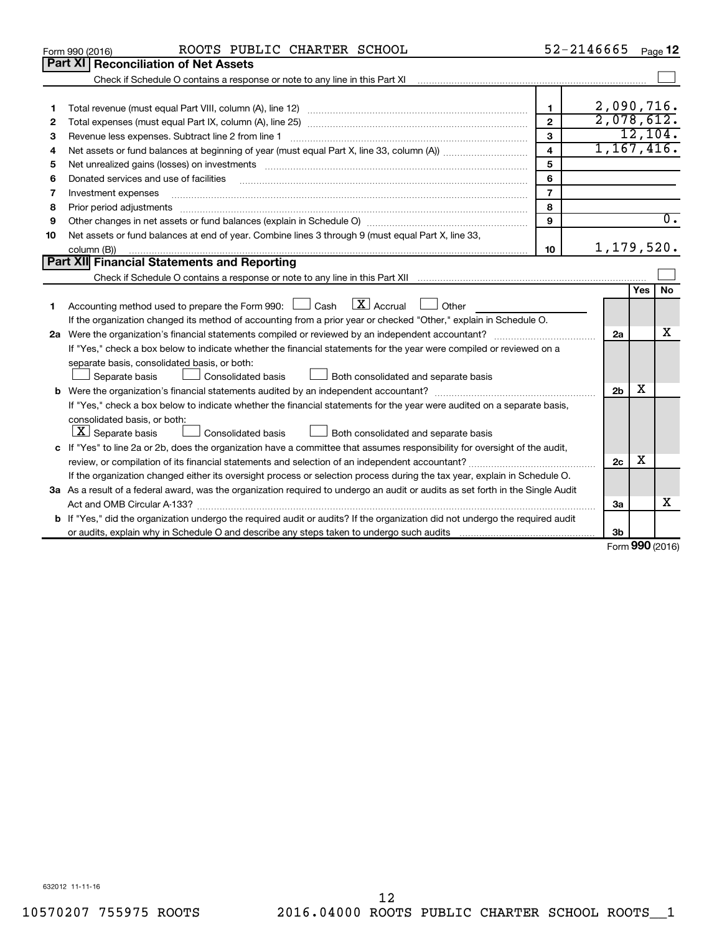|    | ROOTS PUBLIC CHARTER SCHOOL<br>Form 990 (2016)                                                                                                                    |                         | 52-2146665     |                   | Page 12          |
|----|-------------------------------------------------------------------------------------------------------------------------------------------------------------------|-------------------------|----------------|-------------------|------------------|
|    | Part XI<br><b>Reconciliation of Net Assets</b>                                                                                                                    |                         |                |                   |                  |
|    | Check if Schedule O contains a response or note to any line in this Part XI [11] [12] Check if Schedule O contains a response or note to any line in this Part XI |                         |                |                   |                  |
|    |                                                                                                                                                                   |                         |                |                   |                  |
| 1  |                                                                                                                                                                   | 1                       | 2,090,716.     |                   |                  |
| 2  |                                                                                                                                                                   | $\mathbf{2}$            | 2,078,612.     |                   |                  |
| 3  | Revenue less expenses. Subtract line 2 from line 1                                                                                                                | $\overline{3}$          |                |                   | 12, 104.         |
| 4  |                                                                                                                                                                   | $\overline{\mathbf{4}}$ | 1,167,416.     |                   |                  |
| 5  |                                                                                                                                                                   | 5                       |                |                   |                  |
| 6  | Donated services and use of facilities                                                                                                                            | 6                       |                |                   |                  |
| 7  | Investment expenses                                                                                                                                               | $\overline{7}$          |                |                   |                  |
| 8  |                                                                                                                                                                   | 8                       |                |                   |                  |
| 9  |                                                                                                                                                                   | 9                       |                |                   | $\overline{0}$ . |
| 10 | Net assets or fund balances at end of year. Combine lines 3 through 9 (must equal Part X, line 33,                                                                |                         |                |                   |                  |
|    | column (B))                                                                                                                                                       | 10                      | 1,179,520.     |                   |                  |
|    | Part XII Financial Statements and Reporting                                                                                                                       |                         |                |                   |                  |
|    |                                                                                                                                                                   |                         |                |                   |                  |
|    |                                                                                                                                                                   |                         |                | Yes               | <b>No</b>        |
| 1  | $\lfloor \mathbf{X} \rfloor$ Accrual<br>Accounting method used to prepare the Form 990: $\Box$ Cash<br>$\Box$ Other                                               |                         |                |                   |                  |
|    | If the organization changed its method of accounting from a prior year or checked "Other," explain in Schedule O.                                                 |                         |                |                   |                  |
|    |                                                                                                                                                                   |                         | 2a             |                   | x                |
|    | If "Yes," check a box below to indicate whether the financial statements for the year were compiled or reviewed on a                                              |                         |                |                   |                  |
|    | separate basis, consolidated basis, or both:                                                                                                                      |                         |                |                   |                  |
|    | Separate basis<br><b>Consolidated basis</b><br>Both consolidated and separate basis                                                                               |                         |                |                   |                  |
|    |                                                                                                                                                                   |                         | 2 <sub>b</sub> | x                 |                  |
|    | If "Yes," check a box below to indicate whether the financial statements for the year were audited on a separate basis,                                           |                         |                |                   |                  |
|    | consolidated basis, or both:                                                                                                                                      |                         |                |                   |                  |
|    | $ \mathbf{X} $ Separate basis<br><b>Consolidated basis</b><br>Both consolidated and separate basis                                                                |                         |                |                   |                  |
|    | c If "Yes" to line 2a or 2b, does the organization have a committee that assumes responsibility for oversight of the audit,                                       |                         |                |                   |                  |
|    |                                                                                                                                                                   |                         | 2c             | х                 |                  |
|    | If the organization changed either its oversight process or selection process during the tax year, explain in Schedule O.                                         |                         |                |                   |                  |
|    | 3a As a result of a federal award, was the organization required to undergo an audit or audits as set forth in the Single Audit                                   |                         |                |                   |                  |
|    |                                                                                                                                                                   |                         | За             |                   | х                |
|    | <b>b</b> If "Yes," did the organization undergo the required audit or audits? If the organization did not undergo the required audit                              |                         |                |                   |                  |
|    |                                                                                                                                                                   |                         | Зb             | $000 \, \text{m}$ |                  |
|    |                                                                                                                                                                   |                         |                |                   |                  |

Form (2016) **990**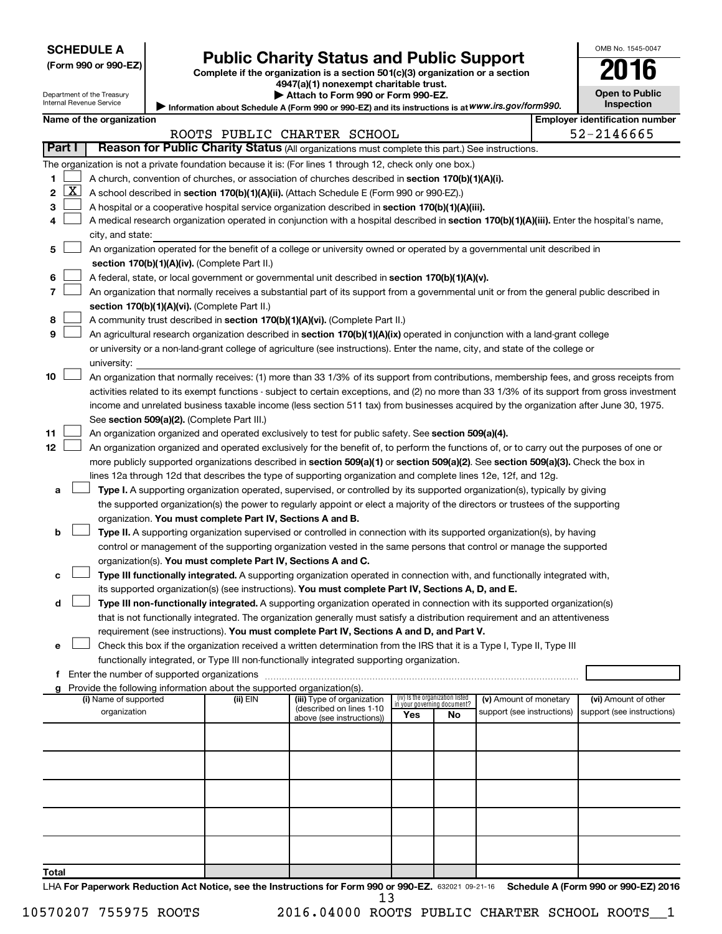# Form 990 or 990-EZ) **Public Charity Status and Public Support**<br>
Complete if the organization is a section 501(c)(3) organization or a section<br> **2016**

**4947(a)(1) nonexempt charitable trust. | Attach to Form 990 or Form 990-EZ.** 

|  | <b>Open to Public</b> |
|--|-----------------------|
|  |                       |
|  | <b>Inspection</b>     |

OMB No. 1545-0047

Department of the Treasury Internal Revenue Service

| Internal Revenue Service | ■ Information about Schedule A (Form 990 or 990-EZ) and its instructions is at WWW.irs.gov/form990. | <b>Inspection</b>                |
|--------------------------|-----------------------------------------------------------------------------------------------------|----------------------------------|
| Name of the organization |                                                                                                     | l Emplover identification number |

|    |                     |                                                                                                                                               |          | ROOTS PUBLIC CHARTER SCHOOL |                             |                                 |                            |  | 52-2146665                 |
|----|---------------------|-----------------------------------------------------------------------------------------------------------------------------------------------|----------|-----------------------------|-----------------------------|---------------------------------|----------------------------|--|----------------------------|
|    | <b>Part I</b>       | Reason for Public Charity Status (All organizations must complete this part.) See instructions.                                               |          |                             |                             |                                 |                            |  |                            |
|    |                     | The organization is not a private foundation because it is: (For lines 1 through 12, check only one box.)                                     |          |                             |                             |                                 |                            |  |                            |
| 1. |                     | A church, convention of churches, or association of churches described in section 170(b)(1)(A)(i).                                            |          |                             |                             |                                 |                            |  |                            |
| 2  | $\lfloor x \rfloor$ | A school described in section 170(b)(1)(A)(ii). (Attach Schedule E (Form 990 or 990-EZ).)                                                     |          |                             |                             |                                 |                            |  |                            |
| 3  |                     | A hospital or a cooperative hospital service organization described in section 170(b)(1)(A)(iii).                                             |          |                             |                             |                                 |                            |  |                            |
| 4  |                     | A medical research organization operated in conjunction with a hospital described in section 170(b)(1)(A)(iii). Enter the hospital's name,    |          |                             |                             |                                 |                            |  |                            |
|    |                     | city, and state:                                                                                                                              |          |                             |                             |                                 |                            |  |                            |
| 5  |                     | An organization operated for the benefit of a college or university owned or operated by a governmental unit described in                     |          |                             |                             |                                 |                            |  |                            |
|    |                     | section 170(b)(1)(A)(iv). (Complete Part II.)                                                                                                 |          |                             |                             |                                 |                            |  |                            |
| 6  |                     | A federal, state, or local government or governmental unit described in section 170(b)(1)(A)(v).                                              |          |                             |                             |                                 |                            |  |                            |
| 7  |                     | An organization that normally receives a substantial part of its support from a governmental unit or from the general public described in     |          |                             |                             |                                 |                            |  |                            |
|    |                     | section 170(b)(1)(A)(vi). (Complete Part II.)                                                                                                 |          |                             |                             |                                 |                            |  |                            |
| 8  |                     | A community trust described in section 170(b)(1)(A)(vi). (Complete Part II.)                                                                  |          |                             |                             |                                 |                            |  |                            |
| 9  |                     | An agricultural research organization described in section 170(b)(1)(A)(ix) operated in conjunction with a land-grant college                 |          |                             |                             |                                 |                            |  |                            |
|    |                     | or university or a non-land-grant college of agriculture (see instructions). Enter the name, city, and state of the college or                |          |                             |                             |                                 |                            |  |                            |
|    |                     | university:                                                                                                                                   |          |                             |                             |                                 |                            |  |                            |
| 10 |                     | An organization that normally receives: (1) more than 33 1/3% of its support from contributions, membership fees, and gross receipts from     |          |                             |                             |                                 |                            |  |                            |
|    |                     | activities related to its exempt functions - subject to certain exceptions, and (2) no more than 33 1/3% of its support from gross investment |          |                             |                             |                                 |                            |  |                            |
|    |                     | income and unrelated business taxable income (less section 511 tax) from businesses acquired by the organization after June 30, 1975.         |          |                             |                             |                                 |                            |  |                            |
|    |                     | See section 509(a)(2). (Complete Part III.)                                                                                                   |          |                             |                             |                                 |                            |  |                            |
| 11 |                     | An organization organized and operated exclusively to test for public safety. See section 509(a)(4).                                          |          |                             |                             |                                 |                            |  |                            |
| 12 |                     | An organization organized and operated exclusively for the benefit of, to perform the functions of, or to carry out the purposes of one or    |          |                             |                             |                                 |                            |  |                            |
|    |                     | more publicly supported organizations described in section 509(a)(1) or section 509(a)(2). See section 509(a)(3). Check the box in            |          |                             |                             |                                 |                            |  |                            |
|    |                     | lines 12a through 12d that describes the type of supporting organization and complete lines 12e, 12f, and 12g.                                |          |                             |                             |                                 |                            |  |                            |
| а  |                     | Type I. A supporting organization operated, supervised, or controlled by its supported organization(s), typically by giving                   |          |                             |                             |                                 |                            |  |                            |
|    |                     | the supported organization(s) the power to regularly appoint or elect a majority of the directors or trustees of the supporting               |          |                             |                             |                                 |                            |  |                            |
|    |                     | organization. You must complete Part IV, Sections A and B.                                                                                    |          |                             |                             |                                 |                            |  |                            |
| b  |                     | Type II. A supporting organization supervised or controlled in connection with its supported organization(s), by having                       |          |                             |                             |                                 |                            |  |                            |
|    |                     | control or management of the supporting organization vested in the same persons that control or manage the supported                          |          |                             |                             |                                 |                            |  |                            |
|    |                     | organization(s). You must complete Part IV, Sections A and C.                                                                                 |          |                             |                             |                                 |                            |  |                            |
| с  |                     | Type III functionally integrated. A supporting organization operated in connection with, and functionally integrated with,                    |          |                             |                             |                                 |                            |  |                            |
|    |                     | its supported organization(s) (see instructions). You must complete Part IV, Sections A, D, and E.                                            |          |                             |                             |                                 |                            |  |                            |
| d  |                     | Type III non-functionally integrated. A supporting organization operated in connection with its supported organization(s)                     |          |                             |                             |                                 |                            |  |                            |
|    |                     | that is not functionally integrated. The organization generally must satisfy a distribution requirement and an attentiveness                  |          |                             |                             |                                 |                            |  |                            |
|    |                     | requirement (see instructions). You must complete Part IV, Sections A and D, and Part V.                                                      |          |                             |                             |                                 |                            |  |                            |
| е  |                     | Check this box if the organization received a written determination from the IRS that it is a Type I, Type II, Type III                       |          |                             |                             |                                 |                            |  |                            |
|    |                     | functionally integrated, or Type III non-functionally integrated supporting organization.                                                     |          |                             |                             |                                 |                            |  |                            |
|    |                     | f Enter the number of supported organizations                                                                                                 |          |                             |                             |                                 |                            |  |                            |
| a  |                     | Provide the following information about the supported organization(s).<br>(i) Name of supported                                               | (ii) EIN | (iii) Type of organization  |                             | (iv) Is the organization listed | (v) Amount of monetary     |  | (vi) Amount of other       |
|    |                     | organization                                                                                                                                  |          | (described on lines 1-10    | in your governing document? |                                 | support (see instructions) |  | support (see instructions) |
|    |                     |                                                                                                                                               |          | above (see instructions))   | Yes                         | No                              |                            |  |                            |
|    |                     |                                                                                                                                               |          |                             |                             |                                 |                            |  |                            |
|    |                     |                                                                                                                                               |          |                             |                             |                                 |                            |  |                            |
|    |                     |                                                                                                                                               |          |                             |                             |                                 |                            |  |                            |
|    |                     |                                                                                                                                               |          |                             |                             |                                 |                            |  |                            |
|    |                     |                                                                                                                                               |          |                             |                             |                                 |                            |  |                            |
|    |                     |                                                                                                                                               |          |                             |                             |                                 |                            |  |                            |
|    |                     |                                                                                                                                               |          |                             |                             |                                 |                            |  |                            |
|    |                     |                                                                                                                                               |          |                             |                             |                                 |                            |  |                            |

LHA For Paperwork Reduction Act Notice, see the Instructions for Form 990 or 990-EZ. 632021 09-21-16 Schedule A (Form 990 or 990-EZ) 2016 13

**Total**

10570207 755975 ROOTS 2016.04000 ROOTS PUBLIC CHARTER SCHOOL ROOTS\_\_1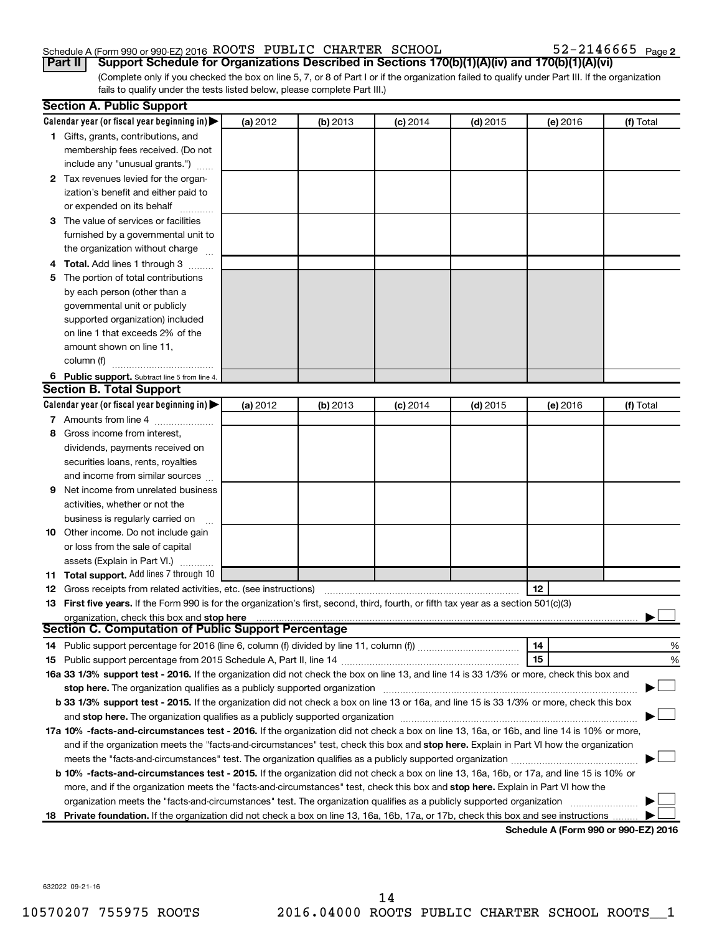### Schedule A (Form 990 or 990-EZ) 2016  $\,$  ROOTS PUBLIC CHARTER SCHOOL  $\,$  52-2146665  $\,$  Page

 $52 - 2146665$  Page 2

(Complete only if you checked the box on line 5, 7, or 8 of Part I or if the organization failed to qualify under Part III. If the organization fails to qualify under the tests listed below, please complete Part III.) **Part II Support Schedule for Organizations Described in Sections 170(b)(1)(A)(iv) and 170(b)(1)(A)(vi)**

|    | <b>Section A. Public Support</b>                                                                                                                                                                                   |          |          |            |            |          |                                      |
|----|--------------------------------------------------------------------------------------------------------------------------------------------------------------------------------------------------------------------|----------|----------|------------|------------|----------|--------------------------------------|
|    | Calendar year (or fiscal year beginning in)                                                                                                                                                                        | (a) 2012 | (b) 2013 | $(c)$ 2014 | $(d)$ 2015 | (e) 2016 | (f) Total                            |
|    | 1 Gifts, grants, contributions, and                                                                                                                                                                                |          |          |            |            |          |                                      |
|    | membership fees received. (Do not                                                                                                                                                                                  |          |          |            |            |          |                                      |
|    | include any "unusual grants.")                                                                                                                                                                                     |          |          |            |            |          |                                      |
|    | 2 Tax revenues levied for the organ-                                                                                                                                                                               |          |          |            |            |          |                                      |
|    | ization's benefit and either paid to                                                                                                                                                                               |          |          |            |            |          |                                      |
|    | or expended on its behalf                                                                                                                                                                                          |          |          |            |            |          |                                      |
|    | 3 The value of services or facilities                                                                                                                                                                              |          |          |            |            |          |                                      |
|    | furnished by a governmental unit to                                                                                                                                                                                |          |          |            |            |          |                                      |
|    | the organization without charge                                                                                                                                                                                    |          |          |            |            |          |                                      |
|    | 4 Total. Add lines 1 through 3                                                                                                                                                                                     |          |          |            |            |          |                                      |
| 5. | The portion of total contributions                                                                                                                                                                                 |          |          |            |            |          |                                      |
|    | by each person (other than a                                                                                                                                                                                       |          |          |            |            |          |                                      |
|    | governmental unit or publicly                                                                                                                                                                                      |          |          |            |            |          |                                      |
|    | supported organization) included                                                                                                                                                                                   |          |          |            |            |          |                                      |
|    | on line 1 that exceeds 2% of the                                                                                                                                                                                   |          |          |            |            |          |                                      |
|    | amount shown on line 11,                                                                                                                                                                                           |          |          |            |            |          |                                      |
|    | column (f)                                                                                                                                                                                                         |          |          |            |            |          |                                      |
|    | 6 Public support. Subtract line 5 from line 4.                                                                                                                                                                     |          |          |            |            |          |                                      |
|    | <b>Section B. Total Support</b>                                                                                                                                                                                    |          |          |            |            |          |                                      |
|    | Calendar year (or fiscal year beginning in)                                                                                                                                                                        | (a) 2012 | (b) 2013 | $(c)$ 2014 | $(d)$ 2015 | (e) 2016 | (f) Total                            |
|    | 7 Amounts from line 4                                                                                                                                                                                              |          |          |            |            |          |                                      |
| 8  | Gross income from interest,                                                                                                                                                                                        |          |          |            |            |          |                                      |
|    | dividends, payments received on                                                                                                                                                                                    |          |          |            |            |          |                                      |
|    | securities loans, rents, royalties                                                                                                                                                                                 |          |          |            |            |          |                                      |
|    | and income from similar sources                                                                                                                                                                                    |          |          |            |            |          |                                      |
| 9. | Net income from unrelated business                                                                                                                                                                                 |          |          |            |            |          |                                      |
|    | activities, whether or not the                                                                                                                                                                                     |          |          |            |            |          |                                      |
|    | business is regularly carried on                                                                                                                                                                                   |          |          |            |            |          |                                      |
|    | 10 Other income. Do not include gain                                                                                                                                                                               |          |          |            |            |          |                                      |
|    | or loss from the sale of capital                                                                                                                                                                                   |          |          |            |            |          |                                      |
|    | assets (Explain in Part VI.)                                                                                                                                                                                       |          |          |            |            |          |                                      |
|    | 11 Total support. Add lines 7 through 10                                                                                                                                                                           |          |          |            |            |          |                                      |
|    |                                                                                                                                                                                                                    |          |          |            |            | 12       |                                      |
|    | <b>12</b> Gross receipts from related activities, etc. (see instructions)<br>13 First five years. If the Form 990 is for the organization's first, second, third, fourth, or fifth tax year as a section 501(c)(3) |          |          |            |            |          |                                      |
|    | organization, check this box and stop here                                                                                                                                                                         |          |          |            |            |          |                                      |
|    | Section C. Computation of Public Support Percentage                                                                                                                                                                |          |          |            |            |          |                                      |
|    |                                                                                                                                                                                                                    |          |          |            |            | 14       | %                                    |
|    |                                                                                                                                                                                                                    |          |          |            |            | 15       | %                                    |
|    | 16a 33 1/3% support test - 2016. If the organization did not check the box on line 13, and line 14 is 33 1/3% or more, check this box and                                                                          |          |          |            |            |          |                                      |
|    | stop here. The organization qualifies as a publicly supported organization matchinary material content and the                                                                                                     |          |          |            |            |          |                                      |
|    | b 33 1/3% support test - 2015. If the organization did not check a box on line 13 or 16a, and line 15 is 33 1/3% or more, check this box                                                                           |          |          |            |            |          |                                      |
|    |                                                                                                                                                                                                                    |          |          |            |            |          |                                      |
|    | 17a 10% -facts-and-circumstances test - 2016. If the organization did not check a box on line 13, 16a, or 16b, and line 14 is 10% or more,                                                                         |          |          |            |            |          |                                      |
|    | and if the organization meets the "facts-and-circumstances" test, check this box and stop here. Explain in Part VI how the organization                                                                            |          |          |            |            |          |                                      |
|    |                                                                                                                                                                                                                    |          |          |            |            |          |                                      |
|    |                                                                                                                                                                                                                    |          |          |            |            |          |                                      |
|    | b 10% -facts-and-circumstances test - 2015. If the organization did not check a box on line 13, 16a, 16b, or 17a, and line 15 is 10% or                                                                            |          |          |            |            |          |                                      |
|    | more, and if the organization meets the "facts-and-circumstances" test, check this box and stop here. Explain in Part VI how the                                                                                   |          |          |            |            |          |                                      |
|    | organization meets the "facts-and-circumstances" test. The organization qualifies as a publicly supported organization                                                                                             |          |          |            |            |          |                                      |
|    | 18 Private foundation. If the organization did not check a box on line 13, 16a, 16b, 17a, or 17b, check this box and see instructions                                                                              |          |          |            |            |          | Schodule A (Form 000 or 000 F7) 2016 |

**Schedule A (Form 990 or 990-EZ) 2016**

632022 09-21-16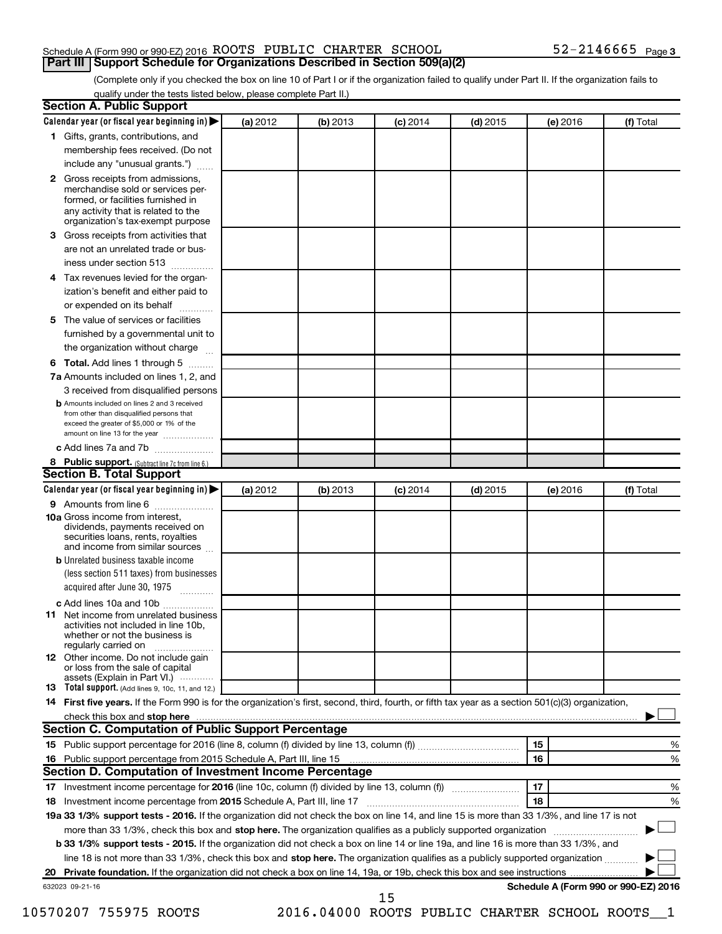### Schedule A (Form 990 or 990-EZ) 2016  $\,$  ROOTS PUBLIC CHARTER SCHOOL  $\,$  52-2146665  $\,$  Page **Part III Support Schedule for Organizations Described in Section 509(a)(2)**

(Complete only if you checked the box on line 10 of Part I or if the organization failed to qualify under Part II. If the organization fails to qualify under the tests listed below, please complete Part II.)

| <b>Section A. Public Support</b>                                                                                                                                                                                                        |          |          |                 |            |          |                                      |
|-----------------------------------------------------------------------------------------------------------------------------------------------------------------------------------------------------------------------------------------|----------|----------|-----------------|------------|----------|--------------------------------------|
| Calendar year (or fiscal year beginning in)                                                                                                                                                                                             | (a) 2012 | (b) 2013 | $(c)$ 2014      | $(d)$ 2015 | (e) 2016 | (f) Total                            |
| 1 Gifts, grants, contributions, and                                                                                                                                                                                                     |          |          |                 |            |          |                                      |
| membership fees received. (Do not                                                                                                                                                                                                       |          |          |                 |            |          |                                      |
| include any "unusual grants.")                                                                                                                                                                                                          |          |          |                 |            |          |                                      |
| 2 Gross receipts from admissions,<br>merchandise sold or services per-<br>formed, or facilities furnished in<br>any activity that is related to the<br>organization's tax-exempt purpose                                                |          |          |                 |            |          |                                      |
| 3 Gross receipts from activities that                                                                                                                                                                                                   |          |          |                 |            |          |                                      |
| are not an unrelated trade or bus-<br>iness under section 513                                                                                                                                                                           |          |          |                 |            |          |                                      |
| 4 Tax revenues levied for the organ-                                                                                                                                                                                                    |          |          |                 |            |          |                                      |
| ization's benefit and either paid to<br>or expended on its behalf                                                                                                                                                                       |          |          |                 |            |          |                                      |
| 5 The value of services or facilities                                                                                                                                                                                                   |          |          |                 |            |          |                                      |
| furnished by a governmental unit to                                                                                                                                                                                                     |          |          |                 |            |          |                                      |
| the organization without charge                                                                                                                                                                                                         |          |          |                 |            |          |                                      |
| 6 Total. Add lines 1 through 5                                                                                                                                                                                                          |          |          |                 |            |          |                                      |
| 7a Amounts included on lines 1, 2, and                                                                                                                                                                                                  |          |          |                 |            |          |                                      |
| 3 received from disqualified persons                                                                                                                                                                                                    |          |          |                 |            |          |                                      |
| <b>b</b> Amounts included on lines 2 and 3 received<br>from other than disqualified persons that<br>exceed the greater of \$5,000 or 1% of the<br>amount on line 13 for the year                                                        |          |          |                 |            |          |                                      |
| c Add lines 7a and 7b                                                                                                                                                                                                                   |          |          |                 |            |          |                                      |
| 8 Public support. (Subtract line 7c from line 6.)                                                                                                                                                                                       |          |          |                 |            |          |                                      |
| <b>Section B. Total Support</b>                                                                                                                                                                                                         |          |          |                 |            |          |                                      |
| Calendar year (or fiscal year beginning in)                                                                                                                                                                                             | (a) 2012 | (b) 2013 | <b>(c)</b> 2014 | $(d)$ 2015 | (e) 2016 | (f) Total                            |
| 9 Amounts from line 6                                                                                                                                                                                                                   |          |          |                 |            |          |                                      |
| <b>10a</b> Gross income from interest,<br>dividends, payments received on<br>securities loans, rents, royalties<br>and income from similar sources                                                                                      |          |          |                 |            |          |                                      |
| <b>b</b> Unrelated business taxable income<br>(less section 511 taxes) from businesses<br>acquired after June 30, 1975                                                                                                                  |          |          |                 |            |          |                                      |
| c Add lines 10a and 10b                                                                                                                                                                                                                 |          |          |                 |            |          |                                      |
| <b>11</b> Net income from unrelated business<br>activities not included in line 10b.<br>whether or not the business is<br>regularly carried on                                                                                          |          |          |                 |            |          |                                      |
| 12 Other income. Do not include gain<br>or loss from the sale of capital<br>assets (Explain in Part VI.)                                                                                                                                |          |          |                 |            |          |                                      |
| <b>13</b> Total support. (Add lines 9, 10c, 11, and 12.)                                                                                                                                                                                |          |          |                 |            |          |                                      |
| 14 First five years. If the Form 990 is for the organization's first, second, third, fourth, or fifth tax year as a section 501(c)(3) organization,                                                                                     |          |          |                 |            |          |                                      |
| check this box and stop here <b>contained and the contained and stop here</b> check this box and stop here <b>contained and the contained and stop here</b> contained and stop here contained and and stop here contained and stop here |          |          |                 |            |          |                                      |
| Section C. Computation of Public Support Percentage                                                                                                                                                                                     |          |          |                 |            |          |                                      |
|                                                                                                                                                                                                                                         |          |          |                 |            | 15       | ℅                                    |
|                                                                                                                                                                                                                                         |          |          |                 |            | 16       | %                                    |
| Section D. Computation of Investment Income Percentage                                                                                                                                                                                  |          |          |                 |            |          |                                      |
|                                                                                                                                                                                                                                         |          |          |                 |            | 17       | %                                    |
| 18 Investment income percentage from 2015 Schedule A, Part III, line 17                                                                                                                                                                 |          |          |                 |            | 18       | %                                    |
| 19a 33 1/3% support tests - 2016. If the organization did not check the box on line 14, and line 15 is more than 33 1/3%, and line 17 is not                                                                                            |          |          |                 |            |          |                                      |
| more than 33 1/3%, check this box and stop here. The organization qualifies as a publicly supported organization                                                                                                                        |          |          |                 |            |          |                                      |
| b 33 1/3% support tests - 2015. If the organization did not check a box on line 14 or line 19a, and line 16 is more than 33 1/3%, and                                                                                                   |          |          |                 |            |          |                                      |
| line 18 is not more than 33 1/3%, check this box and stop here. The organization qualifies as a publicly supported organization                                                                                                         |          |          |                 |            |          |                                      |
|                                                                                                                                                                                                                                         |          |          |                 |            |          |                                      |
| 632023 09-21-16                                                                                                                                                                                                                         |          |          | 15              |            |          | Schedule A (Form 990 or 990-EZ) 2016 |

10570207 755975 ROOTS 2016.04000 ROOTS PUBLIC CHARTER SCHOOL ROOTS\_\_1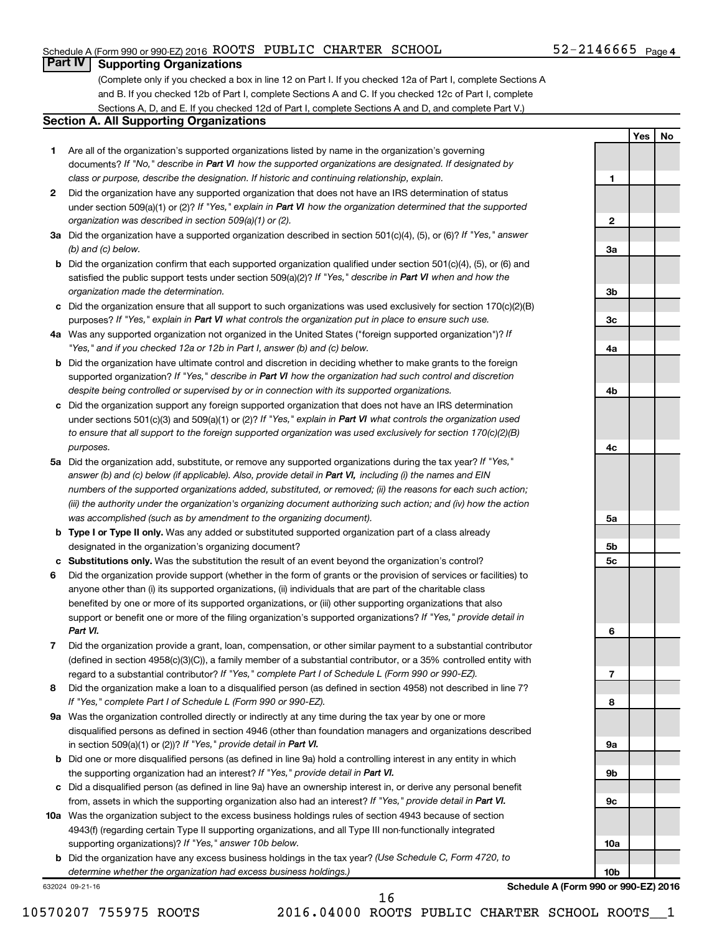### Schedule A (Form 990 or 990-EZ) 2016  $\,$  ROOTS PUBLIC CHARTER SCHOOL  $\,$  52-2146665  $\,$  Page

### **Part IV Supporting Organizations**

(Complete only if you checked a box in line 12 on Part I. If you checked 12a of Part I, complete Sections A and B. If you checked 12b of Part I, complete Sections A and C. If you checked 12c of Part I, complete Sections A, D, and E. If you checked 12d of Part I, complete Sections A and D, and complete Part V.)

### **Section A. All Supporting Organizations**

- **1** Are all of the organization's supported organizations listed by name in the organization's governing documents? If "No," describe in Part VI how the supported organizations are designated. If designated by *class or purpose, describe the designation. If historic and continuing relationship, explain.*
- **2** Did the organization have any supported organization that does not have an IRS determination of status under section 509(a)(1) or (2)? If "Yes," explain in Part VI how the organization determined that the supported *organization was described in section 509(a)(1) or (2).*
- **3a** Did the organization have a supported organization described in section 501(c)(4), (5), or (6)? If "Yes," answer *(b) and (c) below.*
- **b** Did the organization confirm that each supported organization qualified under section 501(c)(4), (5), or (6) and satisfied the public support tests under section 509(a)(2)? If "Yes," describe in Part VI when and how the *organization made the determination.*
- **c** Did the organization ensure that all support to such organizations was used exclusively for section 170(c)(2)(B) purposes? If "Yes," explain in Part VI what controls the organization put in place to ensure such use.
- **4 a** *If* Was any supported organization not organized in the United States ("foreign supported organization")? *"Yes," and if you checked 12a or 12b in Part I, answer (b) and (c) below.*
- **b** Did the organization have ultimate control and discretion in deciding whether to make grants to the foreign supported organization? If "Yes," describe in Part VI how the organization had such control and discretion *despite being controlled or supervised by or in connection with its supported organizations.*
- **c** Did the organization support any foreign supported organization that does not have an IRS determination under sections 501(c)(3) and 509(a)(1) or (2)? If "Yes," explain in Part VI what controls the organization used *to ensure that all support to the foreign supported organization was used exclusively for section 170(c)(2)(B) purposes.*
- **5a** Did the organization add, substitute, or remove any supported organizations during the tax year? If "Yes," answer (b) and (c) below (if applicable). Also, provide detail in Part VI, including (i) the names and EIN *numbers of the supported organizations added, substituted, or removed; (ii) the reasons for each such action; (iii) the authority under the organization's organizing document authorizing such action; and (iv) how the action was accomplished (such as by amendment to the organizing document).*
- **b Type I or Type II only.** Was any added or substituted supported organization part of a class already designated in the organization's organizing document?
- **c Substitutions only.**  Was the substitution the result of an event beyond the organization's control?
- **6** Did the organization provide support (whether in the form of grants or the provision of services or facilities) to support or benefit one or more of the filing organization's supported organizations? If "Yes," provide detail in anyone other than (i) its supported organizations, (ii) individuals that are part of the charitable class benefited by one or more of its supported organizations, or (iii) other supporting organizations that also *Part VI.*
- **7** Did the organization provide a grant, loan, compensation, or other similar payment to a substantial contributor regard to a substantial contributor? If "Yes," complete Part I of Schedule L (Form 990 or 990-EZ). (defined in section 4958(c)(3)(C)), a family member of a substantial contributor, or a 35% controlled entity with
- **8** Did the organization make a loan to a disqualified person (as defined in section 4958) not described in line 7? *If "Yes," complete Part I of Schedule L (Form 990 or 990-EZ).*
- **9 a** Was the organization controlled directly or indirectly at any time during the tax year by one or more in section 509(a)(1) or (2))? If "Yes," provide detail in Part VI. disqualified persons as defined in section 4946 (other than foundation managers and organizations described
- **b** Did one or more disqualified persons (as defined in line 9a) hold a controlling interest in any entity in which the supporting organization had an interest? If "Yes," provide detail in Part VI.
- **c** Did a disqualified person (as defined in line 9a) have an ownership interest in, or derive any personal benefit from, assets in which the supporting organization also had an interest? If "Yes," provide detail in Part VI.
- **10 a** Was the organization subject to the excess business holdings rules of section 4943 because of section supporting organizations)? If "Yes," answer 10b below. 4943(f) (regarding certain Type II supporting organizations, and all Type III non-functionally integrated
	- **b** Did the organization have any excess business holdings in the tax year? (Use Schedule C, Form 4720, to *determine whether the organization had excess business holdings.)*

632024 09-21-16



**Schedule A (Form 990 or 990-EZ) 2016**

**10a**

**10b**

10570207 755975 ROOTS 2016.04000 ROOTS PUBLIC CHARTER SCHOOL ROOTS\_\_1

16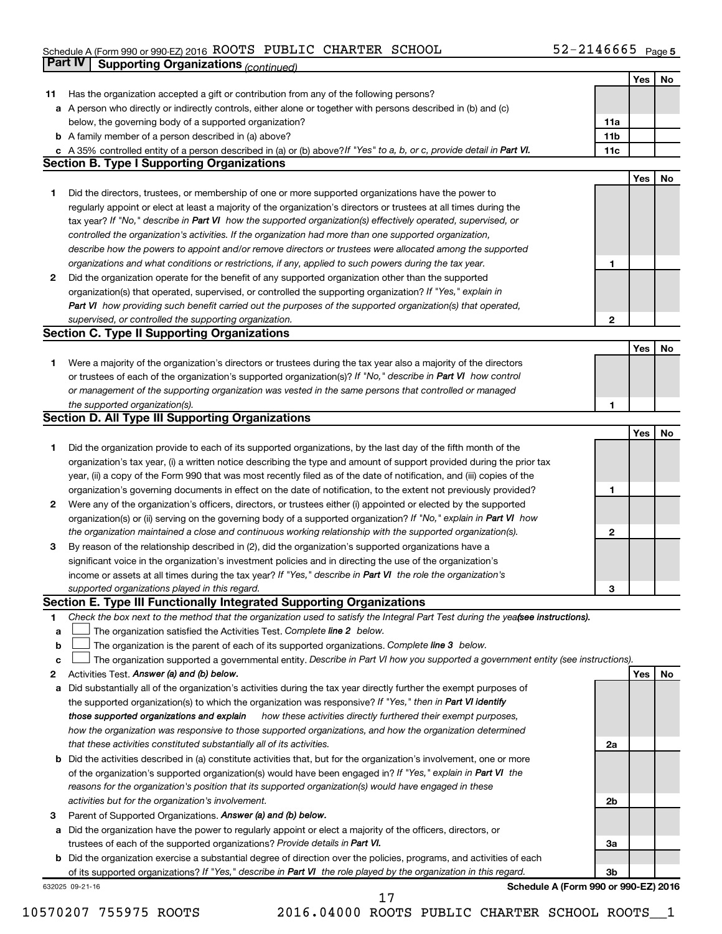#### Schedule A (Form 990 or 990-EZ) 2016 ROOTS PUBLIC CHARTER SCHOOL 5 Z - Z I 4 6 6 6 5 Page ROOTS PUBLIC CHARTER SCHOOL 52-2146665

|        | <b>Part IV</b><br><b>Supporting Organizations (continued)</b>                                                                                                                                                                    |                                      |     |    |
|--------|----------------------------------------------------------------------------------------------------------------------------------------------------------------------------------------------------------------------------------|--------------------------------------|-----|----|
|        |                                                                                                                                                                                                                                  |                                      | Yes | No |
| 11     | Has the organization accepted a gift or contribution from any of the following persons?                                                                                                                                          |                                      |     |    |
| а      | A person who directly or indirectly controls, either alone or together with persons described in (b) and (c)                                                                                                                     |                                      |     |    |
|        | below, the governing body of a supported organization?                                                                                                                                                                           | 11a                                  |     |    |
|        | <b>b</b> A family member of a person described in (a) above?                                                                                                                                                                     | 11 <sub>b</sub>                      |     |    |
|        | c A 35% controlled entity of a person described in (a) or (b) above? If "Yes" to a, b, or c, provide detail in Part VI.                                                                                                          | 11c                                  |     |    |
|        | <b>Section B. Type I Supporting Organizations</b>                                                                                                                                                                                |                                      |     |    |
|        |                                                                                                                                                                                                                                  |                                      | Yes | No |
| 1.     | Did the directors, trustees, or membership of one or more supported organizations have the power to                                                                                                                              |                                      |     |    |
|        | regularly appoint or elect at least a majority of the organization's directors or trustees at all times during the                                                                                                               |                                      |     |    |
|        | tax year? If "No," describe in Part VI how the supported organization(s) effectively operated, supervised, or                                                                                                                    |                                      |     |    |
|        | controlled the organization's activities. If the organization had more than one supported organization,                                                                                                                          |                                      |     |    |
|        | describe how the powers to appoint and/or remove directors or trustees were allocated among the supported                                                                                                                        |                                      |     |    |
|        | organizations and what conditions or restrictions, if any, applied to such powers during the tax year.                                                                                                                           | 1                                    |     |    |
| 2      | Did the organization operate for the benefit of any supported organization other than the supported                                                                                                                              |                                      |     |    |
|        | organization(s) that operated, supervised, or controlled the supporting organization? If "Yes," explain in                                                                                                                       |                                      |     |    |
|        | Part VI how providing such benefit carried out the purposes of the supported organization(s) that operated,                                                                                                                      |                                      |     |    |
|        | supervised, or controlled the supporting organization.                                                                                                                                                                           | $\mathbf{2}$                         |     |    |
|        | <b>Section C. Type II Supporting Organizations</b>                                                                                                                                                                               |                                      |     |    |
|        |                                                                                                                                                                                                                                  |                                      | Yes | No |
| 1.     | Were a majority of the organization's directors or trustees during the tax year also a majority of the directors                                                                                                                 |                                      |     |    |
|        | or trustees of each of the organization's supported organization(s)? If "No," describe in Part VI how control                                                                                                                    |                                      |     |    |
|        | or management of the supporting organization was vested in the same persons that controlled or managed                                                                                                                           |                                      |     |    |
|        | the supported organization(s).                                                                                                                                                                                                   | 1                                    |     |    |
|        | <b>Section D. All Type III Supporting Organizations</b>                                                                                                                                                                          |                                      |     |    |
|        |                                                                                                                                                                                                                                  |                                      | Yes | No |
| 1      | Did the organization provide to each of its supported organizations, by the last day of the fifth month of the                                                                                                                   |                                      |     |    |
|        | organization's tax year, (i) a written notice describing the type and amount of support provided during the prior tax                                                                                                            |                                      |     |    |
|        | year, (ii) a copy of the Form 990 that was most recently filed as of the date of notification, and (iii) copies of the                                                                                                           |                                      |     |    |
|        | organization's governing documents in effect on the date of notification, to the extent not previously provided?                                                                                                                 | 1                                    |     |    |
| 2      | Were any of the organization's officers, directors, or trustees either (i) appointed or elected by the supported                                                                                                                 |                                      |     |    |
|        | organization(s) or (ii) serving on the governing body of a supported organization? If "No," explain in Part VI how                                                                                                               |                                      |     |    |
|        | the organization maintained a close and continuous working relationship with the supported organization(s).                                                                                                                      | $\mathbf{2}$                         |     |    |
| 3      | By reason of the relationship described in (2), did the organization's supported organizations have a                                                                                                                            |                                      |     |    |
|        | significant voice in the organization's investment policies and in directing the use of the organization's                                                                                                                       |                                      |     |    |
|        | income or assets at all times during the tax year? If "Yes," describe in Part VI the role the organization's                                                                                                                     |                                      |     |    |
|        | supported organizations played in this regard.                                                                                                                                                                                   | з                                    |     |    |
|        | Section E. Type III Functionally Integrated Supporting Organizations                                                                                                                                                             |                                      |     |    |
| 1      | Check the box next to the method that the organization used to satisfy the Integral Part Test during the yea(see instructions).                                                                                                  |                                      |     |    |
| a      | The organization satisfied the Activities Test. Complete line 2 below.                                                                                                                                                           |                                      |     |    |
| b      | The organization is the parent of each of its supported organizations. Complete line 3 below.<br>The organization supported a governmental entity. Describe in Part VI how you supported a government entity (see instructions). |                                      |     |    |
| c      | Activities Test. Answer (a) and (b) below.                                                                                                                                                                                       |                                      |     |    |
| 2<br>а | Did substantially all of the organization's activities during the tax year directly further the exempt purposes of                                                                                                               |                                      | Yes | No |
|        | the supported organization(s) to which the organization was responsive? If "Yes," then in Part VI identify                                                                                                                       |                                      |     |    |
|        | those supported organizations and explain<br>how these activities directly furthered their exempt purposes,                                                                                                                      |                                      |     |    |
|        | how the organization was responsive to those supported organizations, and how the organization determined                                                                                                                        |                                      |     |    |
|        | that these activities constituted substantially all of its activities.                                                                                                                                                           | 2a                                   |     |    |
| b      | Did the activities described in (a) constitute activities that, but for the organization's involvement, one or more                                                                                                              |                                      |     |    |
|        | of the organization's supported organization(s) would have been engaged in? If "Yes," explain in Part VI the                                                                                                                     |                                      |     |    |
|        | reasons for the organization's position that its supported organization(s) would have engaged in these                                                                                                                           |                                      |     |    |
|        | activities but for the organization's involvement.                                                                                                                                                                               | 2b                                   |     |    |
| з      | Parent of Supported Organizations. Answer (a) and (b) below.                                                                                                                                                                     |                                      |     |    |
| а      | Did the organization have the power to regularly appoint or elect a majority of the officers, directors, or                                                                                                                      |                                      |     |    |
|        | trustees of each of the supported organizations? Provide details in Part VI.                                                                                                                                                     | За                                   |     |    |
| b      | Did the organization exercise a substantial degree of direction over the policies, programs, and activities of each                                                                                                              |                                      |     |    |
|        | of its supported organizations? If "Yes," describe in Part VI the role played by the organization in this regard.                                                                                                                | 3b                                   |     |    |
|        |                                                                                                                                                                                                                                  | $\sim$ 000 $\sim$ 000 $\Gamma$ 7) 00 |     |    |

632025 09-21-16

**Schedule A (Form 990 or 990-EZ) 2016**

17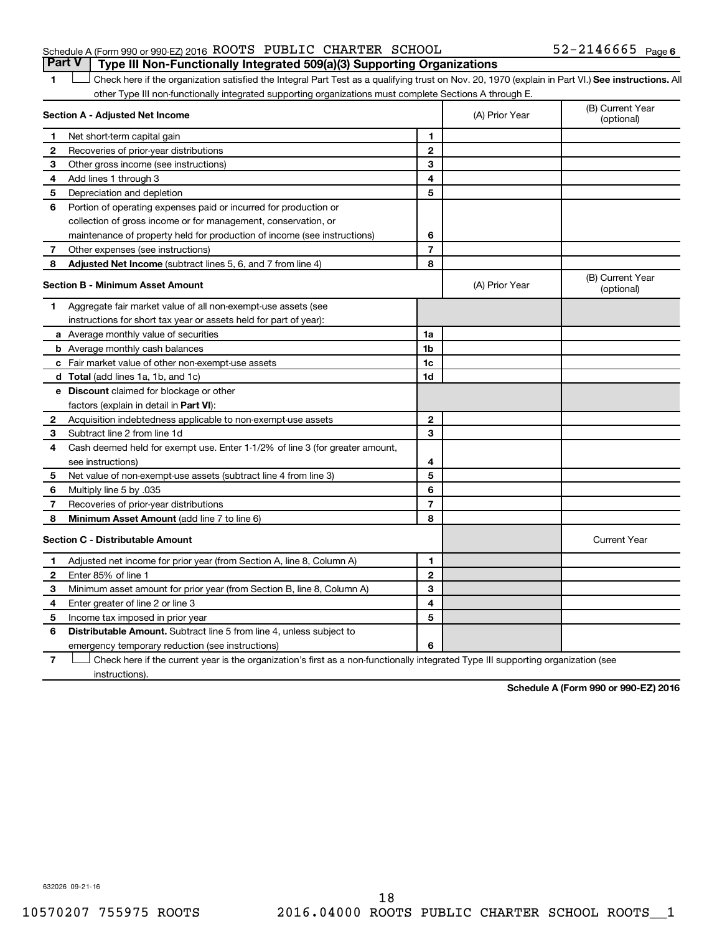### Schedule A (Form 990 or 990-EZ) 2016  $\,$  ROOTS PUBLIC CHARTER SCHOOL  $\,$  52-2146665  $\,$  Page **Part V Type III Non-Functionally Integrated 509(a)(3) Supporting Organizations**

1 **Letter See instructions.** All Check here if the organization satisfied the Integral Part Test as a qualifying trust on Nov. 20, 1970 (explain in Part VI.) See instructions. All other Type III non-functionally integrated supporting organizations must complete Sections A through E.

| Section A - Adjusted Net Income |                                                                                                                                   |                | (A) Prior Year | (B) Current Year<br>(optional) |
|---------------------------------|-----------------------------------------------------------------------------------------------------------------------------------|----------------|----------------|--------------------------------|
| 1                               | Net short-term capital gain                                                                                                       | $\mathbf{1}$   |                |                                |
| 2                               | Recoveries of prior-year distributions                                                                                            | $\mathbf{2}$   |                |                                |
| 3                               | Other gross income (see instructions)                                                                                             | 3              |                |                                |
| 4                               | Add lines 1 through 3                                                                                                             | 4              |                |                                |
| 5                               | Depreciation and depletion                                                                                                        | 5              |                |                                |
| 6                               | Portion of operating expenses paid or incurred for production or                                                                  |                |                |                                |
|                                 | collection of gross income or for management, conservation, or                                                                    |                |                |                                |
|                                 | maintenance of property held for production of income (see instructions)                                                          | 6              |                |                                |
| 7                               | Other expenses (see instructions)                                                                                                 | $\overline{7}$ |                |                                |
| 8                               | Adjusted Net Income (subtract lines 5, 6, and 7 from line 4)                                                                      | 8              |                |                                |
|                                 | <b>Section B - Minimum Asset Amount</b>                                                                                           |                | (A) Prior Year | (B) Current Year<br>(optional) |
| 1                               | Aggregate fair market value of all non-exempt-use assets (see                                                                     |                |                |                                |
|                                 | instructions for short tax year or assets held for part of year):                                                                 |                |                |                                |
|                                 | <b>a</b> Average monthly value of securities                                                                                      | 1a             |                |                                |
|                                 | <b>b</b> Average monthly cash balances                                                                                            | 1 <sub>b</sub> |                |                                |
|                                 | <b>c</b> Fair market value of other non-exempt-use assets                                                                         | 1c             |                |                                |
|                                 | <b>d</b> Total (add lines 1a, 1b, and 1c)                                                                                         | 1d             |                |                                |
|                                 | e Discount claimed for blockage or other                                                                                          |                |                |                                |
|                                 | factors (explain in detail in Part VI):                                                                                           |                |                |                                |
| 2                               | Acquisition indebtedness applicable to non-exempt-use assets                                                                      | $\mathbf{2}$   |                |                                |
| 3                               | Subtract line 2 from line 1d                                                                                                      | 3              |                |                                |
| 4                               | Cash deemed held for exempt use. Enter 1-1/2% of line 3 (for greater amount,                                                      |                |                |                                |
|                                 | see instructions)                                                                                                                 | 4              |                |                                |
| 5                               | Net value of non-exempt-use assets (subtract line 4 from line 3)                                                                  | 5              |                |                                |
| 6                               | Multiply line 5 by .035                                                                                                           | 6              |                |                                |
| 7                               | Recoveries of prior-year distributions                                                                                            | $\overline{7}$ |                |                                |
| 8                               | Minimum Asset Amount (add line 7 to line 6)                                                                                       | 8              |                |                                |
|                                 | <b>Section C - Distributable Amount</b>                                                                                           |                |                | <b>Current Year</b>            |
| 1                               | Adjusted net income for prior year (from Section A, line 8, Column A)                                                             | $\mathbf{1}$   |                |                                |
| 2                               | Enter 85% of line 1                                                                                                               | $\mathbf{2}$   |                |                                |
| з                               | Minimum asset amount for prior year (from Section B, line 8, Column A)                                                            | 3              |                |                                |
| 4                               | Enter greater of line 2 or line 3                                                                                                 | 4              |                |                                |
| 5                               | Income tax imposed in prior year                                                                                                  | 5              |                |                                |
| 6                               | <b>Distributable Amount.</b> Subtract line 5 from line 4, unless subject to                                                       |                |                |                                |
|                                 | emergency temporary reduction (see instructions)                                                                                  | 6              |                |                                |
| 7                               | Check here if the current year is the organization's first as a non-functionally integrated Type III supporting organization (see |                |                |                                |

instructions).

**Schedule A (Form 990 or 990-EZ) 2016**

632026 09-21-16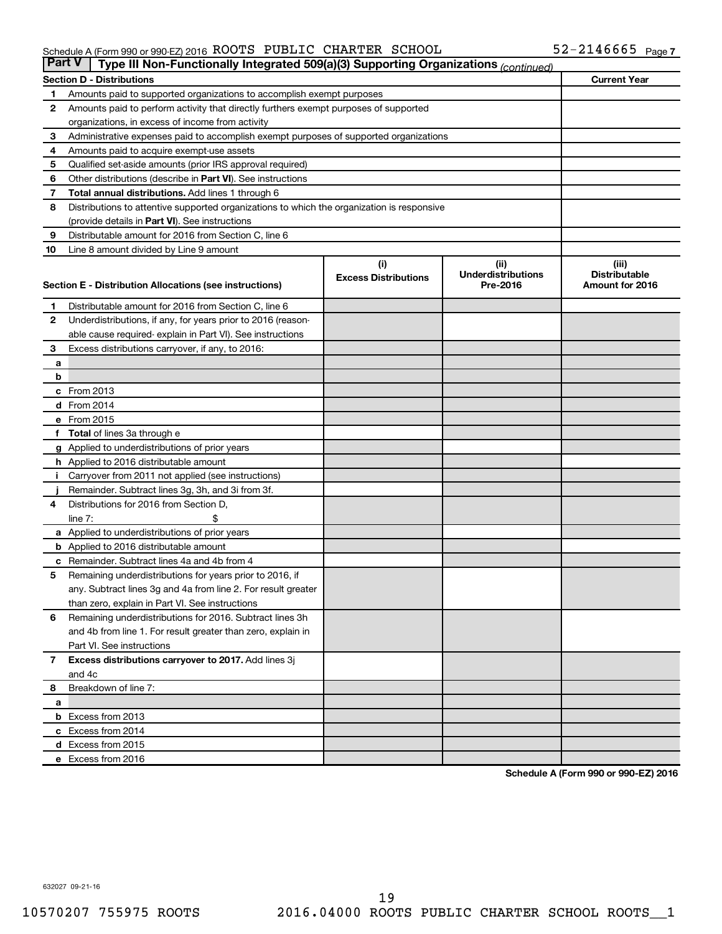### Schedule A (Form 990 or 990-EZ) 2016  $\,$  ROOTS PUBLIC CHARTER SCHOOL  $\,$  52-2146665  $\,$  Page

| <b>Part V</b><br>Type III Non-Functionally Integrated 509(a)(3) Supporting Organizations (continued) |                                                                                                     |                             |                                       |                                         |  |  |  |
|------------------------------------------------------------------------------------------------------|-----------------------------------------------------------------------------------------------------|-----------------------------|---------------------------------------|-----------------------------------------|--|--|--|
|                                                                                                      | <b>Current Year</b><br><b>Section D - Distributions</b>                                             |                             |                                       |                                         |  |  |  |
| 1                                                                                                    | Amounts paid to supported organizations to accomplish exempt purposes                               |                             |                                       |                                         |  |  |  |
| 2                                                                                                    | Amounts paid to perform activity that directly furthers exempt purposes of supported                |                             |                                       |                                         |  |  |  |
|                                                                                                      | organizations, in excess of income from activity                                                    |                             |                                       |                                         |  |  |  |
| 3                                                                                                    | Administrative expenses paid to accomplish exempt purposes of supported organizations               |                             |                                       |                                         |  |  |  |
| 4                                                                                                    | Amounts paid to acquire exempt-use assets                                                           |                             |                                       |                                         |  |  |  |
| 5                                                                                                    | Qualified set-aside amounts (prior IRS approval required)                                           |                             |                                       |                                         |  |  |  |
| 6                                                                                                    | Other distributions (describe in Part VI). See instructions                                         |                             |                                       |                                         |  |  |  |
| 7                                                                                                    | <b>Total annual distributions.</b> Add lines 1 through 6                                            |                             |                                       |                                         |  |  |  |
| 8                                                                                                    | Distributions to attentive supported organizations to which the organization is responsive          |                             |                                       |                                         |  |  |  |
|                                                                                                      | (provide details in Part VI). See instructions                                                      |                             |                                       |                                         |  |  |  |
| 9                                                                                                    | Distributable amount for 2016 from Section C, line 6                                                |                             |                                       |                                         |  |  |  |
| 10                                                                                                   | Line 8 amount divided by Line 9 amount                                                              |                             |                                       |                                         |  |  |  |
|                                                                                                      |                                                                                                     | (i)                         | (ii)                                  | (iii)                                   |  |  |  |
|                                                                                                      | Section E - Distribution Allocations (see instructions)                                             | <b>Excess Distributions</b> | <b>Underdistributions</b><br>Pre-2016 | <b>Distributable</b><br>Amount for 2016 |  |  |  |
|                                                                                                      |                                                                                                     |                             |                                       |                                         |  |  |  |
| 1                                                                                                    | Distributable amount for 2016 from Section C, line 6                                                |                             |                                       |                                         |  |  |  |
| $\mathbf{2}$                                                                                         | Underdistributions, if any, for years prior to 2016 (reason-                                        |                             |                                       |                                         |  |  |  |
|                                                                                                      | able cause required- explain in Part VI). See instructions                                          |                             |                                       |                                         |  |  |  |
| 3                                                                                                    | Excess distributions carryover, if any, to 2016:                                                    |                             |                                       |                                         |  |  |  |
| а                                                                                                    |                                                                                                     |                             |                                       |                                         |  |  |  |
| b                                                                                                    |                                                                                                     |                             |                                       |                                         |  |  |  |
|                                                                                                      | c From 2013                                                                                         |                             |                                       |                                         |  |  |  |
|                                                                                                      | <b>d</b> From 2014                                                                                  |                             |                                       |                                         |  |  |  |
|                                                                                                      | e From 2015                                                                                         |                             |                                       |                                         |  |  |  |
|                                                                                                      | f Total of lines 3a through e                                                                       |                             |                                       |                                         |  |  |  |
|                                                                                                      | <b>g</b> Applied to underdistributions of prior years                                               |                             |                                       |                                         |  |  |  |
|                                                                                                      | <b>h</b> Applied to 2016 distributable amount<br>Carryover from 2011 not applied (see instructions) |                             |                                       |                                         |  |  |  |
|                                                                                                      | Remainder. Subtract lines 3g, 3h, and 3i from 3f.                                                   |                             |                                       |                                         |  |  |  |
| 4                                                                                                    | Distributions for 2016 from Section D,                                                              |                             |                                       |                                         |  |  |  |
|                                                                                                      | $line 7$ :                                                                                          |                             |                                       |                                         |  |  |  |
|                                                                                                      | a Applied to underdistributions of prior years                                                      |                             |                                       |                                         |  |  |  |
|                                                                                                      | <b>b</b> Applied to 2016 distributable amount                                                       |                             |                                       |                                         |  |  |  |
| с                                                                                                    | Remainder. Subtract lines 4a and 4b from 4                                                          |                             |                                       |                                         |  |  |  |
| 5                                                                                                    | Remaining underdistributions for years prior to 2016, if                                            |                             |                                       |                                         |  |  |  |
|                                                                                                      | any. Subtract lines 3g and 4a from line 2. For result greater                                       |                             |                                       |                                         |  |  |  |
|                                                                                                      | than zero, explain in Part VI. See instructions                                                     |                             |                                       |                                         |  |  |  |
| 6                                                                                                    | Remaining underdistributions for 2016. Subtract lines 3h                                            |                             |                                       |                                         |  |  |  |
|                                                                                                      | and 4b from line 1. For result greater than zero, explain in                                        |                             |                                       |                                         |  |  |  |
|                                                                                                      | Part VI. See instructions                                                                           |                             |                                       |                                         |  |  |  |
| $\mathbf{7}$                                                                                         | Excess distributions carryover to 2017. Add lines 3j                                                |                             |                                       |                                         |  |  |  |
|                                                                                                      | and 4c                                                                                              |                             |                                       |                                         |  |  |  |
| 8                                                                                                    | Breakdown of line 7:                                                                                |                             |                                       |                                         |  |  |  |
| a                                                                                                    |                                                                                                     |                             |                                       |                                         |  |  |  |
|                                                                                                      | <b>b</b> Excess from 2013                                                                           |                             |                                       |                                         |  |  |  |
|                                                                                                      | c Excess from 2014                                                                                  |                             |                                       |                                         |  |  |  |
|                                                                                                      | d Excess from 2015                                                                                  |                             |                                       |                                         |  |  |  |
|                                                                                                      | e Excess from 2016                                                                                  |                             |                                       |                                         |  |  |  |

**Schedule A (Form 990 or 990-EZ) 2016**

632027 09-21-16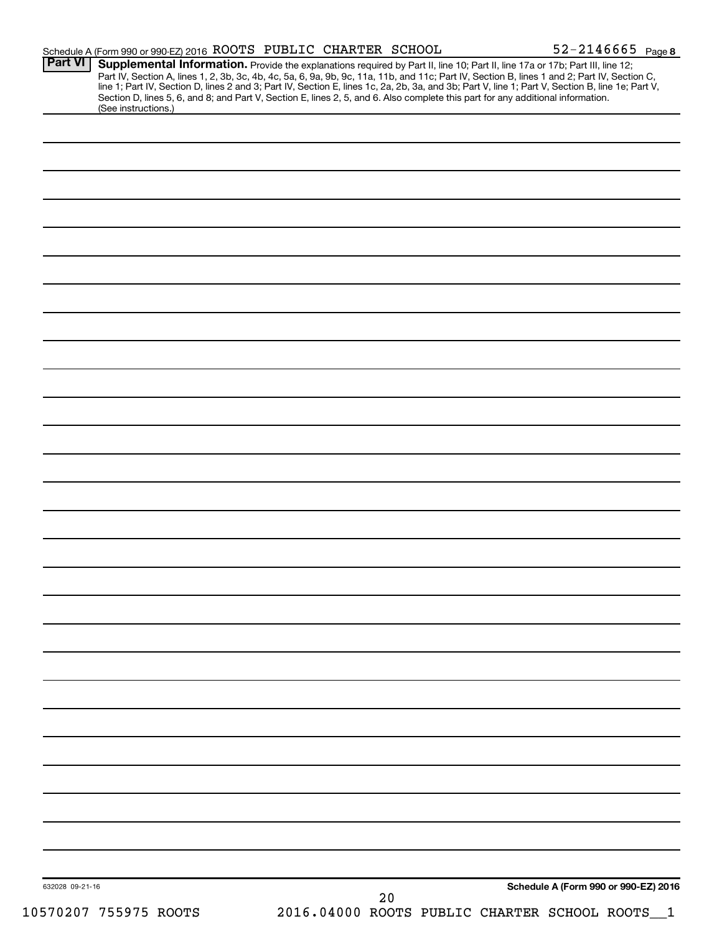| <b>Part VI</b>        | Schedule A (Form 990 or 990-EZ) 2016 ROOTS PUBLIC CHARTER SCHOOL |      | $52 - 2146665$ Page 8<br>Supplemental Information. Provide the explanations required by Part II, line 10; Part II, line 17a or 17b; Part III, line 12;                                                                                                                                           |
|-----------------------|------------------------------------------------------------------|------|--------------------------------------------------------------------------------------------------------------------------------------------------------------------------------------------------------------------------------------------------------------------------------------------------|
|                       |                                                                  |      | Part IV, Section A, lines 1, 2, 3b, 3c, 4b, 4c, 5a, 6, 9a, 9b, 9c, 11a, 11b, and 11c; Part IV, Section B, lines 1 and 2; Part IV, Section C,<br>line 1; Part IV, Section D, lines 2 and 3; Part IV, Section E, lines 1c, 2a, 2b, 3a, and 3b; Part V, line 1; Part V, Section B, line 1e; Part V, |
| (See instructions.)   |                                                                  |      | Section D, lines 5, 6, and 8; and Part V, Section E, lines 2, 5, and 6. Also complete this part for any additional information.                                                                                                                                                                  |
|                       |                                                                  |      |                                                                                                                                                                                                                                                                                                  |
|                       |                                                                  |      |                                                                                                                                                                                                                                                                                                  |
|                       |                                                                  |      |                                                                                                                                                                                                                                                                                                  |
|                       |                                                                  |      |                                                                                                                                                                                                                                                                                                  |
|                       |                                                                  |      |                                                                                                                                                                                                                                                                                                  |
|                       |                                                                  |      |                                                                                                                                                                                                                                                                                                  |
|                       |                                                                  |      |                                                                                                                                                                                                                                                                                                  |
|                       |                                                                  |      |                                                                                                                                                                                                                                                                                                  |
|                       |                                                                  |      |                                                                                                                                                                                                                                                                                                  |
|                       |                                                                  |      |                                                                                                                                                                                                                                                                                                  |
|                       |                                                                  |      |                                                                                                                                                                                                                                                                                                  |
|                       |                                                                  |      |                                                                                                                                                                                                                                                                                                  |
|                       |                                                                  |      |                                                                                                                                                                                                                                                                                                  |
|                       |                                                                  |      |                                                                                                                                                                                                                                                                                                  |
|                       |                                                                  |      |                                                                                                                                                                                                                                                                                                  |
|                       |                                                                  |      |                                                                                                                                                                                                                                                                                                  |
|                       |                                                                  |      |                                                                                                                                                                                                                                                                                                  |
|                       |                                                                  |      |                                                                                                                                                                                                                                                                                                  |
|                       |                                                                  |      |                                                                                                                                                                                                                                                                                                  |
|                       |                                                                  |      |                                                                                                                                                                                                                                                                                                  |
|                       |                                                                  |      |                                                                                                                                                                                                                                                                                                  |
|                       |                                                                  |      |                                                                                                                                                                                                                                                                                                  |
|                       |                                                                  |      |                                                                                                                                                                                                                                                                                                  |
|                       |                                                                  |      |                                                                                                                                                                                                                                                                                                  |
|                       |                                                                  |      |                                                                                                                                                                                                                                                                                                  |
|                       |                                                                  |      |                                                                                                                                                                                                                                                                                                  |
|                       |                                                                  |      |                                                                                                                                                                                                                                                                                                  |
|                       |                                                                  |      |                                                                                                                                                                                                                                                                                                  |
|                       |                                                                  |      |                                                                                                                                                                                                                                                                                                  |
|                       |                                                                  |      |                                                                                                                                                                                                                                                                                                  |
|                       |                                                                  |      |                                                                                                                                                                                                                                                                                                  |
|                       |                                                                  |      |                                                                                                                                                                                                                                                                                                  |
|                       |                                                                  |      |                                                                                                                                                                                                                                                                                                  |
|                       |                                                                  |      |                                                                                                                                                                                                                                                                                                  |
|                       |                                                                  |      |                                                                                                                                                                                                                                                                                                  |
|                       |                                                                  |      |                                                                                                                                                                                                                                                                                                  |
|                       |                                                                  |      |                                                                                                                                                                                                                                                                                                  |
|                       |                                                                  |      |                                                                                                                                                                                                                                                                                                  |
|                       |                                                                  |      |                                                                                                                                                                                                                                                                                                  |
|                       |                                                                  |      |                                                                                                                                                                                                                                                                                                  |
|                       |                                                                  |      |                                                                                                                                                                                                                                                                                                  |
|                       |                                                                  |      |                                                                                                                                                                                                                                                                                                  |
| 632028 09-21-16       |                                                                  |      | Schedule A (Form 990 or 990-EZ) 2016                                                                                                                                                                                                                                                             |
|                       |                                                                  | $20$ |                                                                                                                                                                                                                                                                                                  |
| 10570207 755975 ROOTS |                                                                  |      | 2016.04000 ROOTS PUBLIC CHARTER SCHOOL ROOTS                                                                                                                                                                                                                                                     |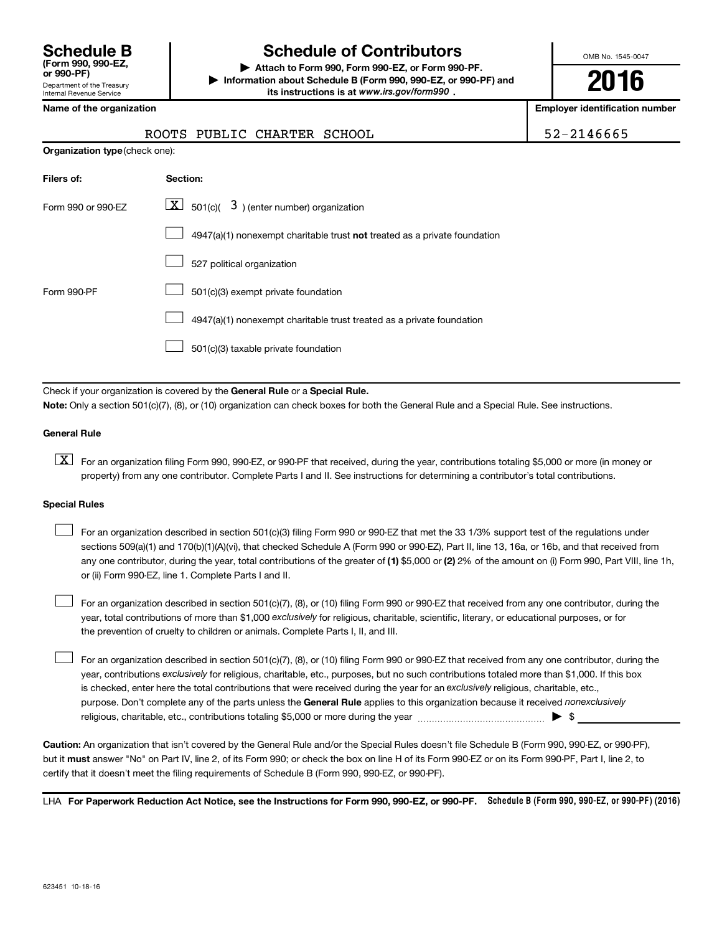| <b>Schedule B</b><br>(Form 990, 990-EZ.<br>or 990-PF)         |
|---------------------------------------------------------------|
| Department of the Treasury<br><b>Internal Revenue Service</b> |

## **Schedule of Contributors**

**or 990-PF) | Attach to Form 990, Form 990-EZ, or Form 990-PF. | Information about Schedule B (Form 990, 990-EZ, or 990-PF) and** its instructions is at www.irs.gov/form990.

OMB No. 1545-0047

**2016**

**Employer identification number** 

| ROOTS PUBLIC CHARTER SCHOOL | $1.52 - 2146665$ |
|-----------------------------|------------------|
|-----------------------------|------------------|

|  | Name of the organization |
|--|--------------------------|
|  |                          |

| <b>Organization type</b> (check one): |                                                                           |  |  |  |
|---------------------------------------|---------------------------------------------------------------------------|--|--|--|
| Filers of:                            | Section:                                                                  |  |  |  |
| Form 990 or 990-EZ                    | $\lfloor x \rfloor$ 501(c)( 3) (enter number) organization                |  |  |  |
|                                       | 4947(a)(1) nonexempt charitable trust not treated as a private foundation |  |  |  |
|                                       | 527 political organization                                                |  |  |  |
| Form 990-PF                           | 501(c)(3) exempt private foundation                                       |  |  |  |
|                                       | 4947(a)(1) nonexempt charitable trust treated as a private foundation     |  |  |  |
|                                       | 501(c)(3) taxable private foundation                                      |  |  |  |

Check if your organization is covered by the General Rule or a Special Rule.

**Note:**  Only a section 501(c)(7), (8), or (10) organization can check boxes for both the General Rule and a Special Rule. See instructions.

### **General Rule**

**K** For an organization filing Form 990, 990-EZ, or 990-PF that received, during the year, contributions totaling \$5,000 or more (in money or property) from any one contributor. Complete Parts I and II. See instructions for determining a contributor's total contributions.

### **Special Rules**

 $\Box$ 

any one contributor, during the year, total contributions of the greater of **(1)** \$5,000 or **(2)** 2% of the amount on (i) Form 990, Part VIII, line 1h, For an organization described in section 501(c)(3) filing Form 990 or 990-EZ that met the 33 1/3% support test of the regulations under sections 509(a)(1) and 170(b)(1)(A)(vi), that checked Schedule A (Form 990 or 990-EZ), Part II, line 13, 16a, or 16b, and that received from or (ii) Form 990-EZ, line 1. Complete Parts I and II.  $\Box$ 

year, total contributions of more than \$1,000 *exclusively* for religious, charitable, scientific, literary, or educational purposes, or for For an organization described in section 501(c)(7), (8), or (10) filing Form 990 or 990-EZ that received from any one contributor, during the the prevention of cruelty to children or animals. Complete Parts I, II, and III.  $\Box$ 

purpose. Don't complete any of the parts unless the General Rule applies to this organization because it received nonexclusively year, contributions exclusively for religious, charitable, etc., purposes, but no such contributions totaled more than \$1,000. If this box is checked, enter here the total contributions that were received during the year for an exclusively religious, charitable, etc., For an organization described in section 501(c)(7), (8), or (10) filing Form 990 or 990-EZ that received from any one contributor, during the religious, charitable, etc., contributions totaling \$5,000 or more during the year  $\ldots$  $\ldots$  $\ldots$  $\ldots$  $\ldots$  $\ldots$ 

**Caution:**  An organization that isn't covered by the General Rule and/or the Special Rules doesn't file Schedule B (Form 990, 990-EZ, or 990-PF),  **must** but it answer "No" on Part IV, line 2, of its Form 990; or check the box on line H of its Form 990-EZ or on its Form 990-PF, Part I, line 2, to certify that it doesn't meet the filing requirements of Schedule B (Form 990, 990-EZ, or 990-PF).

LHA For Paperwork Reduction Act Notice, see the Instructions for Form 990, 990-EZ, or 990-PF. Schedule B (Form 990, 990-EZ, or 990-PF) (2016)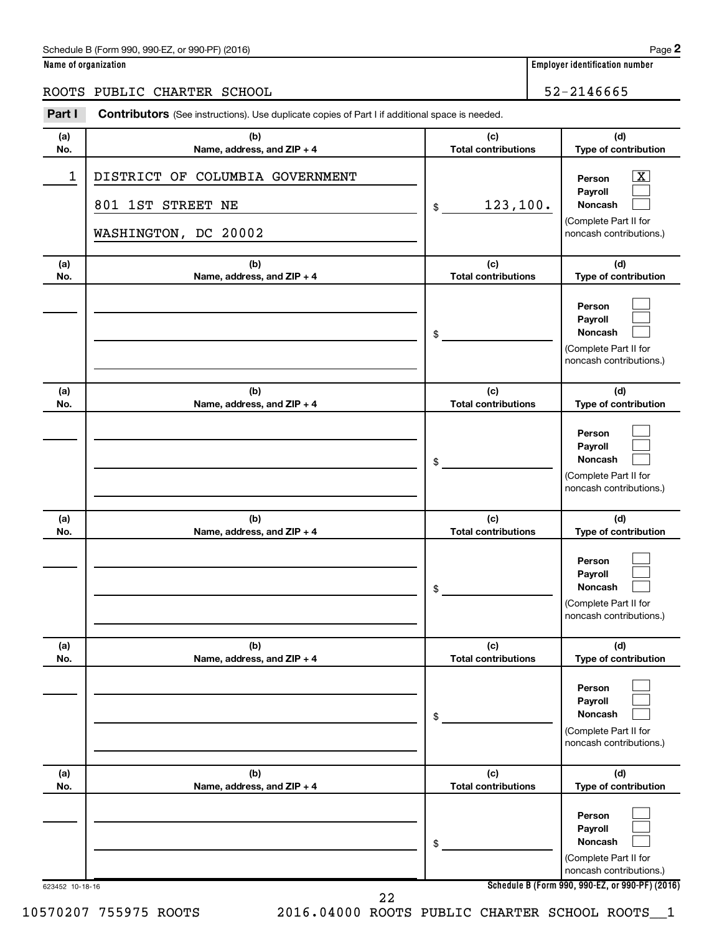### Schedule B (Form 990, 990-EZ, or 990-PF) (2016)

|--|--|

**Name of organization Employer identification number**

### ROOTS PUBLIC CHARTER SCHOOL 52-2146665

| (a)<br>No. | (b)                                                                          | (c)<br><b>Total contributions</b> | (d)<br>Type of contribution                                                                                        |
|------------|------------------------------------------------------------------------------|-----------------------------------|--------------------------------------------------------------------------------------------------------------------|
|            | Name, address, and ZIP + 4                                                   |                                   |                                                                                                                    |
| 1          | DISTRICT OF COLUMBIA GOVERNMENT<br>801 1ST STREET NE<br>WASHINGTON, DC 20002 | 123, 100.<br>\$                   | $\overline{\mathbf{X}}$<br>Person<br>Payroll<br><b>Noncash</b><br>(Complete Part II for<br>noncash contributions.) |
|            |                                                                              |                                   |                                                                                                                    |
| (a)<br>No. | (b)<br>Name, address, and ZIP + 4                                            | (c)<br><b>Total contributions</b> | (d)<br>Type of contribution                                                                                        |
|            |                                                                              | \$                                | Person<br>Payroll<br>Noncash<br>(Complete Part II for<br>noncash contributions.)                                   |
| (a)<br>No. | (b)<br>Name, address, and ZIP + 4                                            | (c)<br><b>Total contributions</b> | (d)<br>Type of contribution                                                                                        |
|            |                                                                              | \$                                | Person<br>Payroll<br>Noncash<br>(Complete Part II for<br>noncash contributions.)                                   |
| (a)<br>No. | (b)<br>Name, address, and ZIP + 4                                            | (c)<br><b>Total contributions</b> | (d)<br>Type of contribution                                                                                        |
|            |                                                                              | \$                                | Person<br>Payroll<br>Noncash<br>(Complete Part II for<br>noncash contributions.)                                   |
| (a)        | (b)                                                                          | (c)                               | (d)                                                                                                                |
| No.        | Name, address, and ZIP + 4                                                   | <b>Total contributions</b><br>\$  | Type of contribution<br>Person<br>Payroll<br><b>Noncash</b><br>(Complete Part II for<br>noncash contributions.)    |
| (a)<br>No. | (b)<br>Name, address, and ZIP + 4                                            | (c)<br><b>Total contributions</b> | (d)<br>Type of contribution                                                                                        |
|            |                                                                              | \$                                | Person<br>Payroll<br><b>Noncash</b><br>(Complete Part II for<br>noncash contributions.)                            |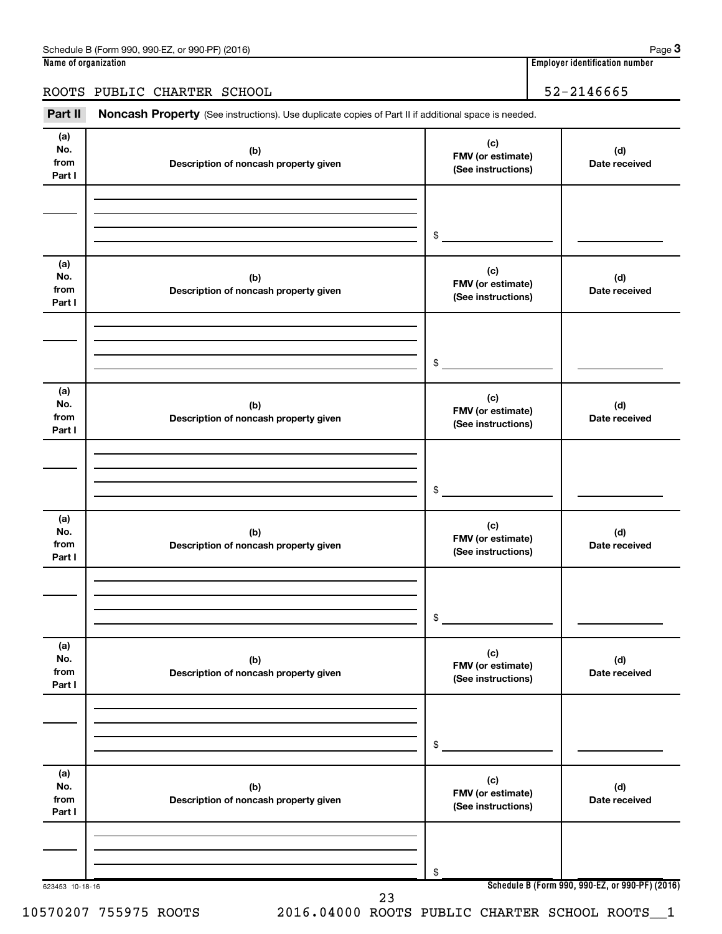**3**

ROOTS PUBLIC CHARTER SCHOOL 52-2146665

Part II Noncash Property (See instructions). Use duplicate copies of Part II if additional space is needed.

| (a)<br>No.<br>from<br>Part I | (b)<br>Description of noncash property given | (c)<br>FMV (or estimate)<br>(See instructions) | (d)<br>Date received                            |
|------------------------------|----------------------------------------------|------------------------------------------------|-------------------------------------------------|
|                              |                                              | \$                                             |                                                 |
| (a)<br>No.<br>from<br>Part I | (b)<br>Description of noncash property given | (c)<br>FMV (or estimate)<br>(See instructions) | (d)<br>Date received                            |
|                              |                                              | \$                                             |                                                 |
| (a)<br>No.<br>from<br>Part I | (b)<br>Description of noncash property given | (c)<br>FMV (or estimate)<br>(See instructions) | (d)<br>Date received                            |
|                              |                                              | \$                                             |                                                 |
| (a)<br>No.<br>from<br>Part I | (b)<br>Description of noncash property given | (c)<br>FMV (or estimate)<br>(See instructions) | (d)<br>Date received                            |
|                              |                                              | $\$$                                           |                                                 |
| (a)<br>No.<br>from<br>Part I | (b)<br>Description of noncash property given | (c)<br>FMV (or estimate)<br>(See instructions) | (d)<br>Date received                            |
|                              |                                              | \$                                             |                                                 |
| (a)<br>No.<br>from<br>Part I | (b)<br>Description of noncash property given | (c)<br>FMV (or estimate)<br>(See instructions) | (d)<br>Date received                            |
|                              |                                              | \$                                             |                                                 |
| 623453 10-18-16              | 23                                           |                                                | Schedule B (Form 990, 990-EZ, or 990-PF) (2016) |

10570207 755975 ROOTS 2016.04000 ROOTS PUBLIC CHARTER SCHOOL ROOTS\_\_1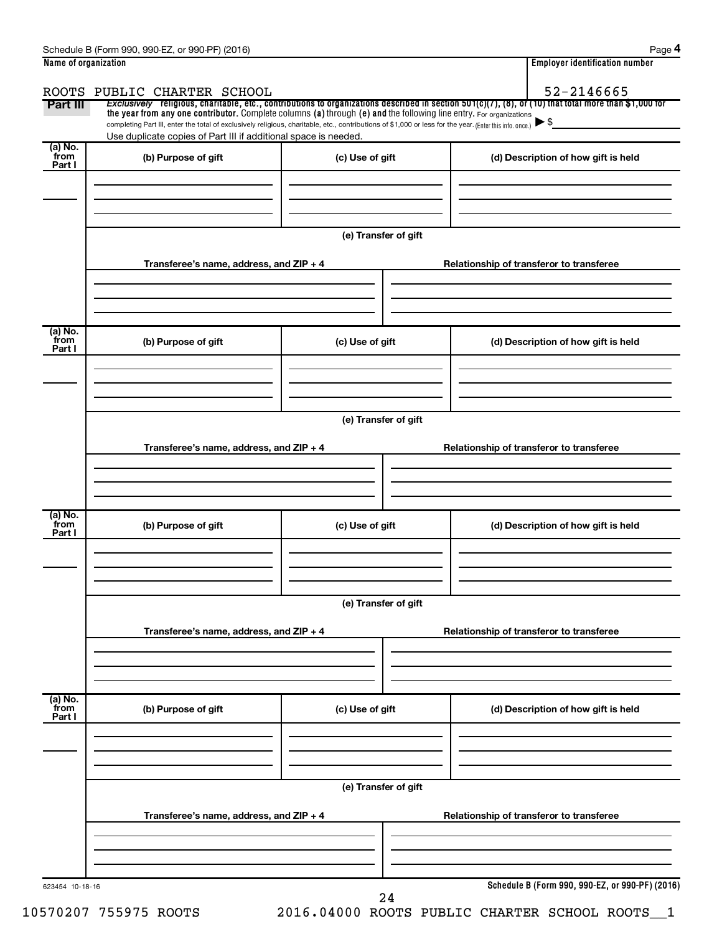| Name of organization      |                                                                                                                                                                                                                             |                      | <b>Employer identification number</b>                                                                                                                 |
|---------------------------|-----------------------------------------------------------------------------------------------------------------------------------------------------------------------------------------------------------------------------|----------------------|-------------------------------------------------------------------------------------------------------------------------------------------------------|
|                           | ROOTS PUBLIC CHARTER SCHOOL                                                                                                                                                                                                 |                      | 52-2146665                                                                                                                                            |
| Part III                  | the year from any one contributor. Complete columns (a) through (e) and the following line entry. For organizations                                                                                                         |                      | Exclusively religious, charitable, etc., contributions to organizations described in section 501(c)(7), (8), or (10) that total more than \$1,000 for |
|                           | completing Part III, enter the total of exclusively religious, charitable, etc., contributions of \$1,000 or less for the year. (Enter this info. once.)<br>Use duplicate copies of Part III if additional space is needed. |                      |                                                                                                                                                       |
| (a) No.<br>from<br>Part I | (b) Purpose of gift                                                                                                                                                                                                         | (c) Use of gift      | (d) Description of how gift is held                                                                                                                   |
|                           |                                                                                                                                                                                                                             |                      |                                                                                                                                                       |
|                           |                                                                                                                                                                                                                             | (e) Transfer of gift |                                                                                                                                                       |
|                           | Transferee's name, address, and ZIP + 4                                                                                                                                                                                     |                      | Relationship of transferor to transferee                                                                                                              |
| (a) No.<br>from<br>Part I | (b) Purpose of gift                                                                                                                                                                                                         | (c) Use of gift      | (d) Description of how gift is held                                                                                                                   |
|                           |                                                                                                                                                                                                                             |                      |                                                                                                                                                       |
|                           |                                                                                                                                                                                                                             | (e) Transfer of gift |                                                                                                                                                       |
|                           | Transferee's name, address, and ZIP + 4                                                                                                                                                                                     |                      | Relationship of transferor to transferee                                                                                                              |
|                           |                                                                                                                                                                                                                             |                      |                                                                                                                                                       |
| (a) No.<br>from<br>Part I | (b) Purpose of gift                                                                                                                                                                                                         | (c) Use of gift      | (d) Description of how gift is held                                                                                                                   |
|                           |                                                                                                                                                                                                                             |                      |                                                                                                                                                       |
|                           |                                                                                                                                                                                                                             | (e) Transfer of gift |                                                                                                                                                       |
|                           | Transferee's name, address, and ZIP + 4                                                                                                                                                                                     |                      | Relationship of transferor to transferee                                                                                                              |
| (a) No.<br>from           | (b) Purpose of gift                                                                                                                                                                                                         | (c) Use of gift      | (d) Description of how gift is held                                                                                                                   |
| Part I                    |                                                                                                                                                                                                                             |                      |                                                                                                                                                       |
|                           |                                                                                                                                                                                                                             | (e) Transfer of gift |                                                                                                                                                       |
|                           | Transferee's name, address, and ZIP + 4                                                                                                                                                                                     |                      | Relationship of transferor to transferee                                                                                                              |
|                           |                                                                                                                                                                                                                             |                      |                                                                                                                                                       |
| 623454 10-18-16           |                                                                                                                                                                                                                             | 24                   | Schedule B (Form 990, 990-EZ, or 990-PF) (2016)                                                                                                       |

10570207 755975 ROOTS 2016.04000 ROOTS PUBLIC CHARTER SCHOOL ROOTS\_\_1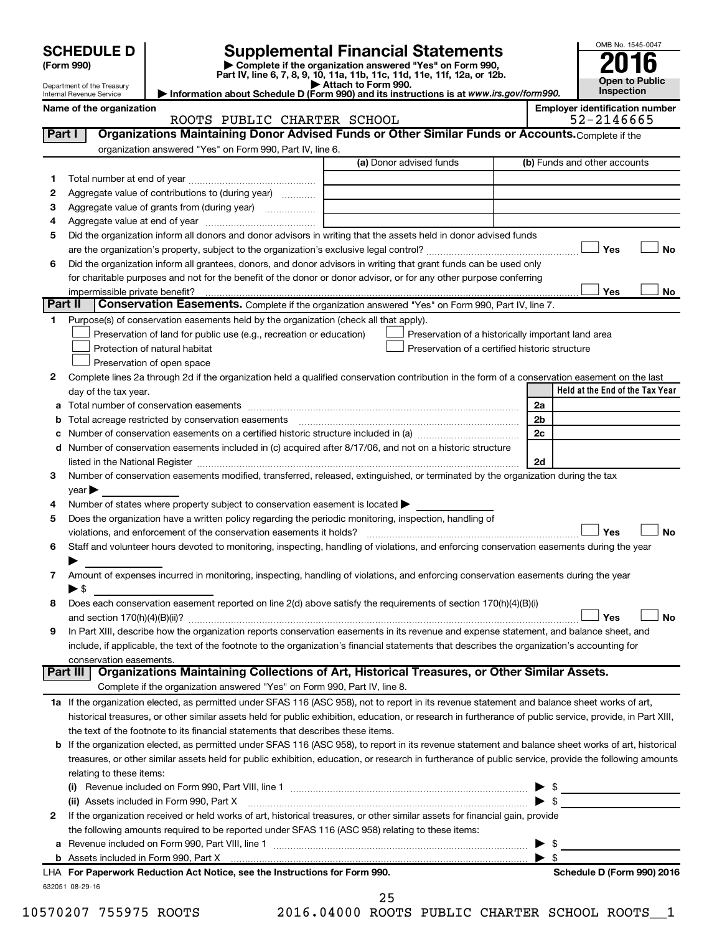|         | <b>SCHEDULE D</b>                                                                                        |                                                                                                                                                                               | Supplemental Financial Statements                                                                                                                          |  |                | OMB No. 1545-0047               |
|---------|----------------------------------------------------------------------------------------------------------|-------------------------------------------------------------------------------------------------------------------------------------------------------------------------------|------------------------------------------------------------------------------------------------------------------------------------------------------------|--|----------------|---------------------------------|
|         | (Form 990)                                                                                               |                                                                                                                                                                               | Complete if the organization answered "Yes" on Form 990,                                                                                                   |  |                |                                 |
|         | Department of the Treasury                                                                               |                                                                                                                                                                               | Part IV, line 6, 7, 8, 9, 10, 11a, 11b, 11c, 11d, 11e, 11f, 12a, or 12b.<br>Attach to Form 990.                                                            |  |                | <b>Open to Public</b>           |
|         | Internal Revenue Service                                                                                 | Information about Schedule D (Form 990) and its instructions is at www.irs.gov/form990.                                                                                       | Inspection                                                                                                                                                 |  |                |                                 |
|         | Name of the organization                                                                                 |                                                                                                                                                                               | <b>Employer identification number</b><br>52-2146665                                                                                                        |  |                |                                 |
| Part I  |                                                                                                          | ROOTS PUBLIC CHARTER SCHOOL                                                                                                                                                   | Organizations Maintaining Donor Advised Funds or Other Similar Funds or Accounts. Complete if the                                                          |  |                |                                 |
|         |                                                                                                          | organization answered "Yes" on Form 990, Part IV, line 6.                                                                                                                     |                                                                                                                                                            |  |                |                                 |
|         | (a) Donor advised funds<br>(b) Funds and other accounts                                                  |                                                                                                                                                                               |                                                                                                                                                            |  |                |                                 |
| 1       |                                                                                                          |                                                                                                                                                                               |                                                                                                                                                            |  |                |                                 |
| 2       |                                                                                                          | Aggregate value of contributions to (during year)                                                                                                                             |                                                                                                                                                            |  |                |                                 |
| 3       |                                                                                                          | Aggregate value of grants from (during year)                                                                                                                                  |                                                                                                                                                            |  |                |                                 |
| 4       |                                                                                                          |                                                                                                                                                                               |                                                                                                                                                            |  |                |                                 |
| 5       |                                                                                                          |                                                                                                                                                                               | Did the organization inform all donors and donor advisors in writing that the assets held in donor advised funds                                           |  |                |                                 |
|         |                                                                                                          |                                                                                                                                                                               |                                                                                                                                                            |  |                | Yes<br>No                       |
| 6       |                                                                                                          |                                                                                                                                                                               | Did the organization inform all grantees, donors, and donor advisors in writing that grant funds can be used only                                          |  |                |                                 |
|         |                                                                                                          |                                                                                                                                                                               | for charitable purposes and not for the benefit of the donor or donor advisor, or for any other purpose conferring                                         |  |                |                                 |
|         | impermissible private benefit?                                                                           |                                                                                                                                                                               |                                                                                                                                                            |  |                | Yes<br>No                       |
| Part II |                                                                                                          |                                                                                                                                                                               | <b>Conservation Easements.</b> Complete if the organization answered "Yes" on Form 990, Part IV, line 7.                                                   |  |                |                                 |
| 1       |                                                                                                          | Purpose(s) of conservation easements held by the organization (check all that apply).                                                                                         |                                                                                                                                                            |  |                |                                 |
|         |                                                                                                          | Preservation of land for public use (e.g., recreation or education)                                                                                                           | Preservation of a historically important land area                                                                                                         |  |                |                                 |
|         |                                                                                                          | Protection of natural habitat                                                                                                                                                 | Preservation of a certified historic structure                                                                                                             |  |                |                                 |
|         |                                                                                                          | Preservation of open space                                                                                                                                                    |                                                                                                                                                            |  |                |                                 |
| 2       |                                                                                                          |                                                                                                                                                                               | Complete lines 2a through 2d if the organization held a qualified conservation contribution in the form of a conservation easement on the last             |  |                |                                 |
|         | day of the tax year.                                                                                     |                                                                                                                                                                               |                                                                                                                                                            |  |                | Held at the End of the Tax Year |
| а       |                                                                                                          |                                                                                                                                                                               |                                                                                                                                                            |  | 2a             |                                 |
| b       |                                                                                                          | Total acreage restricted by conservation easements                                                                                                                            |                                                                                                                                                            |  | 2 <sub>b</sub> |                                 |
| с       |                                                                                                          |                                                                                                                                                                               |                                                                                                                                                            |  | 2c             |                                 |
| d       | Number of conservation easements included in (c) acquired after 8/17/06, and not on a historic structure |                                                                                                                                                                               |                                                                                                                                                            |  |                |                                 |
|         | 2d                                                                                                       |                                                                                                                                                                               |                                                                                                                                                            |  |                |                                 |
| 3       |                                                                                                          |                                                                                                                                                                               | Number of conservation easements modified, transferred, released, extinguished, or terminated by the organization during the tax                           |  |                |                                 |
|         | $\vee$ ear $\blacktriangleright$                                                                         |                                                                                                                                                                               |                                                                                                                                                            |  |                |                                 |
| 4       |                                                                                                          | Number of states where property subject to conservation easement is located >                                                                                                 |                                                                                                                                                            |  |                |                                 |
| 5       |                                                                                                          | Does the organization have a written policy regarding the periodic monitoring, inspection, handling of<br>violations, and enforcement of the conservation easements it holds? |                                                                                                                                                            |  |                | Yes<br>No                       |
| 6       |                                                                                                          |                                                                                                                                                                               | Staff and volunteer hours devoted to monitoring, inspecting, handling of violations, and enforcing conservation easements during the year                  |  |                |                                 |
|         |                                                                                                          |                                                                                                                                                                               |                                                                                                                                                            |  |                |                                 |
| 7       |                                                                                                          |                                                                                                                                                                               | Amount of expenses incurred in monitoring, inspecting, handling of violations, and enforcing conservation easements during the year                        |  |                |                                 |
|         | $\blacktriangleright$ \$                                                                                 |                                                                                                                                                                               |                                                                                                                                                            |  |                |                                 |
| 8       |                                                                                                          |                                                                                                                                                                               | Does each conservation easement reported on line 2(d) above satisfy the requirements of section 170(h)(4)(B)(i)                                            |  |                |                                 |
|         |                                                                                                          |                                                                                                                                                                               |                                                                                                                                                            |  |                | Yes<br>No                       |
| 9       |                                                                                                          |                                                                                                                                                                               | In Part XIII, describe how the organization reports conservation easements in its revenue and expense statement, and balance sheet, and                    |  |                |                                 |
|         |                                                                                                          |                                                                                                                                                                               | include, if applicable, the text of the footnote to the organization's financial statements that describes the organization's accounting for               |  |                |                                 |
|         | conservation easements.                                                                                  |                                                                                                                                                                               |                                                                                                                                                            |  |                |                                 |
|         | Part III                                                                                                 |                                                                                                                                                                               | Organizations Maintaining Collections of Art, Historical Treasures, or Other Similar Assets.                                                               |  |                |                                 |
|         |                                                                                                          | Complete if the organization answered "Yes" on Form 990, Part IV, line 8.                                                                                                     |                                                                                                                                                            |  |                |                                 |
|         |                                                                                                          |                                                                                                                                                                               | 1a If the organization elected, as permitted under SFAS 116 (ASC 958), not to report in its revenue statement and balance sheet works of art,              |  |                |                                 |
|         |                                                                                                          |                                                                                                                                                                               | historical treasures, or other similar assets held for public exhibition, education, or research in furtherance of public service, provide, in Part XIII,  |  |                |                                 |
|         |                                                                                                          | the text of the footnote to its financial statements that describes these items.                                                                                              |                                                                                                                                                            |  |                |                                 |
|         |                                                                                                          |                                                                                                                                                                               | <b>b</b> If the organization elected, as permitted under SFAS 116 (ASC 958), to report in its revenue statement and balance sheet works of art, historical |  |                |                                 |
|         |                                                                                                          |                                                                                                                                                                               | treasures, or other similar assets held for public exhibition, education, or research in furtherance of public service, provide the following amounts      |  |                |                                 |
|         | relating to these items:                                                                                 |                                                                                                                                                                               |                                                                                                                                                            |  |                |                                 |
|         |                                                                                                          |                                                                                                                                                                               |                                                                                                                                                            |  |                |                                 |
|         |                                                                                                          |                                                                                                                                                                               | (ii) Assets included in Form 990, Part X [11] Marten and Martin Martin Marten and Martin Martin Marten and Mar                                             |  |                |                                 |
| 2       |                                                                                                          |                                                                                                                                                                               | If the organization received or held works of art, historical treasures, or other similar assets for financial gain, provide                               |  |                |                                 |
|         |                                                                                                          | the following amounts required to be reported under SFAS 116 (ASC 958) relating to these items:                                                                               |                                                                                                                                                            |  |                |                                 |
| а       |                                                                                                          |                                                                                                                                                                               |                                                                                                                                                            |  |                |                                 |
|         |                                                                                                          |                                                                                                                                                                               |                                                                                                                                                            |  | - \$           |                                 |
|         |                                                                                                          | LHA For Paperwork Reduction Act Notice, see the Instructions for Form 990.                                                                                                    |                                                                                                                                                            |  |                | Schedule D (Form 990) 2016      |
|         | 632051 08-29-16                                                                                          |                                                                                                                                                                               |                                                                                                                                                            |  |                |                                 |

10570207 755975 ROOTS 2016.04000 ROOTS PUBLIC CHARTER SCHOOL ROOTS\_\_1 25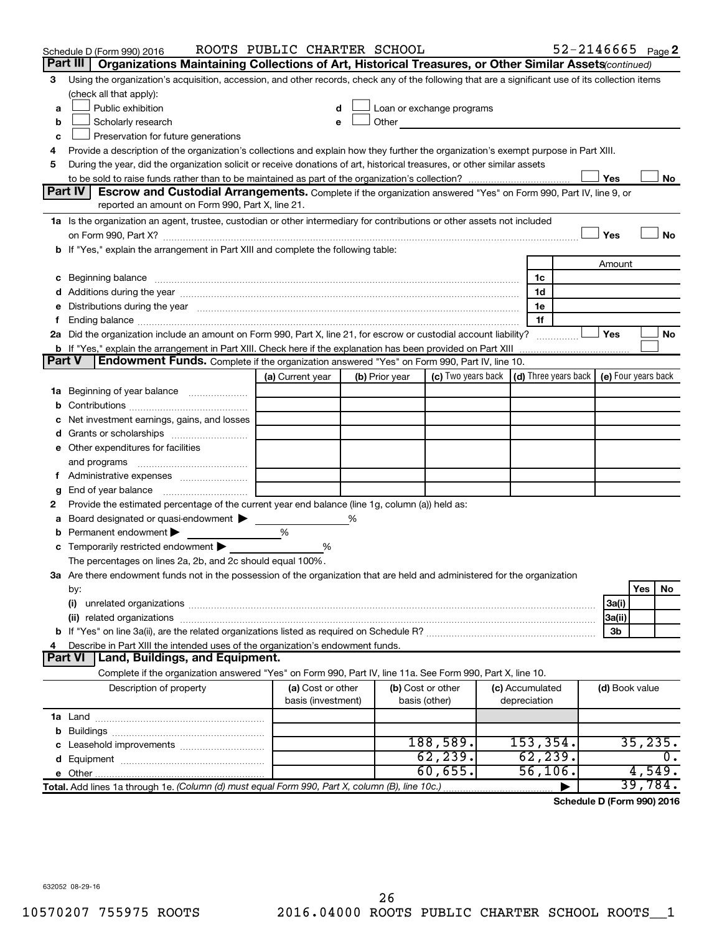|               | Schedule D (Form 990) 2016                                                                                                                                                                                                     | ROOTS PUBLIC CHARTER SCHOOL |   |                |                                                                             |  |                 | $52 - 2146665$ Page 2 |                |          |    |
|---------------|--------------------------------------------------------------------------------------------------------------------------------------------------------------------------------------------------------------------------------|-----------------------------|---|----------------|-----------------------------------------------------------------------------|--|-----------------|-----------------------|----------------|----------|----|
|               | Organizations Maintaining Collections of Art, Historical Treasures, or Other Similar Assets (continued)<br>Part III                                                                                                            |                             |   |                |                                                                             |  |                 |                       |                |          |    |
| 3             | Using the organization's acquisition, accession, and other records, check any of the following that are a significant use of its collection items                                                                              |                             |   |                |                                                                             |  |                 |                       |                |          |    |
|               | (check all that apply):                                                                                                                                                                                                        |                             |   |                |                                                                             |  |                 |                       |                |          |    |
| a             | Public exhibition<br>Loan or exchange programs                                                                                                                                                                                 |                             |   |                |                                                                             |  |                 |                       |                |          |    |
| b             | Other<br>Scholarly research                                                                                                                                                                                                    |                             |   |                |                                                                             |  |                 |                       |                |          |    |
| c             | Preservation for future generations                                                                                                                                                                                            |                             |   |                |                                                                             |  |                 |                       |                |          |    |
| 4             | Provide a description of the organization's collections and explain how they further the organization's exempt purpose in Part XIII.                                                                                           |                             |   |                |                                                                             |  |                 |                       |                |          |    |
|               | During the year, did the organization solicit or receive donations of art, historical treasures, or other similar assets<br>5                                                                                                  |                             |   |                |                                                                             |  |                 |                       |                |          |    |
|               | Part IV<br><b>Escrow and Custodial Arrangements.</b> Complete if the organization answered "Yes" on Form 990, Part IV, line 9, or                                                                                              |                             |   |                |                                                                             |  |                 |                       | Yes            |          | No |
|               | reported an amount on Form 990, Part X, line 21.                                                                                                                                                                               |                             |   |                |                                                                             |  |                 |                       |                |          |    |
|               | 1a Is the organization an agent, trustee, custodian or other intermediary for contributions or other assets not included                                                                                                       |                             |   |                |                                                                             |  |                 |                       |                |          |    |
|               |                                                                                                                                                                                                                                |                             |   |                |                                                                             |  |                 |                       | Yes            |          | No |
|               | b If "Yes," explain the arrangement in Part XIII and complete the following table:                                                                                                                                             |                             |   |                |                                                                             |  |                 |                       |                |          |    |
|               |                                                                                                                                                                                                                                |                             |   |                |                                                                             |  |                 |                       | Amount         |          |    |
|               | c Beginning balance measurements and the contract of the contract of the contract of the contract of the contract of the contract of the contract of the contract of the contract of the contract of the contract of the contr |                             |   |                |                                                                             |  | 1c              |                       |                |          |    |
|               |                                                                                                                                                                                                                                |                             |   |                |                                                                             |  | 1d              |                       |                |          |    |
| е             | Distributions during the year manufactured and an account of the year manufactured and the year manufactured and the year manufactured and the year manufactured and the year manufactured and the year manufactured and the y |                             |   |                |                                                                             |  | 1e              |                       |                |          |    |
| f.            |                                                                                                                                                                                                                                |                             |   |                |                                                                             |  | 1f              |                       |                |          |    |
|               | 2a Did the organization include an amount on Form 990, Part X, line 21, for escrow or custodial account liability?                                                                                                             |                             |   |                |                                                                             |  |                 |                       | Yes            |          | No |
|               | b If "Yes," explain the arrangement in Part XIII. Check here if the explanation has been provided on Part XIII                                                                                                                 |                             |   |                |                                                                             |  |                 |                       |                |          |    |
| <b>Part V</b> | Endowment Funds. Complete if the organization answered "Yes" on Form 990, Part IV, line 10.                                                                                                                                    |                             |   |                |                                                                             |  |                 |                       |                |          |    |
|               |                                                                                                                                                                                                                                | (a) Current year            |   | (b) Prior year | (c) Two years back $\vert$ (d) Three years back $\vert$ (e) Four years back |  |                 |                       |                |          |    |
|               | <b>1a</b> Beginning of year balance                                                                                                                                                                                            |                             |   |                |                                                                             |  |                 |                       |                |          |    |
| b             |                                                                                                                                                                                                                                |                             |   |                |                                                                             |  |                 |                       |                |          |    |
| с             | Net investment earnings, gains, and losses                                                                                                                                                                                     |                             |   |                |                                                                             |  |                 |                       |                |          |    |
| d             | Grants or scholarships                                                                                                                                                                                                         |                             |   |                |                                                                             |  |                 |                       |                |          |    |
|               | e Other expenditures for facilities                                                                                                                                                                                            |                             |   |                |                                                                             |  |                 |                       |                |          |    |
|               | and programs                                                                                                                                                                                                                   |                             |   |                |                                                                             |  |                 |                       |                |          |    |
| t.            | Administrative expenses                                                                                                                                                                                                        |                             |   |                |                                                                             |  |                 |                       |                |          |    |
| g             |                                                                                                                                                                                                                                |                             |   |                |                                                                             |  |                 |                       |                |          |    |
| 2             | Provide the estimated percentage of the current year end balance (line 1g, column (a)) held as:                                                                                                                                |                             |   |                |                                                                             |  |                 |                       |                |          |    |
| а             | Board designated or quasi-endowment                                                                                                                                                                                            |                             | % |                |                                                                             |  |                 |                       |                |          |    |
| b             | Permanent endowment                                                                                                                                                                                                            | %                           |   |                |                                                                             |  |                 |                       |                |          |    |
|               | c Temporarily restricted endowment $\blacktriangleright$                                                                                                                                                                       | %                           |   |                |                                                                             |  |                 |                       |                |          |    |
|               | The percentages on lines 2a, 2b, and 2c should equal 100%.                                                                                                                                                                     |                             |   |                |                                                                             |  |                 |                       |                |          |    |
|               | 3a Are there endowment funds not in the possession of the organization that are held and administered for the organization                                                                                                     |                             |   |                |                                                                             |  |                 |                       |                |          |    |
|               | by:                                                                                                                                                                                                                            |                             |   |                |                                                                             |  |                 |                       |                | Yes      | No |
|               | (i)                                                                                                                                                                                                                            |                             |   |                |                                                                             |  |                 |                       | 3a(i)          |          |    |
|               |                                                                                                                                                                                                                                |                             |   |                |                                                                             |  |                 |                       | 3a(ii)         |          |    |
| 4             |                                                                                                                                                                                                                                |                             |   |                |                                                                             |  |                 |                       | 3b             |          |    |
|               | Describe in Part XIII the intended uses of the organization's endowment funds.<br><b>Part VI</b><br>  Land, Buildings, and Equipment.                                                                                          |                             |   |                |                                                                             |  |                 |                       |                |          |    |
|               | Complete if the organization answered "Yes" on Form 990, Part IV, line 11a. See Form 990, Part X, line 10.                                                                                                                     |                             |   |                |                                                                             |  |                 |                       |                |          |    |
|               | Description of property                                                                                                                                                                                                        | (a) Cost or other           |   |                | (b) Cost or other                                                           |  | (c) Accumulated |                       |                |          |    |
|               |                                                                                                                                                                                                                                | basis (investment)          |   |                | basis (other)                                                               |  | depreciation    |                       | (d) Book value |          |    |
|               |                                                                                                                                                                                                                                |                             |   |                |                                                                             |  |                 |                       |                |          |    |
| b             |                                                                                                                                                                                                                                |                             |   |                |                                                                             |  |                 |                       |                |          |    |
|               |                                                                                                                                                                                                                                |                             |   |                | 188,589.                                                                    |  | 153, 354.       |                       |                | 35, 235. |    |
| d             |                                                                                                                                                                                                                                |                             |   |                | 62, 239.                                                                    |  | 62, 239.        |                       |                |          | υ. |
|               |                                                                                                                                                                                                                                |                             |   |                | 60,655.                                                                     |  | 56,106.         |                       |                | 4,549.   |    |
|               | Total. Add lines 1a through 1e. (Column (d) must equal Form 990, Part X, column (B), line 10c.)                                                                                                                                |                             |   |                |                                                                             |  |                 |                       |                | 39,784.  |    |
|               |                                                                                                                                                                                                                                |                             |   |                |                                                                             |  |                 |                       |                |          |    |

**Schedule D (Form 990) 2016**

632052 08-29-16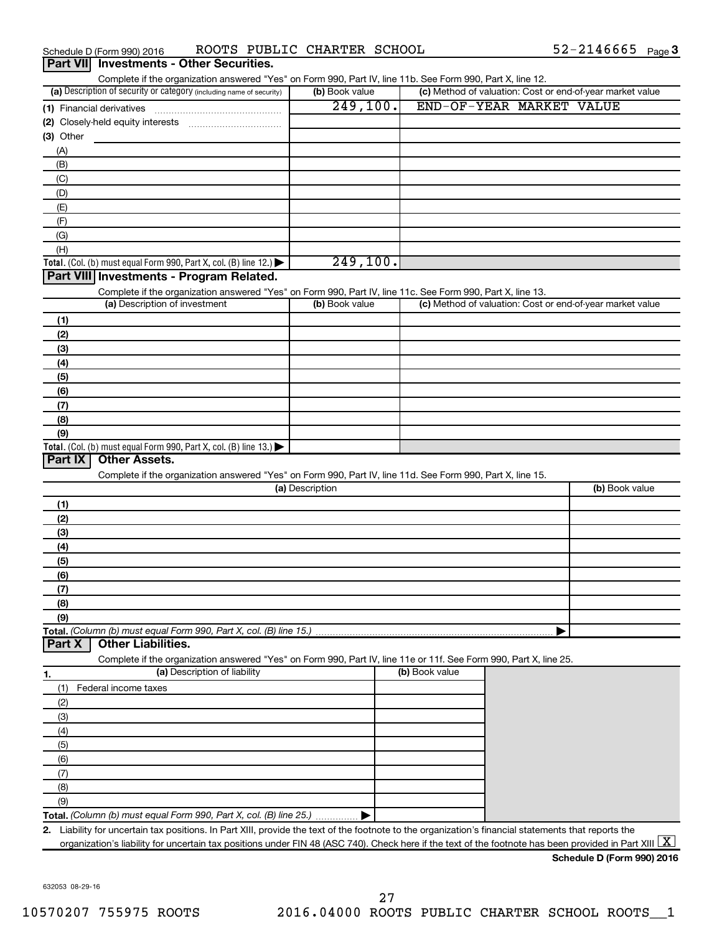| Schedule D (Form 990) 2016                                                                                                                                            | ROOTS PUBLIC CHARTER SCHOOL |                                                           | $52 - 2146665$ Page 3      |
|-----------------------------------------------------------------------------------------------------------------------------------------------------------------------|-----------------------------|-----------------------------------------------------------|----------------------------|
| Part VII Investments - Other Securities.<br>Complete if the organization answered "Yes" on Form 990, Part IV, line 11b. See Form 990, Part X, line 12.                |                             |                                                           |                            |
| (a) Description of security or category (including name of security)                                                                                                  | (b) Book value              | (c) Method of valuation: Cost or end-of-year market value |                            |
|                                                                                                                                                                       | 249,100.                    | END-OF-YEAR MARKET VALUE                                  |                            |
|                                                                                                                                                                       |                             |                                                           |                            |
| $(3)$ Other                                                                                                                                                           |                             |                                                           |                            |
| (A)                                                                                                                                                                   |                             |                                                           |                            |
| (B)                                                                                                                                                                   |                             |                                                           |                            |
| (C)                                                                                                                                                                   |                             |                                                           |                            |
| (D)                                                                                                                                                                   |                             |                                                           |                            |
| (E)                                                                                                                                                                   |                             |                                                           |                            |
| (F)                                                                                                                                                                   |                             |                                                           |                            |
| (G)                                                                                                                                                                   |                             |                                                           |                            |
| (H)                                                                                                                                                                   | 249,100.                    |                                                           |                            |
| Total. (Col. (b) must equal Form 990, Part X, col. (B) line 12.)<br>Part VIII Investments - Program Related.                                                          |                             |                                                           |                            |
| Complete if the organization answered "Yes" on Form 990, Part IV, line 11c. See Form 990, Part X, line 13.                                                            |                             |                                                           |                            |
| (a) Description of investment                                                                                                                                         | (b) Book value              | (c) Method of valuation: Cost or end-of-year market value |                            |
| (1)                                                                                                                                                                   |                             |                                                           |                            |
| (2)                                                                                                                                                                   |                             |                                                           |                            |
| (3)                                                                                                                                                                   |                             |                                                           |                            |
| (4)                                                                                                                                                                   |                             |                                                           |                            |
| (5)                                                                                                                                                                   |                             |                                                           |                            |
| (6)                                                                                                                                                                   |                             |                                                           |                            |
| (7)                                                                                                                                                                   |                             |                                                           |                            |
| (8)                                                                                                                                                                   |                             |                                                           |                            |
| (9)                                                                                                                                                                   |                             |                                                           |                            |
| Total. (Col. (b) must equal Form 990, Part X, col. (B) line 13.)<br><b>Other Assets.</b><br>Part IX                                                                   |                             |                                                           |                            |
| Complete if the organization answered "Yes" on Form 990, Part IV, line 11d. See Form 990, Part X, line 15.                                                            |                             |                                                           |                            |
|                                                                                                                                                                       | (a) Description             |                                                           | (b) Book value             |
| (1)                                                                                                                                                                   |                             |                                                           |                            |
| (2)                                                                                                                                                                   |                             |                                                           |                            |
| (3)                                                                                                                                                                   |                             |                                                           |                            |
| (4)                                                                                                                                                                   |                             |                                                           |                            |
| (5)                                                                                                                                                                   |                             |                                                           |                            |
| (6)                                                                                                                                                                   |                             |                                                           |                            |
| (7)                                                                                                                                                                   |                             |                                                           |                            |
| (8)                                                                                                                                                                   |                             |                                                           |                            |
| (9)                                                                                                                                                                   |                             |                                                           |                            |
| Total. (Column (b) must equal Form 990, Part X, col. (B) line 15.)<br><b>Other Liabilities.</b>                                                                       |                             |                                                           |                            |
| Part X                                                                                                                                                                |                             |                                                           |                            |
| Complete if the organization answered "Yes" on Form 990, Part IV, line 11e or 11f. See Form 990, Part X, line 25.<br>(a) Description of liability                     |                             | (b) Book value                                            |                            |
| 1.                                                                                                                                                                    |                             |                                                           |                            |
| Federal income taxes<br>(1)<br>(2)                                                                                                                                    |                             |                                                           |                            |
| (3)                                                                                                                                                                   |                             |                                                           |                            |
| (4)                                                                                                                                                                   |                             |                                                           |                            |
| (5)                                                                                                                                                                   |                             |                                                           |                            |
| (6)                                                                                                                                                                   |                             |                                                           |                            |
| (7)                                                                                                                                                                   |                             |                                                           |                            |
| (8)                                                                                                                                                                   |                             |                                                           |                            |
| (9)                                                                                                                                                                   |                             |                                                           |                            |
| Total. (Column (b) must equal Form 990, Part X, col. (B) line 25.)                                                                                                    |                             |                                                           |                            |
| Liability for uncertain tax positions. In Part XIII, provide the text of the footnote to the organization's financial statements that reports the<br>2.               |                             |                                                           |                            |
| organization's liability for uncertain tax positions under FIN 48 (ASC 740). Check here if the text of the footnote has been provided in Part XIII $\boxed{\text{X}}$ |                             |                                                           |                            |
|                                                                                                                                                                       |                             |                                                           | Schedule D (Form 990) 2016 |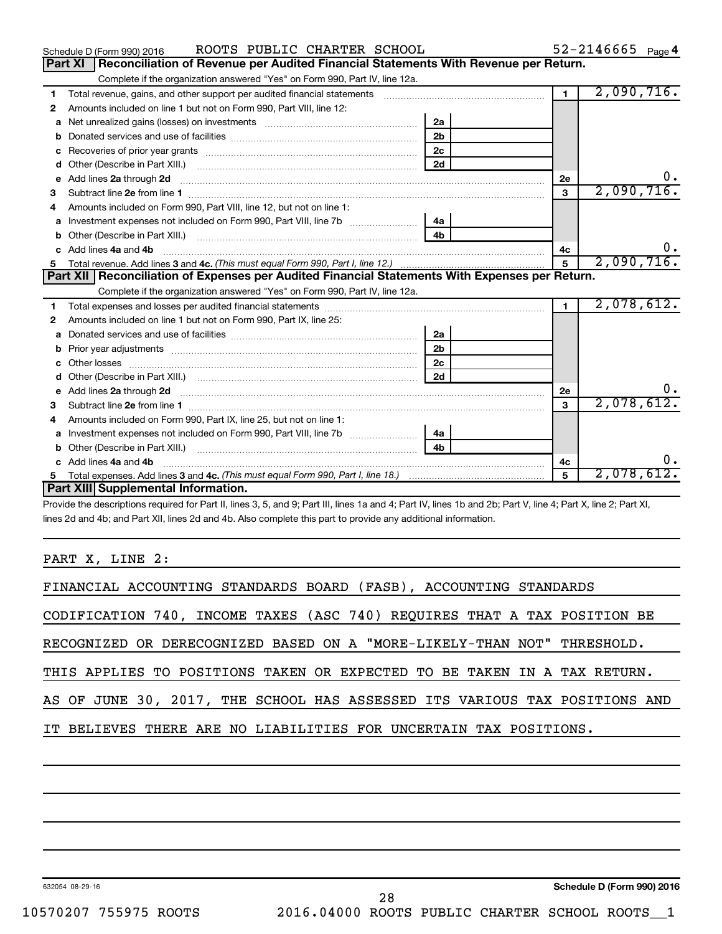|    | ROOTS PUBLIC CHARTER SCHOOL<br>Schedule D (Form 990) 2016                                                                                                                                                                           |                |                | $52 - 2146665$ Page 4 |
|----|-------------------------------------------------------------------------------------------------------------------------------------------------------------------------------------------------------------------------------------|----------------|----------------|-----------------------|
|    | Reconciliation of Revenue per Audited Financial Statements With Revenue per Return.<br>Part XI                                                                                                                                      |                |                |                       |
|    | Complete if the organization answered "Yes" on Form 990, Part IV, line 12a.                                                                                                                                                         |                |                |                       |
| 1  | Total revenue, gains, and other support per audited financial statements                                                                                                                                                            |                | $\overline{1}$ | 2,090,716.            |
| 2  | Amounts included on line 1 but not on Form 990, Part VIII, line 12:                                                                                                                                                                 |                |                |                       |
| a  |                                                                                                                                                                                                                                     | 2a             |                |                       |
| b  |                                                                                                                                                                                                                                     | 2 <sub>b</sub> |                |                       |
| c  |                                                                                                                                                                                                                                     | 2 <sub>c</sub> |                |                       |
| d  | Other (Describe in Part XIII.) <b>2006</b> 2007 2010 2010 2010 2010 2011 2012 2013 2014 2015 2016 2017 2018 2019 2016 2016 2017 2018 2019 2016 2017 2018 2019 2016 2017 2018 2019 2018 2019 2016 2017 2018 2019 2018 2019 2018 2019 | 2d             |                |                       |
| е  |                                                                                                                                                                                                                                     |                | 2e             | υ.                    |
| З  |                                                                                                                                                                                                                                     |                | $\mathbf{3}$   | 2,090,716.            |
| 4  | Amounts included on Form 990, Part VIII, line 12, but not on line 1:                                                                                                                                                                |                |                |                       |
|    |                                                                                                                                                                                                                                     |                |                |                       |
| b  | Other (Describe in Part XIII.) (2000) (2000) (2000) (2010) (2010) (2010) (2010) (2010) (2010) (2010) (2010) (20                                                                                                                     | 4 <sub>h</sub> |                |                       |
| c. | Add lines 4a and 4b                                                                                                                                                                                                                 |                | 4c             |                       |
|    |                                                                                                                                                                                                                                     | $\mathbf{5}$   | 2,090,716.     |                       |
|    |                                                                                                                                                                                                                                     |                |                |                       |
|    | Part XII   Reconciliation of Expenses per Audited Financial Statements With Expenses per Return.                                                                                                                                    |                |                |                       |
|    | Complete if the organization answered "Yes" on Form 990, Part IV, line 12a.                                                                                                                                                         |                |                |                       |
| 1  |                                                                                                                                                                                                                                     |                | $\mathbf{1}$   | 2,078,612.            |
| 2  | Amounts included on line 1 but not on Form 990, Part IX, line 25:                                                                                                                                                                   |                |                |                       |
| a  |                                                                                                                                                                                                                                     | 2a             |                |                       |
| b  |                                                                                                                                                                                                                                     | 2 <sub>b</sub> |                |                       |
| c. |                                                                                                                                                                                                                                     | 2 <sub>c</sub> |                |                       |
| d  |                                                                                                                                                                                                                                     | 2d             |                |                       |
|    |                                                                                                                                                                                                                                     |                | 2e             |                       |
| з  |                                                                                                                                                                                                                                     |                | 3              | 2,078,612.            |
| 4  | Amounts included on Form 990, Part IX, line 25, but not on line 1:                                                                                                                                                                  |                |                |                       |
| a  |                                                                                                                                                                                                                                     | 4a             |                |                       |
| b  |                                                                                                                                                                                                                                     | 4 <sub>h</sub> |                |                       |
| c. | Add lines 4a and 4b                                                                                                                                                                                                                 |                | 4с             | 0.                    |
|    | Part XIII Supplemental Information.                                                                                                                                                                                                 |                | $\mathbf{5}$   | 2,078,612.            |

Provide the descriptions required for Part II, lines 3, 5, and 9; Part III, lines 1a and 4; Part IV, lines 1b and 2b; Part V, line 4; Part X, line 2; Part XI, lines 2d and 4b; and Part XII, lines 2d and 4b. Also complete this part to provide any additional information.

PART X, LINE 2:

| FINANCIAL ACCOUNTING STANDARDS BOARD (FASB), ACCOUNTING STANDARDS          |  |  |  |  |  |  |  |  |
|----------------------------------------------------------------------------|--|--|--|--|--|--|--|--|
| CODIFICATION 740, INCOME TAXES (ASC 740) REQUIRES THAT A TAX POSITION BE   |  |  |  |  |  |  |  |  |
| RECOGNIZED OR DERECOGNIZED BASED ON A "MORE-LIKELY-THAN NOT" THRESHOLD.    |  |  |  |  |  |  |  |  |
| THIS APPLIES TO POSITIONS TAKEN OR EXPECTED TO BE TAKEN IN A TAX RETURN.   |  |  |  |  |  |  |  |  |
| AS OF JUNE 30, 2017, THE SCHOOL HAS ASSESSED ITS VARIOUS TAX POSITIONS AND |  |  |  |  |  |  |  |  |
| IT BELIEVES THERE ARE NO LIABILITIES FOR UNCERTAIN TAX POSITIONS.          |  |  |  |  |  |  |  |  |
|                                                                            |  |  |  |  |  |  |  |  |
|                                                                            |  |  |  |  |  |  |  |  |

632054 08-29-16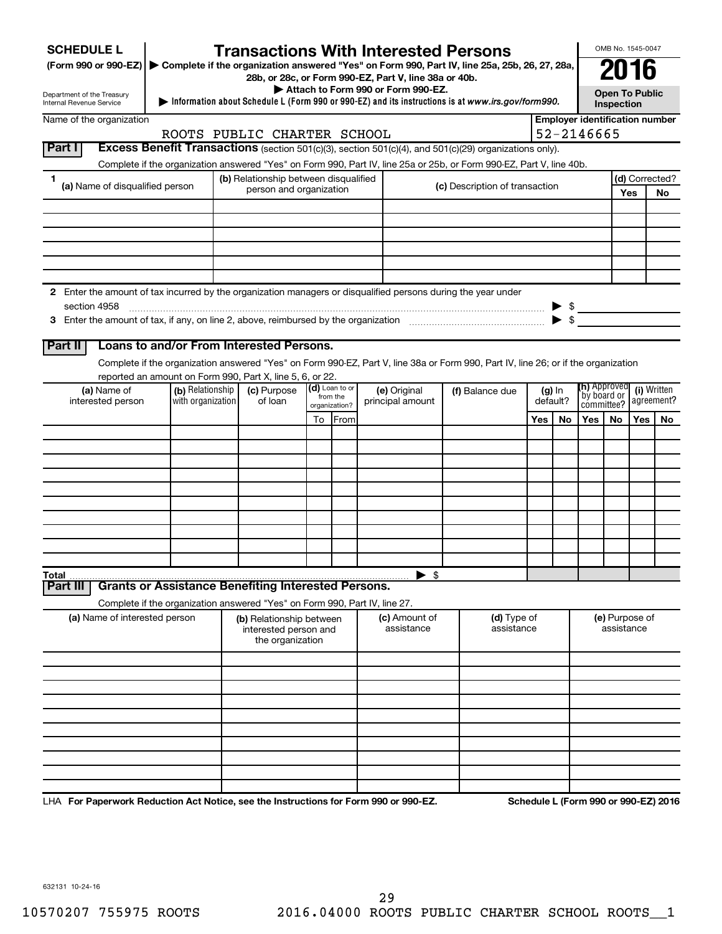| <b>SCHEDULE L</b>                                                                                                    |                  | <b>Transactions With Interested Persons</b>                                                                                        |                           |                |                  |                                                                                             |  |                                |     |                          |                                     |            | OMB No. 1545-0047     |                                       |
|----------------------------------------------------------------------------------------------------------------------|------------------|------------------------------------------------------------------------------------------------------------------------------------|---------------------------|----------------|------------------|---------------------------------------------------------------------------------------------|--|--------------------------------|-----|--------------------------|-------------------------------------|------------|-----------------------|---------------------------------------|
| (Form 990 or 990-EZ) ▶ Complete if the organization answered "Yes" on Form 990, Part IV, line 25a, 25b, 26, 27, 28a, |                  |                                                                                                                                    |                           |                |                  |                                                                                             |  |                                |     |                          |                                     |            |                       |                                       |
|                                                                                                                      |                  |                                                                                                                                    |                           |                |                  | 28b, or 28c, or Form 990-EZ, Part V, line 38a or 40b.<br>Attach to Form 990 or Form 990-EZ. |  |                                |     |                          |                                     |            |                       |                                       |
| Department of the Treasury<br>Internal Revenue Service                                                               |                  | Information about Schedule L (Form 990 or 990-EZ) and its instructions is at www.irs.gov/form990.                                  |                           |                |                  |                                                                                             |  |                                |     |                          |                                     | Inspection | <b>Open To Public</b> |                                       |
| Name of the organization                                                                                             |                  |                                                                                                                                    |                           |                |                  |                                                                                             |  |                                |     |                          |                                     |            |                       | <b>Employer identification number</b> |
|                                                                                                                      |                  | ROOTS PUBLIC CHARTER SCHOOL                                                                                                        |                           |                |                  |                                                                                             |  |                                |     |                          | 52-2146665                          |            |                       |                                       |
| Part I                                                                                                               |                  | Excess Benefit Transactions (section 501(c)(3), section 501(c)(4), and 501(c)(29) organizations only).                             |                           |                |                  |                                                                                             |  |                                |     |                          |                                     |            |                       |                                       |
|                                                                                                                      |                  | Complete if the organization answered "Yes" on Form 990, Part IV, line 25a or 25b, or Form 990-EZ, Part V, line 40b.               |                           |                |                  |                                                                                             |  |                                |     |                          |                                     |            |                       |                                       |
| 1<br>(a) Name of disqualified person                                                                                 |                  | (b) Relationship between disqualified<br>person and organization                                                                   |                           |                |                  |                                                                                             |  | (c) Description of transaction |     |                          |                                     |            | Yes                   | (d) Corrected?<br>No                  |
|                                                                                                                      |                  |                                                                                                                                    |                           |                |                  |                                                                                             |  |                                |     |                          |                                     |            |                       |                                       |
|                                                                                                                      |                  |                                                                                                                                    |                           |                |                  |                                                                                             |  |                                |     |                          |                                     |            |                       |                                       |
|                                                                                                                      |                  |                                                                                                                                    |                           |                |                  |                                                                                             |  |                                |     |                          |                                     |            |                       |                                       |
|                                                                                                                      |                  |                                                                                                                                    |                           |                |                  |                                                                                             |  |                                |     |                          |                                     |            |                       |                                       |
|                                                                                                                      |                  |                                                                                                                                    |                           |                |                  |                                                                                             |  |                                |     |                          |                                     |            |                       |                                       |
| 2 Enter the amount of tax incurred by the organization managers or disqualified persons during the year under        |                  |                                                                                                                                    |                           |                |                  |                                                                                             |  |                                |     |                          |                                     |            |                       |                                       |
| section 4958                                                                                                         |                  |                                                                                                                                    |                           |                |                  |                                                                                             |  |                                |     | $\blacktriangleright$ \$ |                                     |            |                       |                                       |
|                                                                                                                      |                  |                                                                                                                                    |                           |                |                  |                                                                                             |  |                                |     |                          |                                     |            |                       |                                       |
| Part II                                                                                                              |                  | Loans to and/or From Interested Persons.                                                                                           |                           |                |                  |                                                                                             |  |                                |     |                          |                                     |            |                       |                                       |
|                                                                                                                      |                  | Complete if the organization answered "Yes" on Form 990-EZ, Part V, line 38a or Form 990, Part IV, line 26; or if the organization |                           |                |                  |                                                                                             |  |                                |     |                          |                                     |            |                       |                                       |
|                                                                                                                      |                  | reported an amount on Form 990, Part X, line 5, 6, or 22.                                                                          |                           |                |                  |                                                                                             |  |                                |     |                          |                                     |            |                       |                                       |
| (a) Name of                                                                                                          | (b) Relationship | (c) Purpose                                                                                                                        |                           | (d) Loan to or |                  | (e) Original                                                                                |  | (f) Balance due                |     | $(g)$ In                 | <b>(h)</b> Approved<br>`by board or |            |                       | (i) Written                           |
| with organization<br>interested person                                                                               |                  | of loan                                                                                                                            | from the<br>organization? |                | principal amount |                                                                                             |  | default?                       |     |                          | agreement?<br>committee?            |            |                       |                                       |
|                                                                                                                      |                  |                                                                                                                                    | To                        | From           |                  |                                                                                             |  |                                | Yes | No                       | Yes                                 | No         | Yes                   | No.                                   |
|                                                                                                                      |                  |                                                                                                                                    |                           |                |                  |                                                                                             |  |                                |     |                          |                                     |            |                       |                                       |
|                                                                                                                      |                  |                                                                                                                                    |                           |                |                  |                                                                                             |  |                                |     |                          |                                     |            |                       |                                       |
|                                                                                                                      |                  |                                                                                                                                    |                           |                |                  |                                                                                             |  |                                |     |                          |                                     |            |                       |                                       |
|                                                                                                                      |                  |                                                                                                                                    |                           |                |                  |                                                                                             |  |                                |     |                          |                                     |            |                       |                                       |
|                                                                                                                      |                  |                                                                                                                                    |                           |                |                  |                                                                                             |  |                                |     |                          |                                     |            |                       |                                       |
|                                                                                                                      |                  |                                                                                                                                    |                           |                |                  |                                                                                             |  |                                |     |                          |                                     |            |                       |                                       |
|                                                                                                                      |                  |                                                                                                                                    |                           |                |                  |                                                                                             |  |                                |     |                          |                                     |            |                       |                                       |
|                                                                                                                      |                  |                                                                                                                                    |                           |                |                  |                                                                                             |  |                                |     |                          |                                     |            |                       |                                       |
| Total                                                                                                                |                  |                                                                                                                                    |                           |                |                  | $\blacktriangleright$ \$                                                                    |  |                                |     |                          |                                     |            |                       |                                       |
| Part III                                                                                                             |                  | <b>Grants or Assistance Benefiting Interested Persons.</b>                                                                         |                           |                |                  |                                                                                             |  |                                |     |                          |                                     |            |                       |                                       |
|                                                                                                                      |                  | Complete if the organization answered "Yes" on Form 990, Part IV, line 27.                                                         |                           |                |                  |                                                                                             |  |                                |     |                          |                                     |            |                       |                                       |
| (a) Name of interested person                                                                                        |                  | (b) Relationship between<br>interested person and<br>the organization                                                              |                           |                |                  | <b>(c)</b> Amount of<br>assistance                                                          |  | (d) Type of<br>assistance      |     |                          |                                     | assistance | (e) Purpose of        |                                       |
|                                                                                                                      |                  |                                                                                                                                    |                           |                |                  |                                                                                             |  |                                |     |                          |                                     |            |                       |                                       |
|                                                                                                                      |                  |                                                                                                                                    |                           |                |                  |                                                                                             |  |                                |     |                          |                                     |            |                       |                                       |
|                                                                                                                      |                  |                                                                                                                                    |                           |                |                  |                                                                                             |  |                                |     |                          |                                     |            |                       |                                       |
|                                                                                                                      |                  |                                                                                                                                    |                           |                |                  |                                                                                             |  |                                |     |                          |                                     |            |                       |                                       |
|                                                                                                                      |                  |                                                                                                                                    |                           |                |                  |                                                                                             |  |                                |     |                          |                                     |            |                       |                                       |
|                                                                                                                      |                  |                                                                                                                                    |                           |                |                  |                                                                                             |  |                                |     |                          |                                     |            |                       |                                       |
|                                                                                                                      |                  |                                                                                                                                    |                           |                |                  |                                                                                             |  |                                |     |                          |                                     |            |                       |                                       |
|                                                                                                                      |                  |                                                                                                                                    |                           |                |                  |                                                                                             |  |                                |     |                          |                                     |            |                       |                                       |
|                                                                                                                      |                  |                                                                                                                                    |                           |                | 0 <sup>0</sup>   | .000E7                                                                                      |  |                                |     |                          | $\sim$                              |            |                       | $-000.520046$                         |

LHA For Paperwork Reduction Act Notice, see the Instructions for Form 990 or 990-EZ. Schedule L (Form 990 or 990-EZ) 2016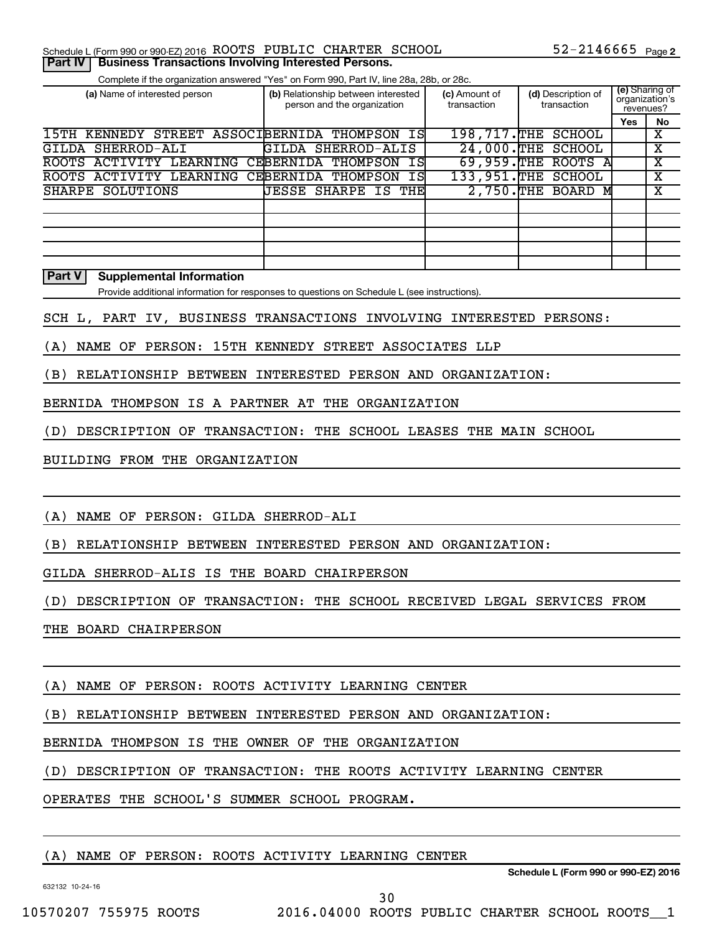### Schedule L (Form 990 or 990-EZ) 2016  $\,$  ROOTS PUBLIC CHARTER SCHOOL  $\,$  52-2146665  $\,$  Page

Complete if the organization answered "Yes" on Form 990, Part IV, line 28a, 28b, or 28c.

| (a) Name of interested person               | (b) Relationship between interested<br>person and the organization | (c) Amount of<br>transaction | (d) Description of<br>transaction | organization's<br>revenues? | (e) Sharing of |
|---------------------------------------------|--------------------------------------------------------------------|------------------------------|-----------------------------------|-----------------------------|----------------|
|                                             |                                                                    |                              |                                   | Yes                         | No             |
| 15TH<br>STREET<br>KENNEDY                   | ASSOCIBERNIDA<br>IS<br>THOMPSON                                    | 198,717.THE                  | <b>SCHOOL</b>                     |                             | х              |
| SHERROD-ALI<br>GILDA                        | SHERROD-ALIS<br>GILDA                                              | 24,000.THE                   | <b>SCHOOL</b>                     |                             | X              |
| <b>LEARNING</b><br><b>ROOTS</b><br>ACTIVITY | CEBERNIDA<br>IS<br>THOMPSON                                        | 69,959.THE                   | ROOTS A                           |                             | х              |
| ACTIVITY<br>LEARNING<br><b>ROOTS</b>        | CEBERNIDA<br>THOMPSON<br>ISI                                       | 133,951.THE                  | <b>SCHOOL</b>                     |                             | х              |
| SHARPE SOLUTIONS                            | JESSE<br>SHARPE<br>IS THE                                          | $2,750.$ THE                 | BOARD M                           |                             | x              |
|                                             |                                                                    |                              |                                   |                             |                |
|                                             |                                                                    |                              |                                   |                             |                |
|                                             |                                                                    |                              |                                   |                             |                |
|                                             |                                                                    |                              |                                   |                             |                |
|                                             |                                                                    |                              |                                   |                             |                |

#### **Part V Supplemental Information**

Provide additional information for responses to questions on Schedule L (see instructions).

SCH L, PART IV, BUSINESS TRANSACTIONS INVOLVING INTERESTED PERSONS:

(A) NAME OF PERSON: 15TH KENNEDY STREET ASSOCIATES LLP

(B) RELATIONSHIP BETWEEN INTERESTED PERSON AND ORGANIZATION:

BERNIDA THOMPSON IS A PARTNER AT THE ORGANIZATION

(D) DESCRIPTION OF TRANSACTION: THE SCHOOL LEASES THE MAIN SCHOOL

BUILDING FROM THE ORGANIZATION

(A) NAME OF PERSON: GILDA SHERROD-ALI

(B) RELATIONSHIP BETWEEN INTERESTED PERSON AND ORGANIZATION:

GILDA SHERROD-ALIS IS THE BOARD CHAIRPERSON

(D) DESCRIPTION OF TRANSACTION: THE SCHOOL RECEIVED LEGAL SERVICES FROM

THE BOARD CHAIRPERSON

(A) NAME OF PERSON: ROOTS ACTIVITY LEARNING CENTER

(B) RELATIONSHIP BETWEEN INTERESTED PERSON AND ORGANIZATION:

BERNIDA THOMPSON IS THE OWNER OF THE ORGANIZATION

(D) DESCRIPTION OF TRANSACTION: THE ROOTS ACTIVITY LEARNING CENTER

OPERATES THE SCHOOL'S SUMMER SCHOOL PROGRAM.

### (A) NAME OF PERSON: ROOTS ACTIVITY LEARNING CENTER

632132 10-24-16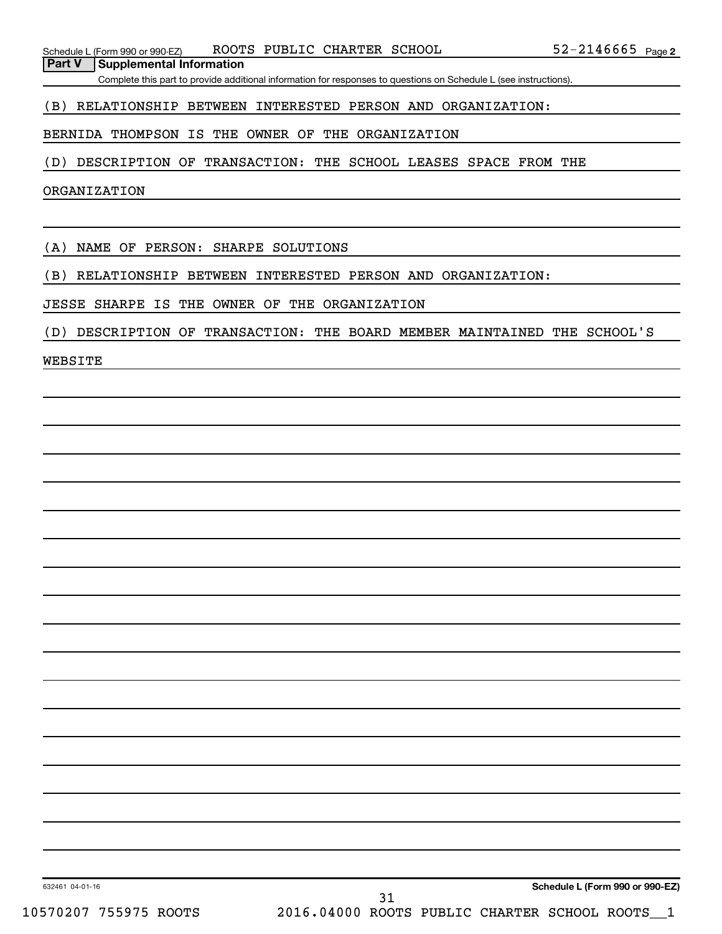Complete this part to provide additional information for responses to questions on Schedule L (see instructions).

### (B) RELATIONSHIP BETWEEN INTERESTED PERSON AND ORGANIZATION:

BERNIDA THOMPSON IS THE OWNER OF THE ORGANIZATION

(D) DESCRIPTION OF TRANSACTION: THE SCHOOL LEASES SPACE FROM THE

ORGANIZATION

(A) NAME OF PERSON: SHARPE SOLUTIONS

(B) RELATIONSHIP BETWEEN INTERESTED PERSON AND ORGANIZATION:

JESSE SHARPE IS THE OWNER OF THE ORGANIZATION

(D) DESCRIPTION OF TRANSACTION: THE BOARD MEMBER MAINTAINED THE SCHOOL'S

WEBSITE

632461 04-01-16